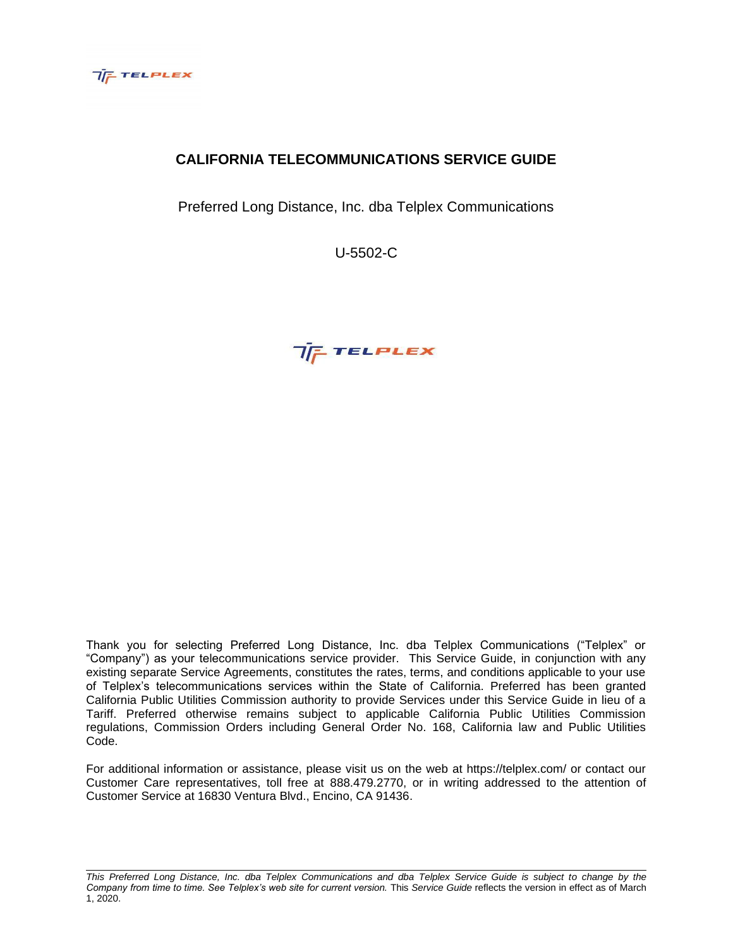

# **CALIFORNIA TELECOMMUNICATIONS SERVICE GUIDE**

Preferred Long Distance, Inc. dba Telplex Communications

U-5502-C



Thank you for selecting Preferred Long Distance, Inc. dba Telplex Communications ("Telplex" or "Company") as your telecommunications service provider. This Service Guide, in conjunction with any existing separate Service Agreements, constitutes the rates, terms, and conditions applicable to your use of Telplex's telecommunications services within the State of California. Preferred has been granted California Public Utilities Commission authority to provide Services under this Service Guide in lieu of a Tariff. Preferred otherwise remains subject to applicable California Public Utilities Commission regulations, Commission Orders including General Order No. 168, California law and Public Utilities Code.

For additional information or assistance, please visit us on the web at https://telplex.com/ or contact our Customer Care representatives, toll free at 888.479.2770, or in writing addressed to the attention of Customer Service at 16830 Ventura Blvd., Encino, CA 91436.

*This Preferred Long Distance, Inc. dba Telplex Communications and dba Telplex Service Guide is subject to change by the Company from time to time. See Telplex's web site for current version.* This *Service Guide* reflects the version in effect as of March 1, 2020.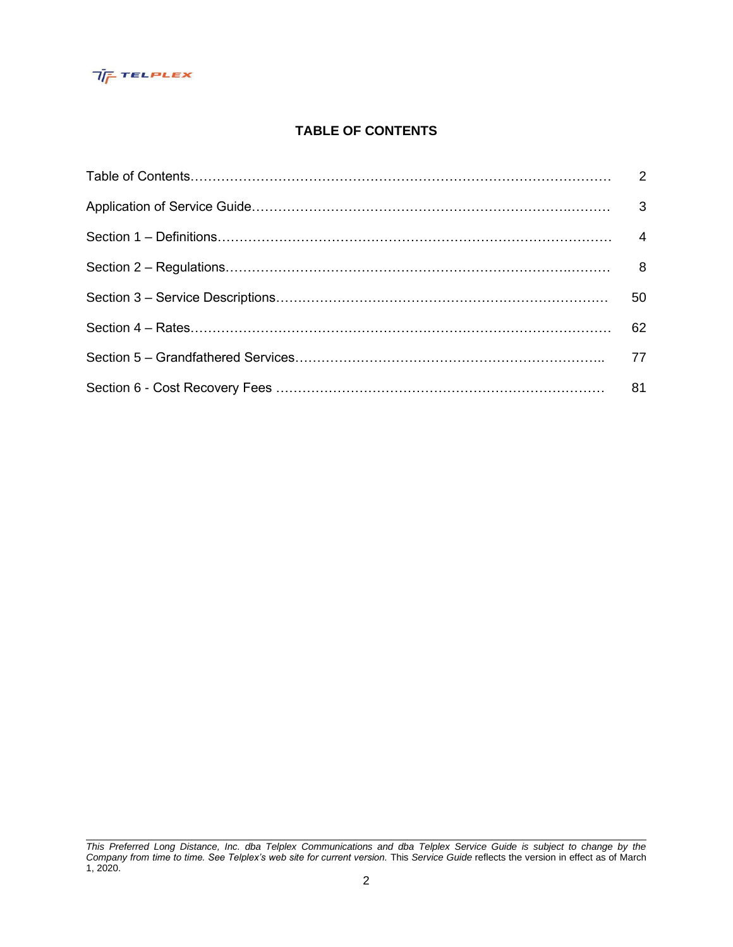

# **TABLE OF CONTENTS**

| 50 |
|----|
| 62 |
| 77 |
| 81 |

*This Preferred Long Distance, Inc. dba Telplex Communications and dba Telplex Service Guide is subject to change by the Company from time to time. See Telplex's web site for current version.* This *Service Guide* reflects the version in effect as of March 1, 2020.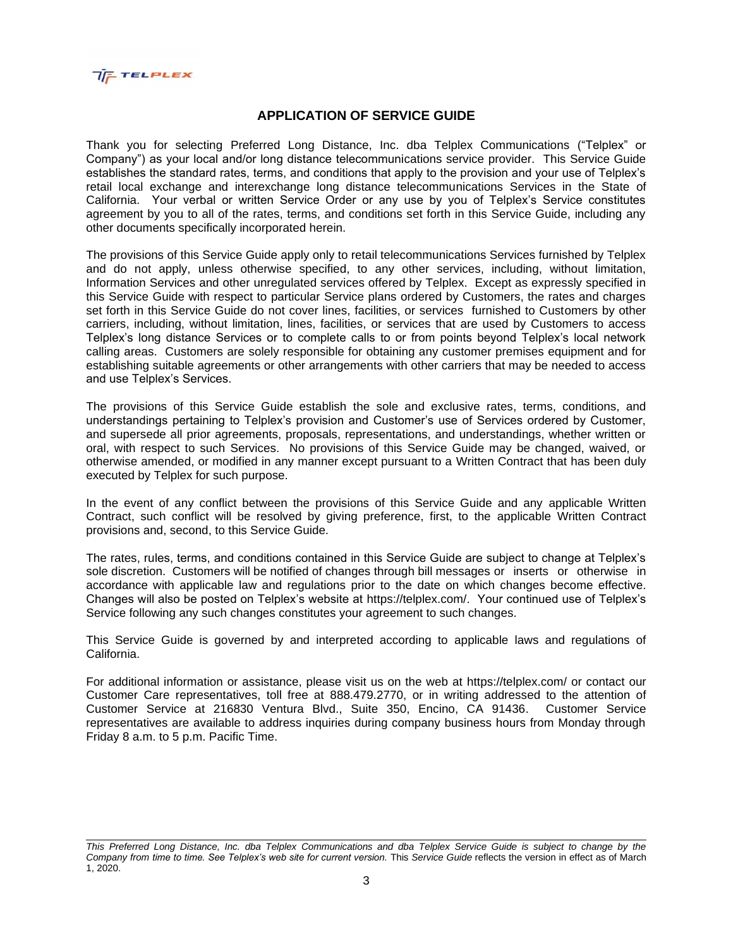

### **APPLICATION OF SERVICE GUIDE**

Thank you for selecting Preferred Long Distance, Inc. dba Telplex Communications ("Telplex" or Company") as your local and/or long distance telecommunications service provider. This Service Guide establishes the standard rates, terms, and conditions that apply to the provision and your use of Telplex's retail local exchange and interexchange long distance telecommunications Services in the State of California. Your verbal or written Service Order or any use by you of Telplex's Service constitutes agreement by you to all of the rates, terms, and conditions set forth in this Service Guide, including any other documents specifically incorporated herein.

The provisions of this Service Guide apply only to retail telecommunications Services furnished by Telplex and do not apply, unless otherwise specified, to any other services, including, without limitation, Information Services and other unregulated services offered by Telplex. Except as expressly specified in this Service Guide with respect to particular Service plans ordered by Customers, the rates and charges set forth in this Service Guide do not cover lines, facilities, or services furnished to Customers by other carriers, including, without limitation, lines, facilities, or services that are used by Customers to access Telplex's long distance Services or to complete calls to or from points beyond Telplex's local network calling areas. Customers are solely responsible for obtaining any customer premises equipment and for establishing suitable agreements or other arrangements with other carriers that may be needed to access and use Telplex's Services.

The provisions of this Service Guide establish the sole and exclusive rates, terms, conditions, and understandings pertaining to Telplex's provision and Customer's use of Services ordered by Customer, and supersede all prior agreements, proposals, representations, and understandings, whether written or oral, with respect to such Services. No provisions of this Service Guide may be changed, waived, or otherwise amended, or modified in any manner except pursuant to a Written Contract that has been duly executed by Telplex for such purpose.

In the event of any conflict between the provisions of this Service Guide and any applicable Written Contract, such conflict will be resolved by giving preference, first, to the applicable Written Contract provisions and, second, to this Service Guide.

The rates, rules, terms, and conditions contained in this Service Guide are subject to change at Telplex's sole discretion. Customers will be notified of changes through bill messages or inserts or otherwise in accordance with applicable law and regulations prior to the date on which changes become effective. Changes will also be posted on Telplex's website at https://telplex.com/. Your continued use of Telplex's Service following any such changes constitutes your agreement to such changes.

This Service Guide is governed by and interpreted according to applicable laws and regulations of California.

For additional information or assistance, please visit us on the web at https://telplex.com/ or contact our Customer Care representatives, toll free at 888.479.2770, or in writing addressed to the attention of Customer Service at 216830 Ventura Blvd., Suite 350, Encino, CA 91436. Customer Service representatives are available to address inquiries during company business hours from Monday through Friday 8 a.m. to 5 p.m. Pacific Time.

*This Preferred Long Distance, Inc. dba Telplex Communications and dba Telplex Service Guide is subject to change by the Company from time to time. See Telplex's web site for current version.* This *Service Guide* reflects the version in effect as of March 1, 2020.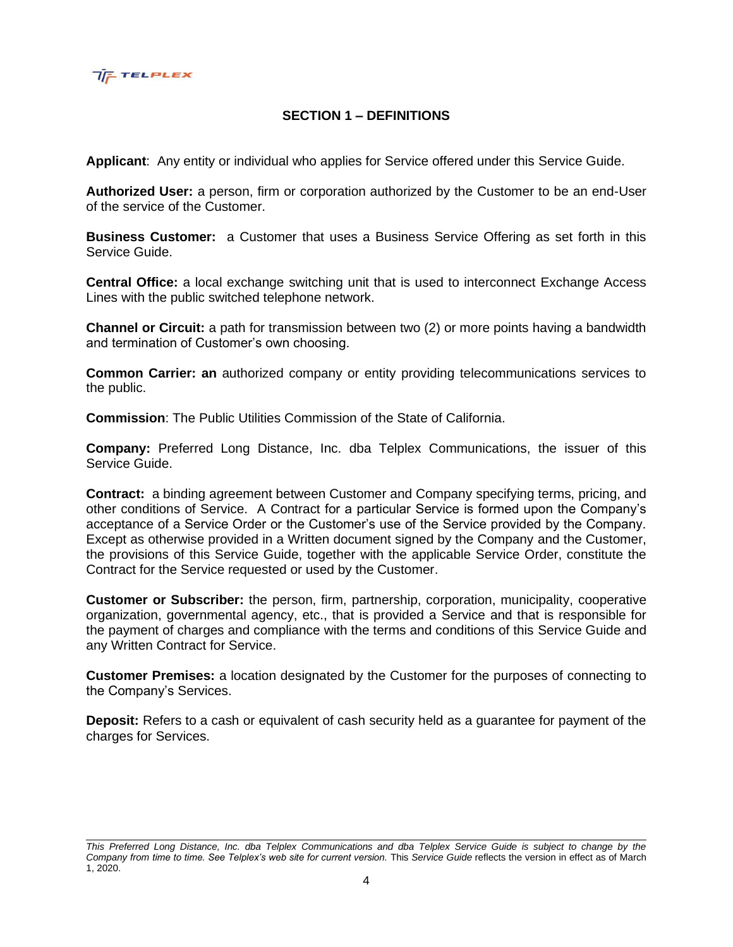

# **SECTION 1 – DEFINITIONS**

**Applicant**: Any entity or individual who applies for Service offered under this Service Guide.

**Authorized User:** a person, firm or corporation authorized by the Customer to be an end-User of the service of the Customer.

**Business Customer:** a Customer that uses a Business Service Offering as set forth in this Service Guide.

**Central Office:** a local exchange switching unit that is used to interconnect Exchange Access Lines with the public switched telephone network.

**Channel or Circuit:** a path for transmission between two (2) or more points having a bandwidth and termination of Customer's own choosing.

**Common Carrier: an** authorized company or entity providing telecommunications services to the public.

**Commission**: The Public Utilities Commission of the State of California.

**Company:** Preferred Long Distance, Inc. dba Telplex Communications, the issuer of this Service Guide.

**Contract:** a binding agreement between Customer and Company specifying terms, pricing, and other conditions of Service. A Contract for a particular Service is formed upon the Company's acceptance of a Service Order or the Customer's use of the Service provided by the Company. Except as otherwise provided in a Written document signed by the Company and the Customer, the provisions of this Service Guide, together with the applicable Service Order, constitute the Contract for the Service requested or used by the Customer.

**Customer or Subscriber:** the person, firm, partnership, corporation, municipality, cooperative organization, governmental agency, etc., that is provided a Service and that is responsible for the payment of charges and compliance with the terms and conditions of this Service Guide and any Written Contract for Service.

**Customer Premises:** a location designated by the Customer for the purposes of connecting to the Company's Services.

**Deposit:** Refers to a cash or equivalent of cash security held as a guarantee for payment of the charges for Services.

*This Preferred Long Distance, Inc. dba Telplex Communications and dba Telplex Service Guide is subject to change by the Company from time to time. See Telplex's web site for current version.* This *Service Guide* reflects the version in effect as of March 1, 2020.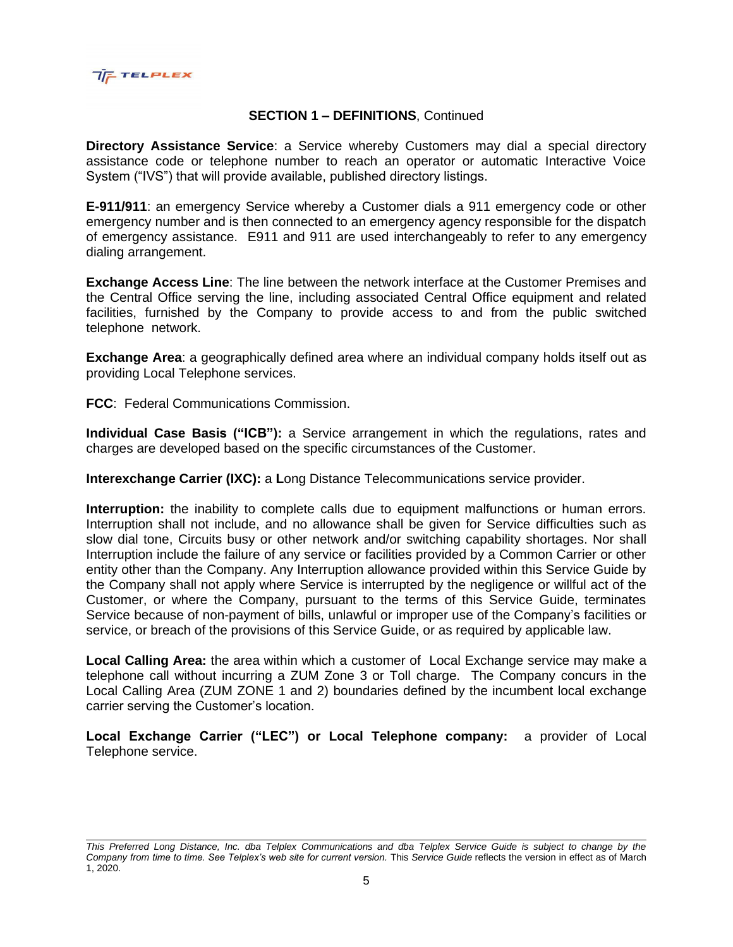

# **SECTION 1 – DEFINITIONS**, Continued

**Directory Assistance Service**: a Service whereby Customers may dial a special directory assistance code or telephone number to reach an operator or automatic Interactive Voice System ("IVS") that will provide available, published directory listings.

**E-911/911**: an emergency Service whereby a Customer dials a 911 emergency code or other emergency number and is then connected to an emergency agency responsible for the dispatch of emergency assistance. E911 and 911 are used interchangeably to refer to any emergency dialing arrangement.

**Exchange Access Line**: The line between the network interface at the Customer Premises and the Central Office serving the line, including associated Central Office equipment and related facilities, furnished by the Company to provide access to and from the public switched telephone network.

**Exchange Area**: a geographically defined area where an individual company holds itself out as providing Local Telephone services.

**FCC**: Federal Communications Commission.

**Individual Case Basis ("ICB"):** a Service arrangement in which the regulations, rates and charges are developed based on the specific circumstances of the Customer.

**Interexchange Carrier (IXC):** a Long Distance Telecommunications service provider.

**Interruption:** the inability to complete calls due to equipment malfunctions or human errors. Interruption shall not include, and no allowance shall be given for Service difficulties such as slow dial tone, Circuits busy or other network and/or switching capability shortages. Nor shall Interruption include the failure of any service or facilities provided by a Common Carrier or other entity other than the Company. Any Interruption allowance provided within this Service Guide by the Company shall not apply where Service is interrupted by the negligence or willful act of the Customer, or where the Company, pursuant to the terms of this Service Guide, terminates Service because of non-payment of bills, unlawful or improper use of the Company's facilities or service, or breach of the provisions of this Service Guide, or as required by applicable law.

**Local Calling Area:** the area within which a customer of Local Exchange service may make a telephone call without incurring a ZUM Zone 3 or Toll charge. The Company concurs in the Local Calling Area (ZUM ZONE 1 and 2) boundaries defined by the incumbent local exchange carrier serving the Customer's location.

**Local Exchange Carrier ("LEC") or Local Telephone company:** a provider of Local Telephone service.

*This Preferred Long Distance, Inc. dba Telplex Communications and dba Telplex Service Guide is subject to change by the Company from time to time. See Telplex's web site for current version.* This *Service Guide* reflects the version in effect as of March 1, 2020.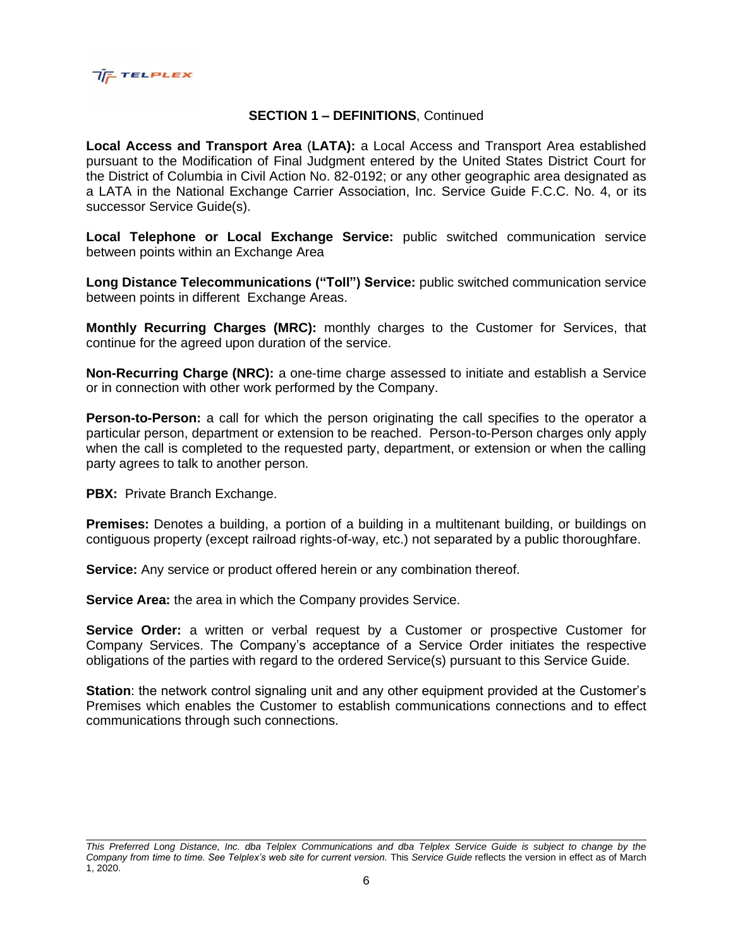

# **SECTION 1 – DEFINITIONS**, Continued

**Local Access and Transport Area** (**LATA):** a Local Access and Transport Area established pursuant to the Modification of Final Judgment entered by the United States District Court for the District of Columbia in Civil Action No. 82-0192; or any other geographic area designated as a LATA in the National Exchange Carrier Association, Inc. Service Guide F.C.C. No. 4, or its successor Service Guide(s).

**Local Telephone or Local Exchange Service:** public switched communication service between points within an Exchange Area

**Long Distance Telecommunications ("Toll") Service:** public switched communication service between points in different Exchange Areas.

**Monthly Recurring Charges (MRC):** monthly charges to the Customer for Services, that continue for the agreed upon duration of the service.

**Non-Recurring Charge (NRC):** a one-time charge assessed to initiate and establish a Service or in connection with other work performed by the Company.

**Person-to-Person:** a call for which the person originating the call specifies to the operator a particular person, department or extension to be reached. Person-to-Person charges only apply when the call is completed to the requested party, department, or extension or when the calling party agrees to talk to another person.

**PBX:** Private Branch Exchange.

**Premises:** Denotes a building, a portion of a building in a multitenant building, or buildings on contiguous property (except railroad rights-of-way, etc.) not separated by a public thoroughfare.

**Service:** Any service or product offered herein or any combination thereof.

**Service Area:** the area in which the Company provides Service.

**Service Order:** a written or verbal request by a Customer or prospective Customer for Company Services. The Company's acceptance of a Service Order initiates the respective obligations of the parties with regard to the ordered Service(s) pursuant to this Service Guide.

**Station**: the network control signaling unit and any other equipment provided at the Customer's Premises which enables the Customer to establish communications connections and to effect communications through such connections.

*This Preferred Long Distance, Inc. dba Telplex Communications and dba Telplex Service Guide is subject to change by the Company from time to time. See Telplex's web site for current version.* This *Service Guide* reflects the version in effect as of March 1, 2020.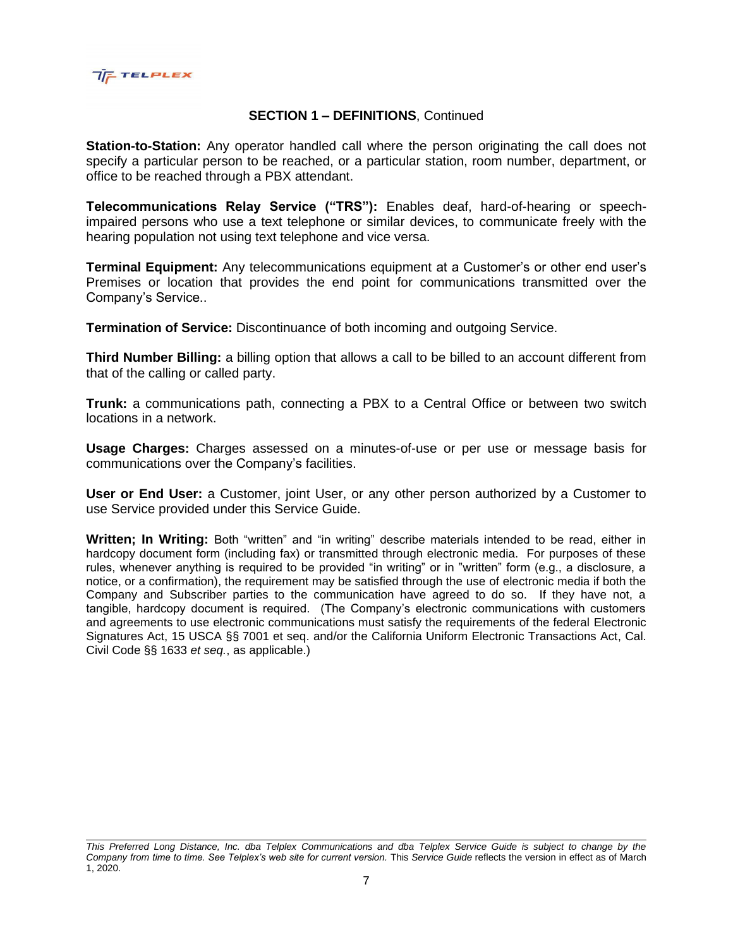

### **SECTION 1 – DEFINITIONS**, Continued

**Station-to-Station:** Any operator handled call where the person originating the call does not specify a particular person to be reached, or a particular station, room number, department, or office to be reached through a PBX attendant.

**Telecommunications Relay Service ("TRS"):** Enables deaf, hard-of-hearing or speechimpaired persons who use a text telephone or similar devices, to communicate freely with the hearing population not using text telephone and vice versa.

**Terminal Equipment:** Any telecommunications equipment at a Customer's or other end user's Premises or location that provides the end point for communications transmitted over the Company's Service..

**Termination of Service:** Discontinuance of both incoming and outgoing Service.

**Third Number Billing:** a billing option that allows a call to be billed to an account different from that of the calling or called party.

**Trunk:** a communications path, connecting a PBX to a Central Office or between two switch locations in a network.

**Usage Charges:** Charges assessed on a minutes-of-use or per use or message basis for communications over the Company's facilities.

**User or End User:** a Customer, joint User, or any other person authorized by a Customer to use Service provided under this Service Guide.

**Written; In Writing:** Both "written" and "in writing" describe materials intended to be read, either in hardcopy document form (including fax) or transmitted through electronic media. For purposes of these rules, whenever anything is required to be provided "in writing" or in "written" form (e.g., a disclosure, a notice, or a confirmation), the requirement may be satisfied through the use of electronic media if both the Company and Subscriber parties to the communication have agreed to do so. If they have not, a tangible, hardcopy document is required. (The Company's electronic communications with customers and agreements to use electronic communications must satisfy the requirements of the federal Electronic Signatures Act, 15 USCA §§ 7001 et seq. and/or the California Uniform Electronic Transactions Act, Cal. Civil Code §§ 1633 *et seq.*, as applicable.)

*This Preferred Long Distance, Inc. dba Telplex Communications and dba Telplex Service Guide is subject to change by the Company from time to time. See Telplex's web site for current version.* This *Service Guide* reflects the version in effect as of March 1, 2020.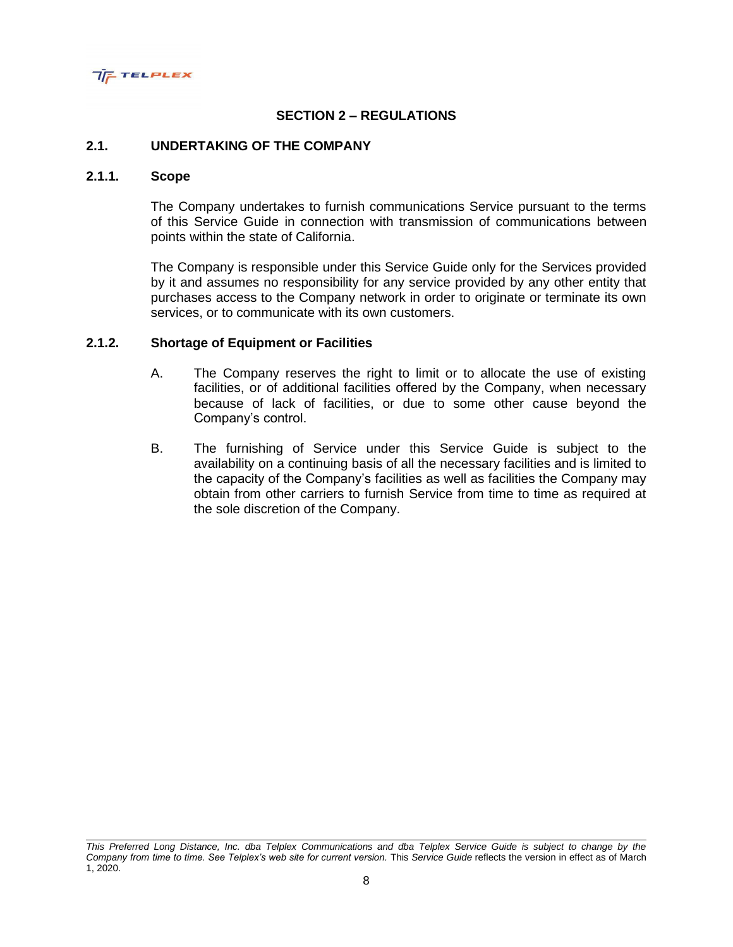

# **SECTION 2 – REGULATIONS**

#### **2.1. UNDERTAKING OF THE COMPANY**

#### **2.1.1. Scope**

The Company undertakes to furnish communications Service pursuant to the terms of this Service Guide in connection with transmission of communications between points within the state of California.

The Company is responsible under this Service Guide only for the Services provided by it and assumes no responsibility for any service provided by any other entity that purchases access to the Company network in order to originate or terminate its own services, or to communicate with its own customers.

#### **2.1.2. Shortage of Equipment or Facilities**

- A. The Company reserves the right to limit or to allocate the use of existing facilities, or of additional facilities offered by the Company, when necessary because of lack of facilities, or due to some other cause beyond the Company's control.
- B. The furnishing of Service under this Service Guide is subject to the availability on a continuing basis of all the necessary facilities and is limited to the capacity of the Company's facilities as well as facilities the Company may obtain from other carriers to furnish Service from time to time as required at the sole discretion of the Company.

*This Preferred Long Distance, Inc. dba Telplex Communications and dba Telplex Service Guide is subject to change by the Company from time to time. See Telplex's web site for current version.* This *Service Guide* reflects the version in effect as of March 1, 2020.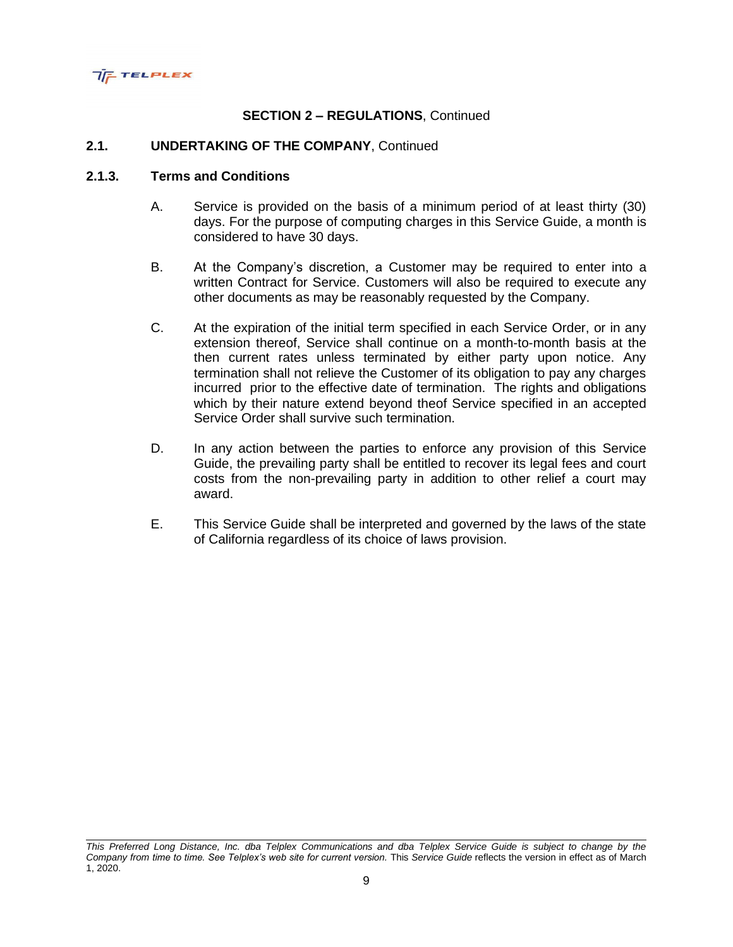

#### **2.1. UNDERTAKING OF THE COMPANY**, Continued

### **2.1.3. Terms and Conditions**

- A. Service is provided on the basis of a minimum period of at least thirty (30) days. For the purpose of computing charges in this Service Guide, a month is considered to have 30 days.
- B. At the Company's discretion, a Customer may be required to enter into a written Contract for Service. Customers will also be required to execute any other documents as may be reasonably requested by the Company.
- C. At the expiration of the initial term specified in each Service Order, or in any extension thereof, Service shall continue on a month-to-month basis at the then current rates unless terminated by either party upon notice. Any termination shall not relieve the Customer of its obligation to pay any charges incurred prior to the effective date of termination. The rights and obligations which by their nature extend beyond theof Service specified in an accepted Service Order shall survive such termination.
- D. In any action between the parties to enforce any provision of this Service Guide, the prevailing party shall be entitled to recover its legal fees and court costs from the non-prevailing party in addition to other relief a court may award.
- E. This Service Guide shall be interpreted and governed by the laws of the state of California regardless of its choice of laws provision.

*This Preferred Long Distance, Inc. dba Telplex Communications and dba Telplex Service Guide is subject to change by the Company from time to time. See Telplex's web site for current version.* This *Service Guide* reflects the version in effect as of March 1, 2020.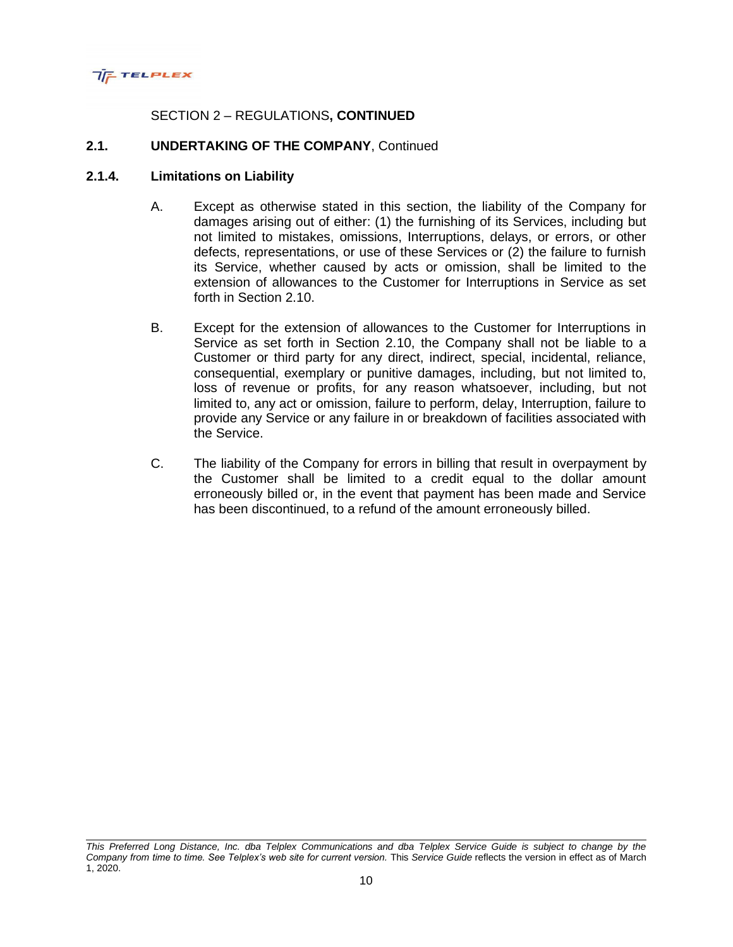

# SECTION 2 – REGULATIONS**, CONTINUED**

#### **2.1. UNDERTAKING OF THE COMPANY**, Continued

#### **2.1.4. Limitations on Liability**

- A. Except as otherwise stated in this section, the liability of the Company for damages arising out of either: (1) the furnishing of its Services, including but not limited to mistakes, omissions, Interruptions, delays, or errors, or other defects, representations, or use of these Services or (2) the failure to furnish its Service, whether caused by acts or omission, shall be limited to the extension of allowances to the Customer for Interruptions in Service as set forth in Section 2.10.
- B. Except for the extension of allowances to the Customer for Interruptions in Service as set forth in Section 2.10, the Company shall not be liable to a Customer or third party for any direct, indirect, special, incidental, reliance, consequential, exemplary or punitive damages, including, but not limited to, loss of revenue or profits, for any reason whatsoever, including, but not limited to, any act or omission, failure to perform, delay, Interruption, failure to provide any Service or any failure in or breakdown of facilities associated with the Service.
- C. The liability of the Company for errors in billing that result in overpayment by the Customer shall be limited to a credit equal to the dollar amount erroneously billed or, in the event that payment has been made and Service has been discontinued, to a refund of the amount erroneously billed.

*This Preferred Long Distance, Inc. dba Telplex Communications and dba Telplex Service Guide is subject to change by the Company from time to time. See Telplex's web site for current version.* This *Service Guide* reflects the version in effect as of March 1, 2020.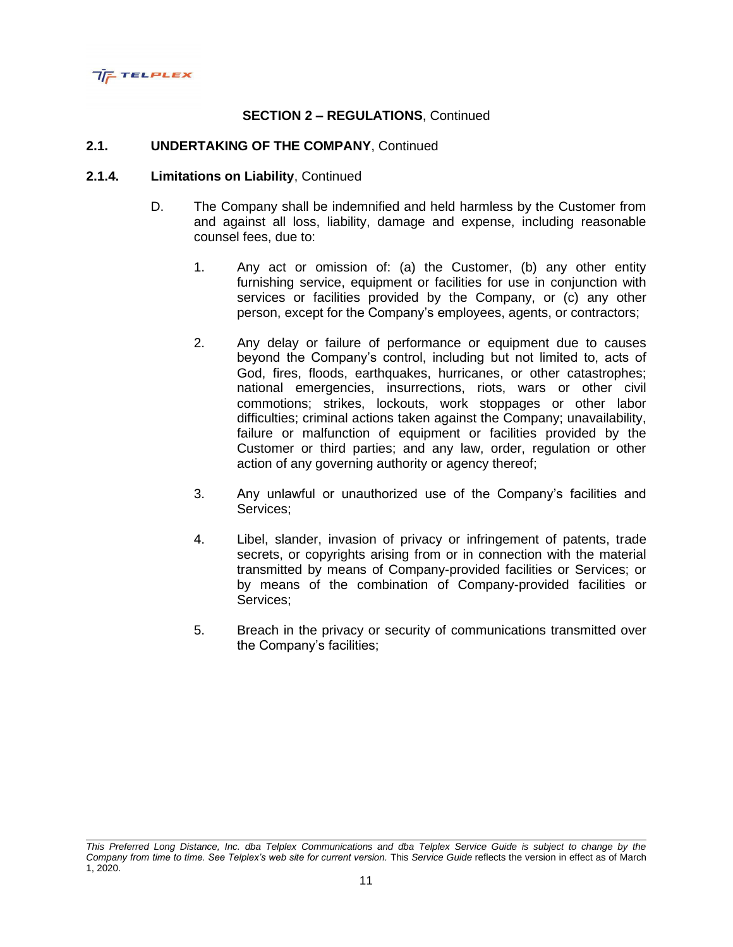

#### **2.1. UNDERTAKING OF THE COMPANY**, Continued

- D. The Company shall be indemnified and held harmless by the Customer from and against all loss, liability, damage and expense, including reasonable counsel fees, due to:
	- 1. Any act or omission of: (a) the Customer, (b) any other entity furnishing service, equipment or facilities for use in conjunction with services or facilities provided by the Company, or (c) any other person, except for the Company's employees, agents, or contractors;
	- 2. Any delay or failure of performance or equipment due to causes beyond the Company's control, including but not limited to, acts of God, fires, floods, earthquakes, hurricanes, or other catastrophes; national emergencies, insurrections, riots, wars or other civil commotions; strikes, lockouts, work stoppages or other labor difficulties; criminal actions taken against the Company; unavailability, failure or malfunction of equipment or facilities provided by the Customer or third parties; and any law, order, regulation or other action of any governing authority or agency thereof;
	- 3. Any unlawful or unauthorized use of the Company's facilities and Services;
	- 4. Libel, slander, invasion of privacy or infringement of patents, trade secrets, or copyrights arising from or in connection with the material transmitted by means of Company-provided facilities or Services; or by means of the combination of Company-provided facilities or Services;
	- 5. Breach in the privacy or security of communications transmitted over the Company's facilities;

*This Preferred Long Distance, Inc. dba Telplex Communications and dba Telplex Service Guide is subject to change by the Company from time to time. See Telplex's web site for current version.* This *Service Guide* reflects the version in effect as of March 1, 2020.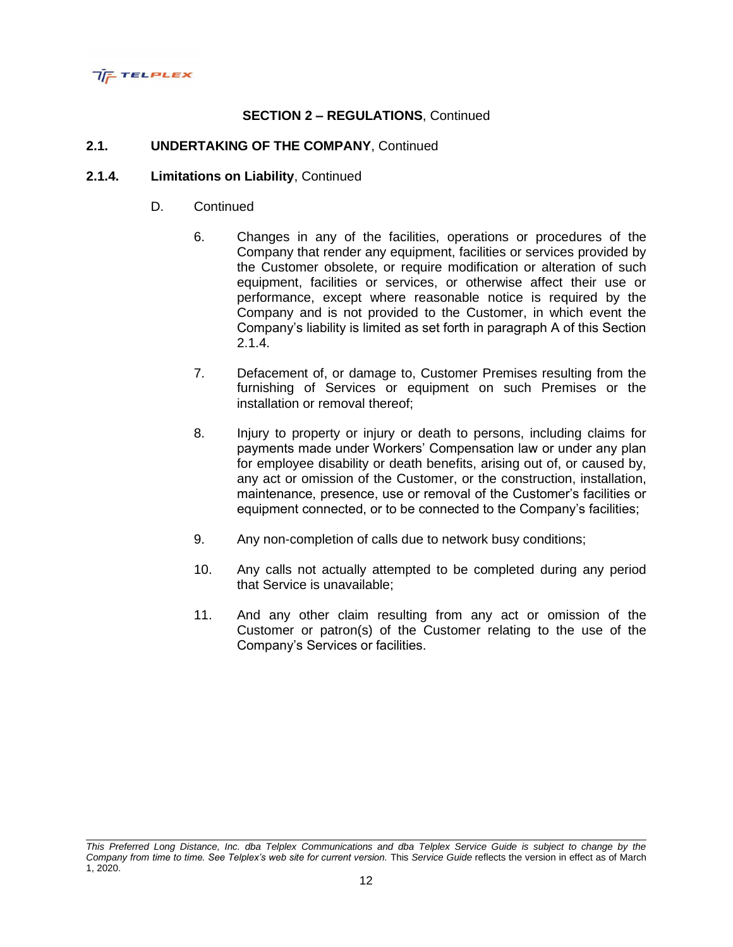

# **2.1. UNDERTAKING OF THE COMPANY**, Continued

- D. Continued
	- 6. Changes in any of the facilities, operations or procedures of the Company that render any equipment, facilities or services provided by the Customer obsolete, or require modification or alteration of such equipment, facilities or services, or otherwise affect their use or performance, except where reasonable notice is required by the Company and is not provided to the Customer, in which event the Company's liability is limited as set forth in paragraph A of this Section  $2.1.4.$
	- 7. Defacement of, or damage to, Customer Premises resulting from the furnishing of Services or equipment on such Premises or the installation or removal thereof;
	- 8. Injury to property or injury or death to persons, including claims for payments made under Workers' Compensation law or under any plan for employee disability or death benefits, arising out of, or caused by, any act or omission of the Customer, or the construction, installation, maintenance, presence, use or removal of the Customer's facilities or equipment connected, or to be connected to the Company's facilities;
	- 9. Any non-completion of calls due to network busy conditions;
	- 10. Any calls not actually attempted to be completed during any period that Service is unavailable;
	- 11. And any other claim resulting from any act or omission of the Customer or patron(s) of the Customer relating to the use of the Company's Services or facilities.

*This Preferred Long Distance, Inc. dba Telplex Communications and dba Telplex Service Guide is subject to change by the Company from time to time. See Telplex's web site for current version.* This *Service Guide* reflects the version in effect as of March 1, 2020.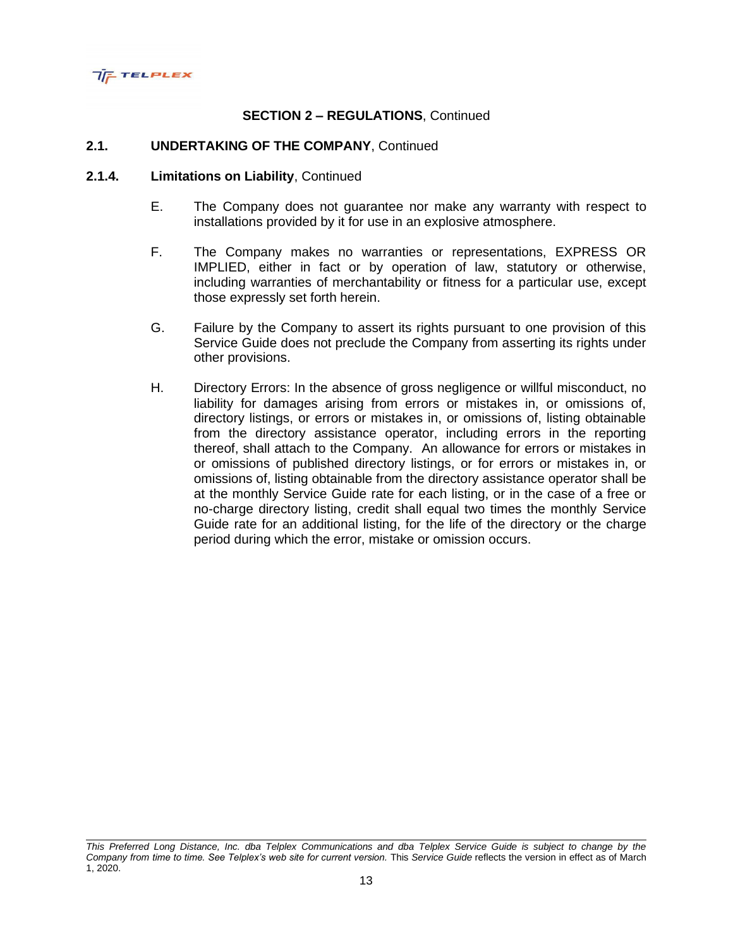

#### **2.1. UNDERTAKING OF THE COMPANY**, Continued

- E. The Company does not guarantee nor make any warranty with respect to installations provided by it for use in an explosive atmosphere.
- F. The Company makes no warranties or representations, EXPRESS OR IMPLIED, either in fact or by operation of law, statutory or otherwise, including warranties of merchantability or fitness for a particular use, except those expressly set forth herein.
- G. Failure by the Company to assert its rights pursuant to one provision of this Service Guide does not preclude the Company from asserting its rights under other provisions.
- H. Directory Errors: In the absence of gross negligence or willful misconduct, no liability for damages arising from errors or mistakes in, or omissions of, directory listings, or errors or mistakes in, or omissions of, listing obtainable from the directory assistance operator, including errors in the reporting thereof, shall attach to the Company. An allowance for errors or mistakes in or omissions of published directory listings, or for errors or mistakes in, or omissions of, listing obtainable from the directory assistance operator shall be at the monthly Service Guide rate for each listing, or in the case of a free or no-charge directory listing, credit shall equal two times the monthly Service Guide rate for an additional listing, for the life of the directory or the charge period during which the error, mistake or omission occurs.

*This Preferred Long Distance, Inc. dba Telplex Communications and dba Telplex Service Guide is subject to change by the Company from time to time. See Telplex's web site for current version.* This *Service Guide* reflects the version in effect as of March 1, 2020.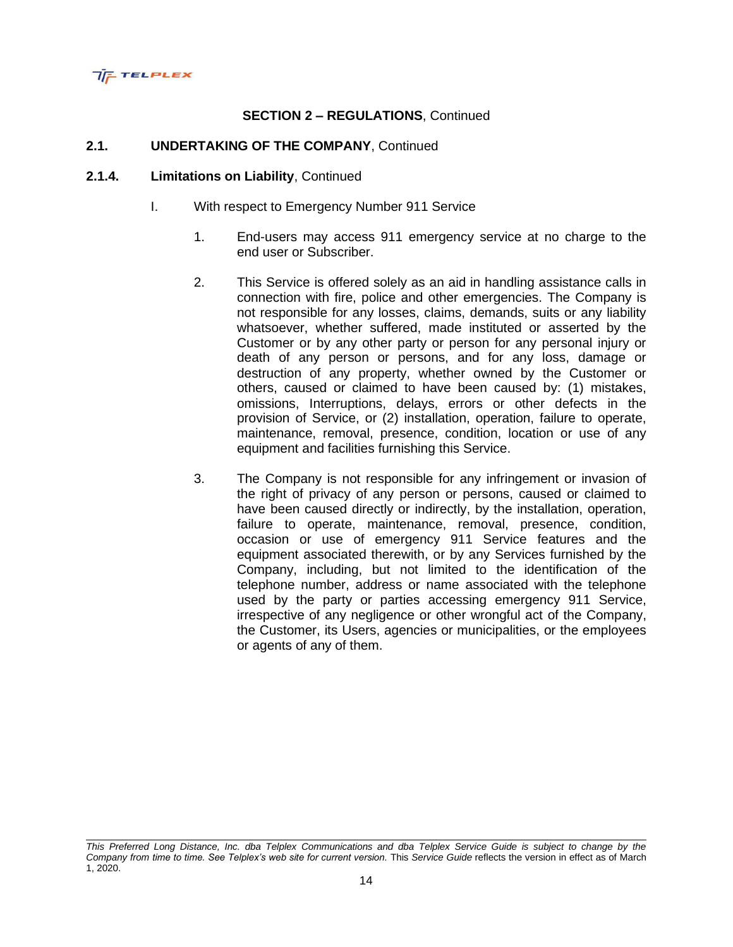

# **2.1. UNDERTAKING OF THE COMPANY**, Continued

- I. With respect to Emergency Number 911 Service
	- 1. End-users may access 911 emergency service at no charge to the end user or Subscriber.
	- 2. This Service is offered solely as an aid in handling assistance calls in connection with fire, police and other emergencies. The Company is not responsible for any losses, claims, demands, suits or any liability whatsoever, whether suffered, made instituted or asserted by the Customer or by any other party or person for any personal injury or death of any person or persons, and for any loss, damage or destruction of any property, whether owned by the Customer or others, caused or claimed to have been caused by: (1) mistakes, omissions, Interruptions, delays, errors or other defects in the provision of Service, or (2) installation, operation, failure to operate, maintenance, removal, presence, condition, location or use of any equipment and facilities furnishing this Service.
	- 3. The Company is not responsible for any infringement or invasion of the right of privacy of any person or persons, caused or claimed to have been caused directly or indirectly, by the installation, operation, failure to operate, maintenance, removal, presence, condition, occasion or use of emergency 911 Service features and the equipment associated therewith, or by any Services furnished by the Company, including, but not limited to the identification of the telephone number, address or name associated with the telephone used by the party or parties accessing emergency 911 Service, irrespective of any negligence or other wrongful act of the Company, the Customer, its Users, agencies or municipalities, or the employees or agents of any of them.

*This Preferred Long Distance, Inc. dba Telplex Communications and dba Telplex Service Guide is subject to change by the Company from time to time. See Telplex's web site for current version.* This *Service Guide* reflects the version in effect as of March 1, 2020.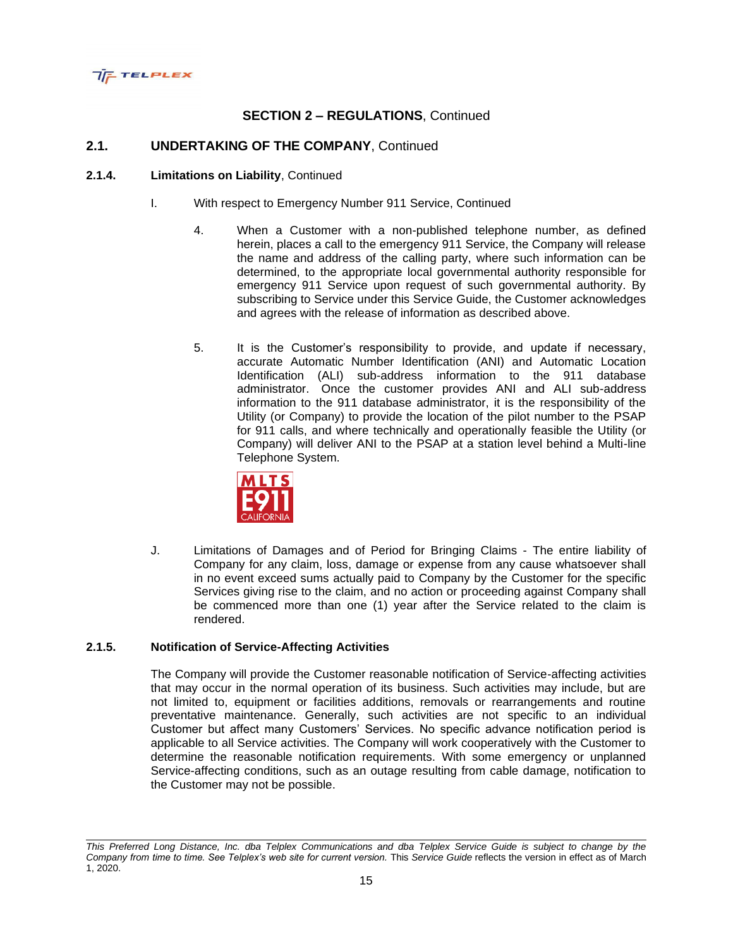

### **2.1. UNDERTAKING OF THE COMPANY**, Continued

#### **2.1.4. Limitations on Liability**, Continued

- I. With respect to Emergency Number 911 Service, Continued
	- 4. When a Customer with a non-published telephone number, as defined herein, places a call to the emergency 911 Service, the Company will release the name and address of the calling party, where such information can be determined, to the appropriate local governmental authority responsible for emergency 911 Service upon request of such governmental authority. By subscribing to Service under this Service Guide, the Customer acknowledges and agrees with the release of information as described above.
	- 5. It is the Customer's responsibility to provide, and update if necessary, accurate Automatic Number Identification (ANI) and Automatic Location Identification (ALI) sub-address information to the 911 database administrator. Once the customer provides ANI and ALI sub-address information to the 911 database administrator, it is the responsibility of the Utility (or Company) to provide the location of the pilot number to the PSAP for 911 calls, and where technically and operationally feasible the Utility (or Company) will deliver ANI to the PSAP at a station level behind a Multi-line Telephone System.



J. Limitations of Damages and of Period for Bringing Claims - The entire liability of Company for any claim, loss, damage or expense from any cause whatsoever shall in no event exceed sums actually paid to Company by the Customer for the specific Services giving rise to the claim, and no action or proceeding against Company shall be commenced more than one (1) year after the Service related to the claim is rendered.

#### **2.1.5. Notification of Service-Affecting Activities**

The Company will provide the Customer reasonable notification of Service-affecting activities that may occur in the normal operation of its business. Such activities may include, but are not limited to, equipment or facilities additions, removals or rearrangements and routine preventative maintenance. Generally, such activities are not specific to an individual Customer but affect many Customers' Services. No specific advance notification period is applicable to all Service activities. The Company will work cooperatively with the Customer to determine the reasonable notification requirements. With some emergency or unplanned Service-affecting conditions, such as an outage resulting from cable damage, notification to the Customer may not be possible.

*This Preferred Long Distance, Inc. dba Telplex Communications and dba Telplex Service Guide is subject to change by the Company from time to time. See Telplex's web site for current version.* This *Service Guide* reflects the version in effect as of March 1, 2020.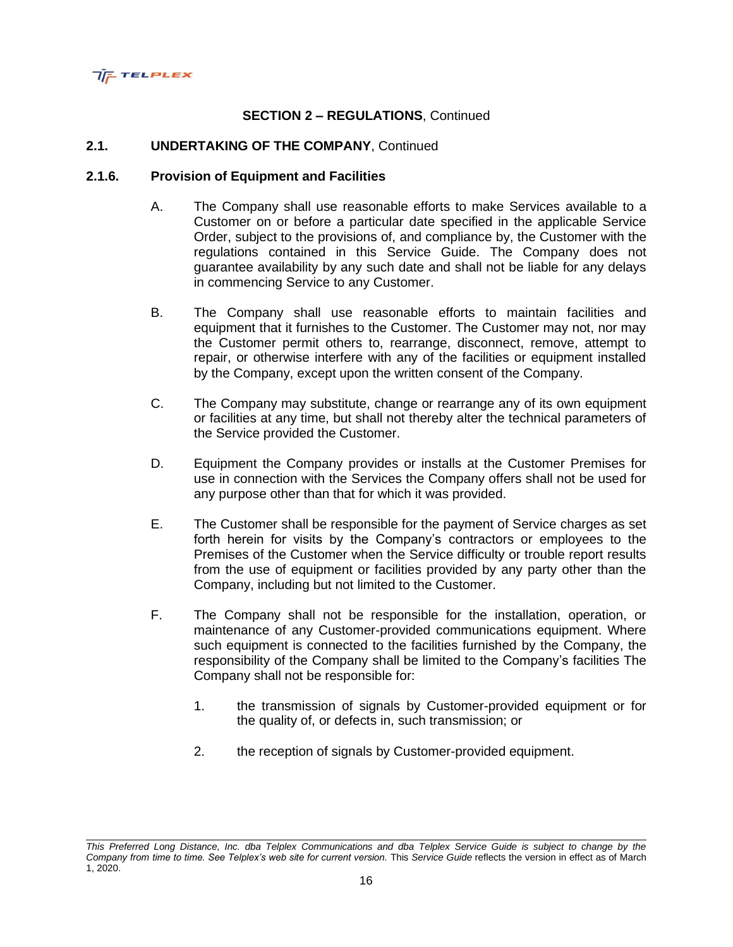

### **2.1. UNDERTAKING OF THE COMPANY**, Continued

#### **2.1.6. Provision of Equipment and Facilities**

- A. The Company shall use reasonable efforts to make Services available to a Customer on or before a particular date specified in the applicable Service Order, subject to the provisions of, and compliance by, the Customer with the regulations contained in this Service Guide. The Company does not guarantee availability by any such date and shall not be liable for any delays in commencing Service to any Customer.
- B. The Company shall use reasonable efforts to maintain facilities and equipment that it furnishes to the Customer. The Customer may not, nor may the Customer permit others to, rearrange, disconnect, remove, attempt to repair, or otherwise interfere with any of the facilities or equipment installed by the Company, except upon the written consent of the Company.
- C. The Company may substitute, change or rearrange any of its own equipment or facilities at any time, but shall not thereby alter the technical parameters of the Service provided the Customer.
- D. Equipment the Company provides or installs at the Customer Premises for use in connection with the Services the Company offers shall not be used for any purpose other than that for which it was provided.
- E. The Customer shall be responsible for the payment of Service charges as set forth herein for visits by the Company's contractors or employees to the Premises of the Customer when the Service difficulty or trouble report results from the use of equipment or facilities provided by any party other than the Company, including but not limited to the Customer.
- F. The Company shall not be responsible for the installation, operation, or maintenance of any Customer-provided communications equipment. Where such equipment is connected to the facilities furnished by the Company, the responsibility of the Company shall be limited to the Company's facilities The Company shall not be responsible for:
	- 1. the transmission of signals by Customer-provided equipment or for the quality of, or defects in, such transmission; or
	- 2. the reception of signals by Customer-provided equipment.

*This Preferred Long Distance, Inc. dba Telplex Communications and dba Telplex Service Guide is subject to change by the Company from time to time. See Telplex's web site for current version.* This *Service Guide* reflects the version in effect as of March 1, 2020.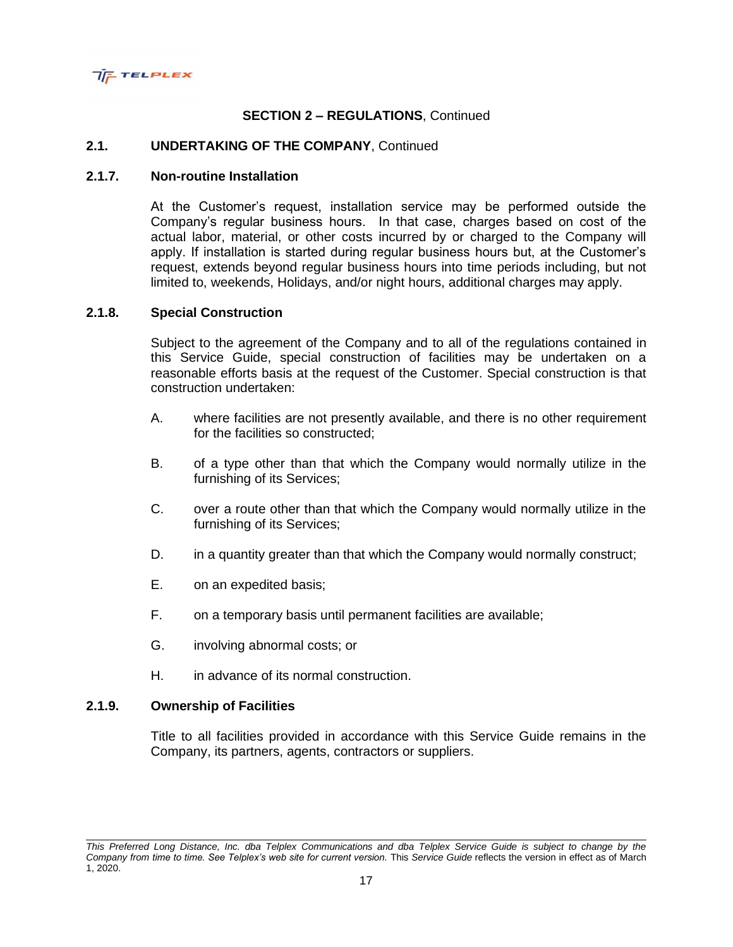

### **2.1. UNDERTAKING OF THE COMPANY**, Continued

### **2.1.7. Non-routine Installation**

At the Customer's request, installation service may be performed outside the Company's regular business hours. In that case, charges based on cost of the actual labor, material, or other costs incurred by or charged to the Company will apply. If installation is started during regular business hours but, at the Customer's request, extends beyond regular business hours into time periods including, but not limited to, weekends, Holidays, and/or night hours, additional charges may apply.

#### **2.1.8. Special Construction**

Subject to the agreement of the Company and to all of the regulations contained in this Service Guide, special construction of facilities may be undertaken on a reasonable efforts basis at the request of the Customer. Special construction is that construction undertaken:

- A. where facilities are not presently available, and there is no other requirement for the facilities so constructed;
- B. of a type other than that which the Company would normally utilize in the furnishing of its Services;
- C. over a route other than that which the Company would normally utilize in the furnishing of its Services;
- D. in a quantity greater than that which the Company would normally construct;
- E. on an expedited basis;
- F. on a temporary basis until permanent facilities are available;
- G. involving abnormal costs; or
- H. in advance of its normal construction.

### **2.1.9. Ownership of Facilities**

Title to all facilities provided in accordance with this Service Guide remains in the Company, its partners, agents, contractors or suppliers.

*This Preferred Long Distance, Inc. dba Telplex Communications and dba Telplex Service Guide is subject to change by the Company from time to time. See Telplex's web site for current version.* This *Service Guide* reflects the version in effect as of March 1, 2020.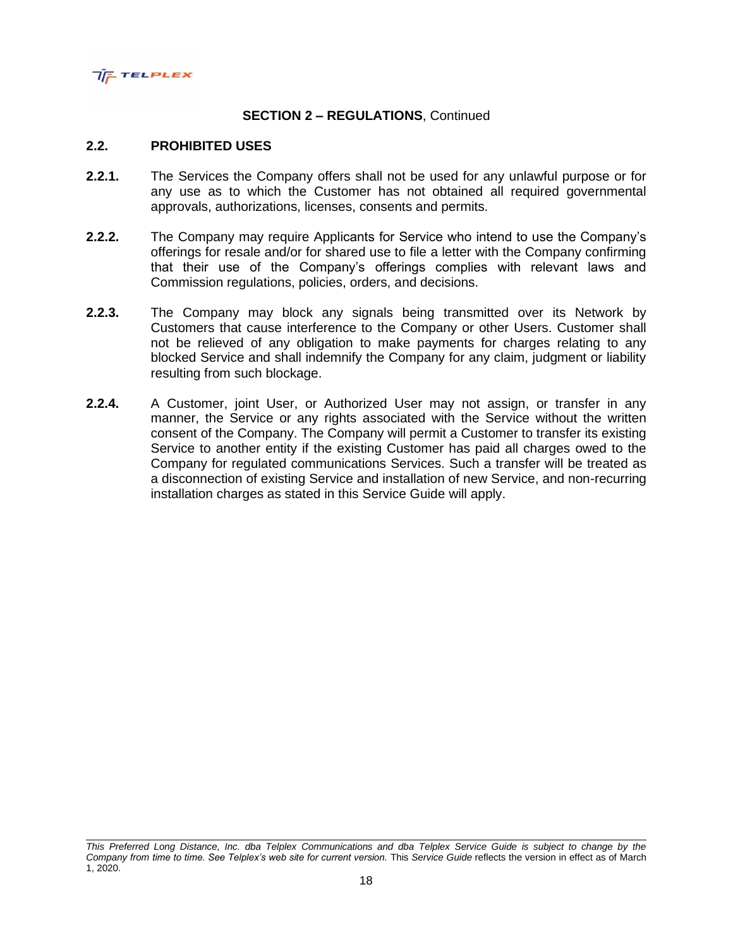

#### **2.2. PROHIBITED USES**

- **2.2.1.** The Services the Company offers shall not be used for any unlawful purpose or for any use as to which the Customer has not obtained all required governmental approvals, authorizations, licenses, consents and permits.
- **2.2.2.** The Company may require Applicants for Service who intend to use the Company's offerings for resale and/or for shared use to file a letter with the Company confirming that their use of the Company's offerings complies with relevant laws and Commission regulations, policies, orders, and decisions.
- **2.2.3.** The Company may block any signals being transmitted over its Network by Customers that cause interference to the Company or other Users. Customer shall not be relieved of any obligation to make payments for charges relating to any blocked Service and shall indemnify the Company for any claim, judgment or liability resulting from such blockage.
- **2.2.4.** A Customer, joint User, or Authorized User may not assign, or transfer in any manner, the Service or any rights associated with the Service without the written consent of the Company. The Company will permit a Customer to transfer its existing Service to another entity if the existing Customer has paid all charges owed to the Company for regulated communications Services. Such a transfer will be treated as a disconnection of existing Service and installation of new Service, and non-recurring installation charges as stated in this Service Guide will apply.

*This Preferred Long Distance, Inc. dba Telplex Communications and dba Telplex Service Guide is subject to change by the Company from time to time. See Telplex's web site for current version.* This *Service Guide* reflects the version in effect as of March 1, 2020.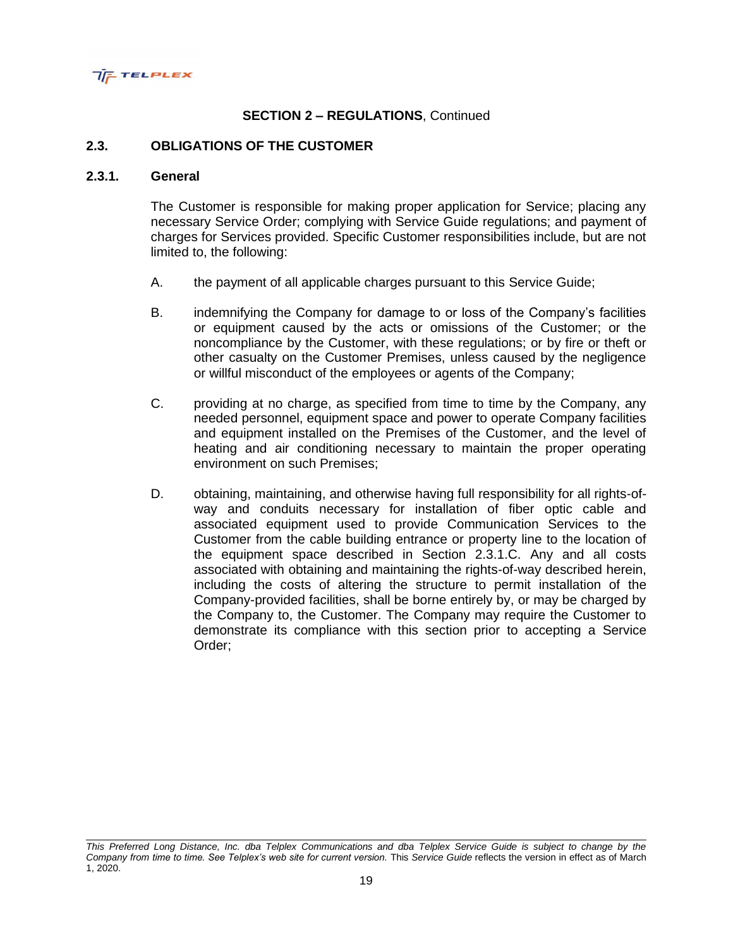

#### **2.3. OBLIGATIONS OF THE CUSTOMER**

#### **2.3.1. General**

The Customer is responsible for making proper application for Service; placing any necessary Service Order; complying with Service Guide regulations; and payment of charges for Services provided. Specific Customer responsibilities include, but are not limited to, the following:

- A. the payment of all applicable charges pursuant to this Service Guide;
- B. indemnifying the Company for damage to or loss of the Company's facilities or equipment caused by the acts or omissions of the Customer; or the noncompliance by the Customer, with these regulations; or by fire or theft or other casualty on the Customer Premises, unless caused by the negligence or willful misconduct of the employees or agents of the Company;
- C. providing at no charge, as specified from time to time by the Company, any needed personnel, equipment space and power to operate Company facilities and equipment installed on the Premises of the Customer, and the level of heating and air conditioning necessary to maintain the proper operating environment on such Premises;
- D. obtaining, maintaining, and otherwise having full responsibility for all rights-ofway and conduits necessary for installation of fiber optic cable and associated equipment used to provide Communication Services to the Customer from the cable building entrance or property line to the location of the equipment space described in Section 2.3.1.C. Any and all costs associated with obtaining and maintaining the rights-of-way described herein, including the costs of altering the structure to permit installation of the Company-provided facilities, shall be borne entirely by, or may be charged by the Company to, the Customer. The Company may require the Customer to demonstrate its compliance with this section prior to accepting a Service Order;

*This Preferred Long Distance, Inc. dba Telplex Communications and dba Telplex Service Guide is subject to change by the Company from time to time. See Telplex's web site for current version.* This *Service Guide* reflects the version in effect as of March 1, 2020.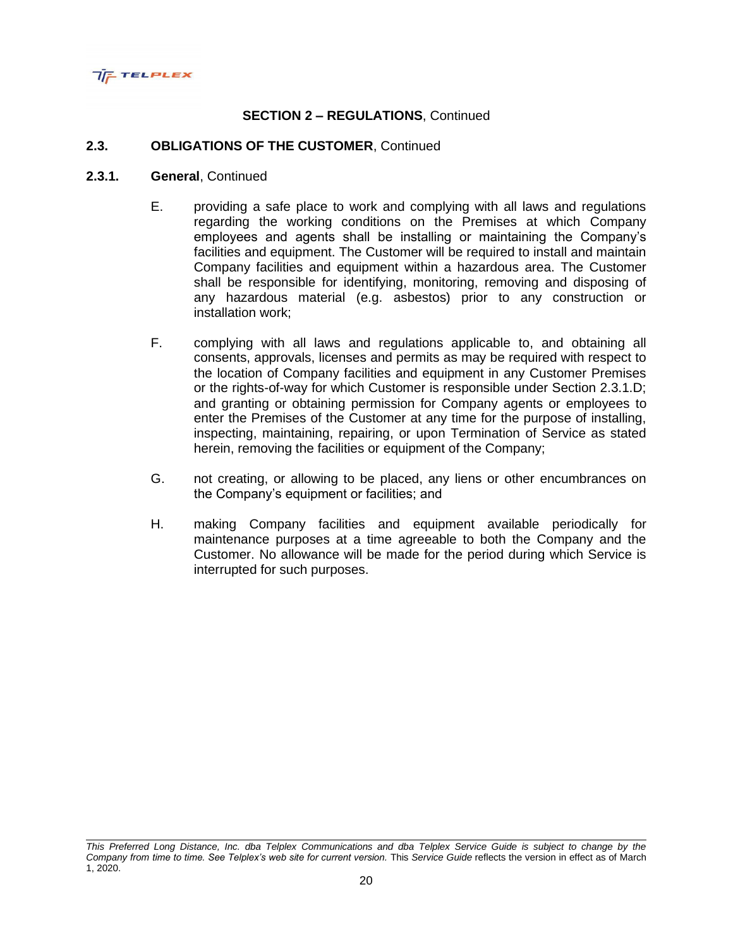

#### **2.3. OBLIGATIONS OF THE CUSTOMER**, Continued

#### **2.3.1. General**, Continued

- E. providing a safe place to work and complying with all laws and regulations regarding the working conditions on the Premises at which Company employees and agents shall be installing or maintaining the Company's facilities and equipment. The Customer will be required to install and maintain Company facilities and equipment within a hazardous area. The Customer shall be responsible for identifying, monitoring, removing and disposing of any hazardous material (e.g. asbestos) prior to any construction or installation work;
- F. complying with all laws and regulations applicable to, and obtaining all consents, approvals, licenses and permits as may be required with respect to the location of Company facilities and equipment in any Customer Premises or the rights-of-way for which Customer is responsible under Section 2.3.1.D; and granting or obtaining permission for Company agents or employees to enter the Premises of the Customer at any time for the purpose of installing, inspecting, maintaining, repairing, or upon Termination of Service as stated herein, removing the facilities or equipment of the Company;
- G. not creating, or allowing to be placed, any liens or other encumbrances on the Company's equipment or facilities; and
- H. making Company facilities and equipment available periodically for maintenance purposes at a time agreeable to both the Company and the Customer. No allowance will be made for the period during which Service is interrupted for such purposes.

*This Preferred Long Distance, Inc. dba Telplex Communications and dba Telplex Service Guide is subject to change by the Company from time to time. See Telplex's web site for current version.* This *Service Guide* reflects the version in effect as of March 1, 2020.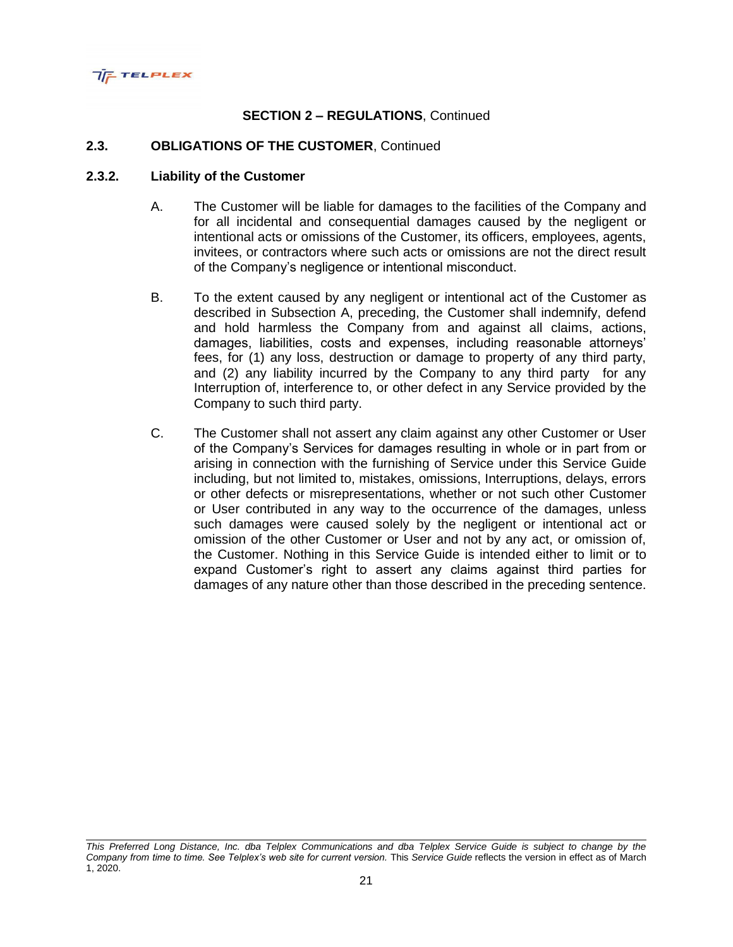

### **2.3. OBLIGATIONS OF THE CUSTOMER**, Continued

#### **2.3.2. Liability of the Customer**

- A. The Customer will be liable for damages to the facilities of the Company and for all incidental and consequential damages caused by the negligent or intentional acts or omissions of the Customer, its officers, employees, agents, invitees, or contractors where such acts or omissions are not the direct result of the Company's negligence or intentional misconduct.
- B. To the extent caused by any negligent or intentional act of the Customer as described in Subsection A, preceding, the Customer shall indemnify, defend and hold harmless the Company from and against all claims, actions, damages, liabilities, costs and expenses, including reasonable attorneys' fees, for (1) any loss, destruction or damage to property of any third party, and (2) any liability incurred by the Company to any third party for any Interruption of, interference to, or other defect in any Service provided by the Company to such third party.
- C. The Customer shall not assert any claim against any other Customer or User of the Company's Services for damages resulting in whole or in part from or arising in connection with the furnishing of Service under this Service Guide including, but not limited to, mistakes, omissions, Interruptions, delays, errors or other defects or misrepresentations, whether or not such other Customer or User contributed in any way to the occurrence of the damages, unless such damages were caused solely by the negligent or intentional act or omission of the other Customer or User and not by any act, or omission of, the Customer. Nothing in this Service Guide is intended either to limit or to expand Customer's right to assert any claims against third parties for damages of any nature other than those described in the preceding sentence.

*This Preferred Long Distance, Inc. dba Telplex Communications and dba Telplex Service Guide is subject to change by the Company from time to time. See Telplex's web site for current version.* This *Service Guide* reflects the version in effect as of March 1, 2020.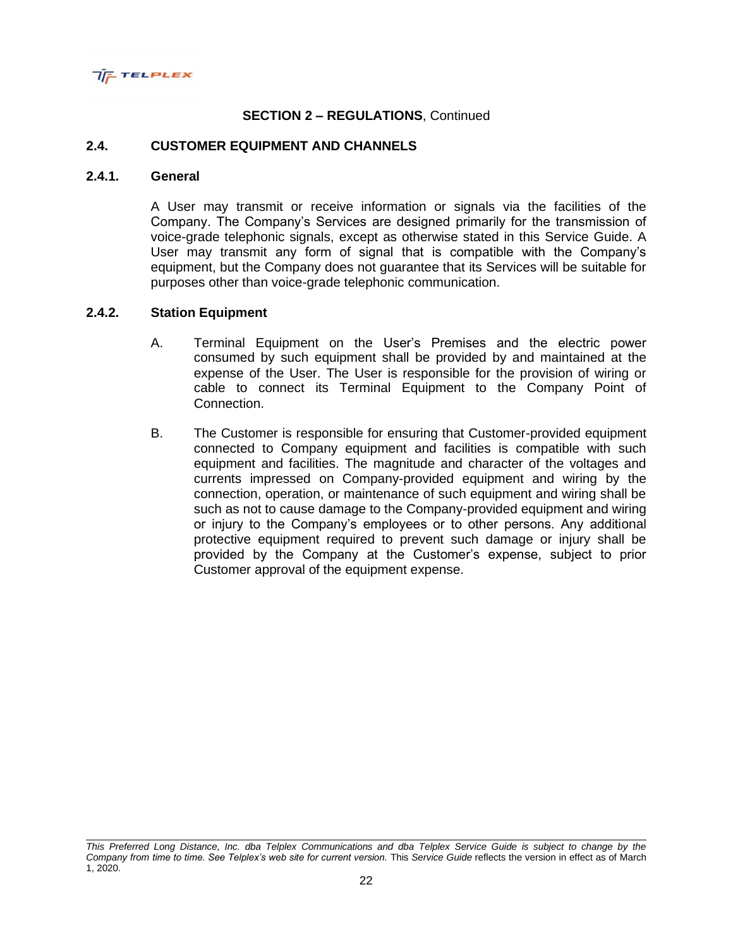

#### **2.4. CUSTOMER EQUIPMENT AND CHANNELS**

#### **2.4.1. General**

A User may transmit or receive information or signals via the facilities of the Company. The Company's Services are designed primarily for the transmission of voice-grade telephonic signals, except as otherwise stated in this Service Guide. A User may transmit any form of signal that is compatible with the Company's equipment, but the Company does not guarantee that its Services will be suitable for purposes other than voice-grade telephonic communication.

#### **2.4.2. Station Equipment**

- A. Terminal Equipment on the User's Premises and the electric power consumed by such equipment shall be provided by and maintained at the expense of the User. The User is responsible for the provision of wiring or cable to connect its Terminal Equipment to the Company Point of Connection.
- B. The Customer is responsible for ensuring that Customer-provided equipment connected to Company equipment and facilities is compatible with such equipment and facilities. The magnitude and character of the voltages and currents impressed on Company-provided equipment and wiring by the connection, operation, or maintenance of such equipment and wiring shall be such as not to cause damage to the Company-provided equipment and wiring or injury to the Company's employees or to other persons. Any additional protective equipment required to prevent such damage or injury shall be provided by the Company at the Customer's expense, subject to prior Customer approval of the equipment expense.

*This Preferred Long Distance, Inc. dba Telplex Communications and dba Telplex Service Guide is subject to change by the Company from time to time. See Telplex's web site for current version.* This *Service Guide* reflects the version in effect as of March 1, 2020.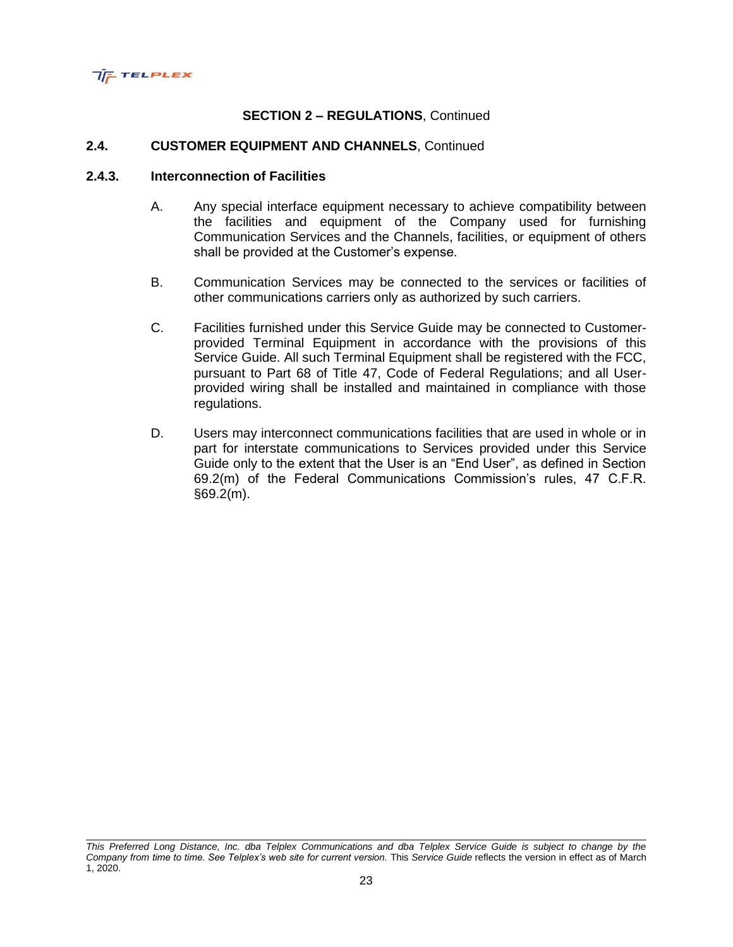

### **2.4. CUSTOMER EQUIPMENT AND CHANNELS**, Continued

### **2.4.3. Interconnection of Facilities**

- A. Any special interface equipment necessary to achieve compatibility between the facilities and equipment of the Company used for furnishing Communication Services and the Channels, facilities, or equipment of others shall be provided at the Customer's expense.
- B. Communication Services may be connected to the services or facilities of other communications carriers only as authorized by such carriers.
- C. Facilities furnished under this Service Guide may be connected to Customerprovided Terminal Equipment in accordance with the provisions of this Service Guide. All such Terminal Equipment shall be registered with the FCC, pursuant to Part 68 of Title 47, Code of Federal Regulations; and all Userprovided wiring shall be installed and maintained in compliance with those regulations.
- D. Users may interconnect communications facilities that are used in whole or in part for interstate communications to Services provided under this Service Guide only to the extent that the User is an "End User", as defined in Section 69.2(m) of the Federal Communications Commission's rules, 47 C.F.R. §69.2(m).

*This Preferred Long Distance, Inc. dba Telplex Communications and dba Telplex Service Guide is subject to change by the Company from time to time. See Telplex's web site for current version.* This *Service Guide* reflects the version in effect as of March 1, 2020.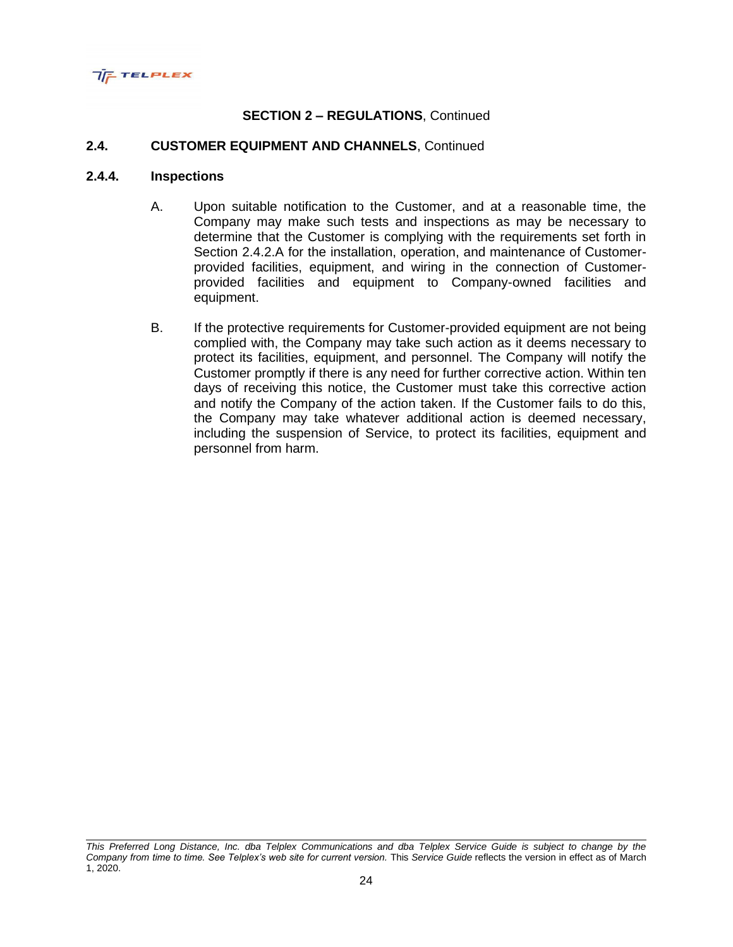

### **2.4. CUSTOMER EQUIPMENT AND CHANNELS**, Continued

### **2.4.4. Inspections**

- A. Upon suitable notification to the Customer, and at a reasonable time, the Company may make such tests and inspections as may be necessary to determine that the Customer is complying with the requirements set forth in Section 2.4.2.A for the installation, operation, and maintenance of Customerprovided facilities, equipment, and wiring in the connection of Customerprovided facilities and equipment to Company-owned facilities and equipment.
- B. If the protective requirements for Customer-provided equipment are not being complied with, the Company may take such action as it deems necessary to protect its facilities, equipment, and personnel. The Company will notify the Customer promptly if there is any need for further corrective action. Within ten days of receiving this notice, the Customer must take this corrective action and notify the Company of the action taken. If the Customer fails to do this, the Company may take whatever additional action is deemed necessary, including the suspension of Service, to protect its facilities, equipment and personnel from harm.

*This Preferred Long Distance, Inc. dba Telplex Communications and dba Telplex Service Guide is subject to change by the Company from time to time. See Telplex's web site for current version.* This *Service Guide* reflects the version in effect as of March 1, 2020.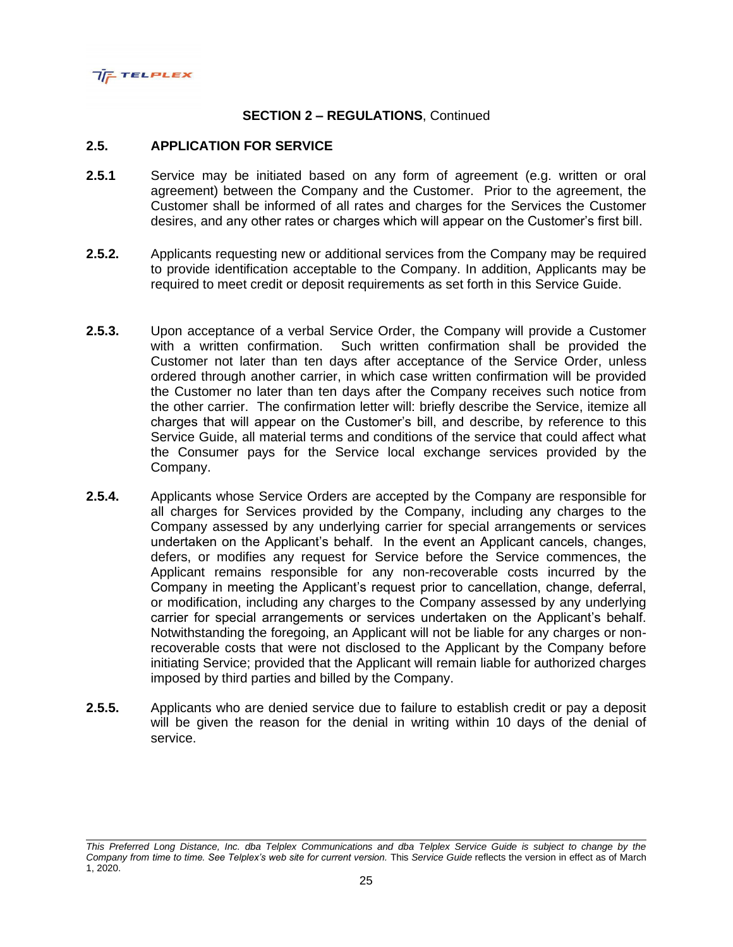

#### **2.5. APPLICATION FOR SERVICE**

- **2.5.1** Service may be initiated based on any form of agreement (e.g. written or oral agreement) between the Company and the Customer. Prior to the agreement, the Customer shall be informed of all rates and charges for the Services the Customer desires, and any other rates or charges which will appear on the Customer's first bill.
- **2.5.2.** Applicants requesting new or additional services from the Company may be required to provide identification acceptable to the Company. In addition, Applicants may be required to meet credit or deposit requirements as set forth in this Service Guide.
- **2.5.3.** Upon acceptance of a verbal Service Order, the Company will provide a Customer with a written confirmation. Such written confirmation shall be provided the Customer not later than ten days after acceptance of the Service Order, unless ordered through another carrier, in which case written confirmation will be provided the Customer no later than ten days after the Company receives such notice from the other carrier. The confirmation letter will: briefly describe the Service, itemize all charges that will appear on the Customer's bill, and describe, by reference to this Service Guide, all material terms and conditions of the service that could affect what the Consumer pays for the Service local exchange services provided by the Company.
- **2.5.4.** Applicants whose Service Orders are accepted by the Company are responsible for all charges for Services provided by the Company, including any charges to the Company assessed by any underlying carrier for special arrangements or services undertaken on the Applicant's behalf. In the event an Applicant cancels, changes, defers, or modifies any request for Service before the Service commences, the Applicant remains responsible for any non-recoverable costs incurred by the Company in meeting the Applicant's request prior to cancellation, change, deferral, or modification, including any charges to the Company assessed by any underlying carrier for special arrangements or services undertaken on the Applicant's behalf. Notwithstanding the foregoing, an Applicant will not be liable for any charges or nonrecoverable costs that were not disclosed to the Applicant by the Company before initiating Service; provided that the Applicant will remain liable for authorized charges imposed by third parties and billed by the Company.
- **2.5.5.** Applicants who are denied service due to failure to establish credit or pay a deposit will be given the reason for the denial in writing within 10 days of the denial of service.

*This Preferred Long Distance, Inc. dba Telplex Communications and dba Telplex Service Guide is subject to change by the Company from time to time. See Telplex's web site for current version.* This *Service Guide* reflects the version in effect as of March 1, 2020.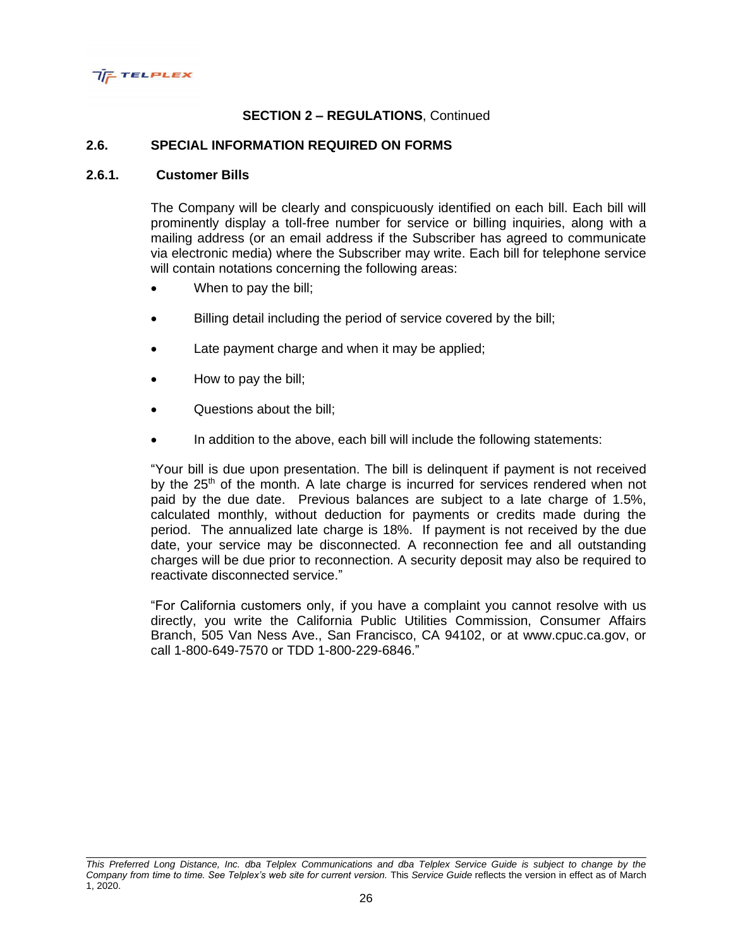

### **2.6. SPECIAL INFORMATION REQUIRED ON FORMS**

#### **2.6.1. Customer Bills**

The Company will be clearly and conspicuously identified on each bill. Each bill will prominently display a toll-free number for service or billing inquiries, along with a mailing address (or an email address if the Subscriber has agreed to communicate via electronic media) where the Subscriber may write. Each bill for telephone service will contain notations concerning the following areas:

- When to pay the bill;
- Billing detail including the period of service covered by the bill;
- Late payment charge and when it may be applied;
- How to pay the bill;
- Questions about the bill;
- In addition to the above, each bill will include the following statements:

"Your bill is due upon presentation. The bill is delinquent if payment is not received by the  $25<sup>th</sup>$  of the month. A late charge is incurred for services rendered when not paid by the due date. Previous balances are subject to a late charge of 1.5%, calculated monthly, without deduction for payments or credits made during the period. The annualized late charge is 18%. If payment is not received by the due date, your service may be disconnected. A reconnection fee and all outstanding charges will be due prior to reconnection. A security deposit may also be required to reactivate disconnected service."

"For California customers only, if you have a complaint you cannot resolve with us directly, you write the California Public Utilities Commission, Consumer Affairs Branch, 505 Van Ness Ave., San Francisco, CA 94102, or at www.cpuc.ca.gov, or call 1-800-649-7570 or TDD 1-800-229-6846."

*This Preferred Long Distance, Inc. dba Telplex Communications and dba Telplex Service Guide is subject to change by the Company from time to time. See Telplex's web site for current version.* This *Service Guide* reflects the version in effect as of March 1, 2020.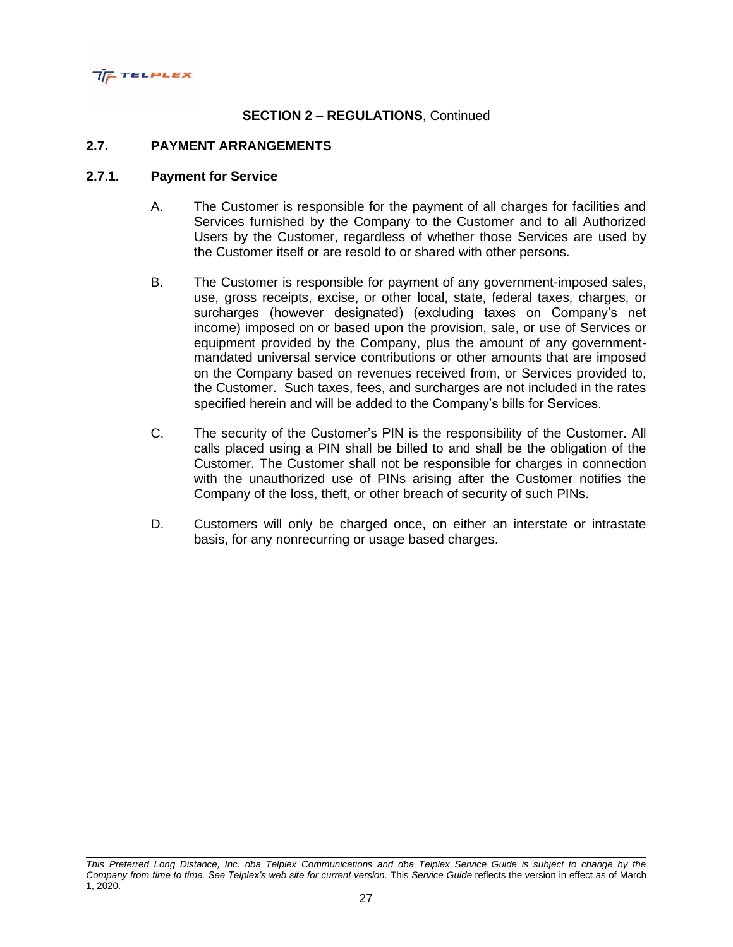

### **2.7. PAYMENT ARRANGEMENTS**

### **2.7.1. Payment for Service**

- A. The Customer is responsible for the payment of all charges for facilities and Services furnished by the Company to the Customer and to all Authorized Users by the Customer, regardless of whether those Services are used by the Customer itself or are resold to or shared with other persons.
- B. The Customer is responsible for payment of any government-imposed sales, use, gross receipts, excise, or other local, state, federal taxes, charges, or surcharges (however designated) (excluding taxes on Company's net income) imposed on or based upon the provision, sale, or use of Services or equipment provided by the Company, plus the amount of any governmentmandated universal service contributions or other amounts that are imposed on the Company based on revenues received from, or Services provided to, the Customer. Such taxes, fees, and surcharges are not included in the rates specified herein and will be added to the Company's bills for Services.
- C. The security of the Customer's PIN is the responsibility of the Customer. All calls placed using a PIN shall be billed to and shall be the obligation of the Customer. The Customer shall not be responsible for charges in connection with the unauthorized use of PINs arising after the Customer notifies the Company of the loss, theft, or other breach of security of such PINs.
- D. Customers will only be charged once, on either an interstate or intrastate basis, for any nonrecurring or usage based charges.

*This Preferred Long Distance, Inc. dba Telplex Communications and dba Telplex Service Guide is subject to change by the Company from time to time. See Telplex's web site for current version.* This *Service Guide* reflects the version in effect as of March 1, 2020.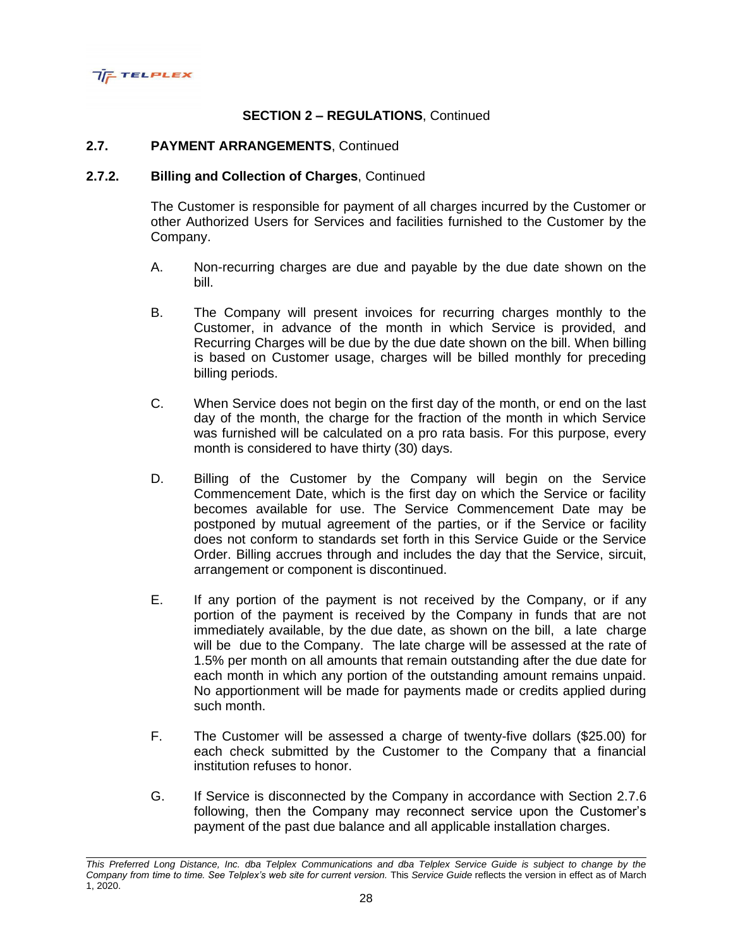

### **2.7. PAYMENT ARRANGEMENTS**, Continued

# **2.7.2. Billing and Collection of Charges**, Continued

The Customer is responsible for payment of all charges incurred by the Customer or other Authorized Users for Services and facilities furnished to the Customer by the Company.

- A. Non-recurring charges are due and payable by the due date shown on the bill.
- B. The Company will present invoices for recurring charges monthly to the Customer, in advance of the month in which Service is provided, and Recurring Charges will be due by the due date shown on the bill. When billing is based on Customer usage, charges will be billed monthly for preceding billing periods.
- C. When Service does not begin on the first day of the month, or end on the last day of the month, the charge for the fraction of the month in which Service was furnished will be calculated on a pro rata basis. For this purpose, every month is considered to have thirty (30) days.
- D. Billing of the Customer by the Company will begin on the Service Commencement Date, which is the first day on which the Service or facility becomes available for use. The Service Commencement Date may be postponed by mutual agreement of the parties, or if the Service or facility does not conform to standards set forth in this Service Guide or the Service Order. Billing accrues through and includes the day that the Service, sircuit, arrangement or component is discontinued.
- E. If any portion of the payment is not received by the Company, or if any portion of the payment is received by the Company in funds that are not immediately available, by the due date, as shown on the bill, a late charge will be due to the Company. The late charge will be assessed at the rate of 1.5% per month on all amounts that remain outstanding after the due date for each month in which any portion of the outstanding amount remains unpaid. No apportionment will be made for payments made or credits applied during such month.
- F. The Customer will be assessed a charge of twenty-five dollars (\$25.00) for each check submitted by the Customer to the Company that a financial institution refuses to honor.
- G. If Service is disconnected by the Company in accordance with Section 2.7.6 following, then the Company may reconnect service upon the Customer's payment of the past due balance and all applicable installation charges.

*This Preferred Long Distance, Inc. dba Telplex Communications and dba Telplex Service Guide is subject to change by the Company from time to time. See Telplex's web site for current version.* This *Service Guide* reflects the version in effect as of March 1, 2020.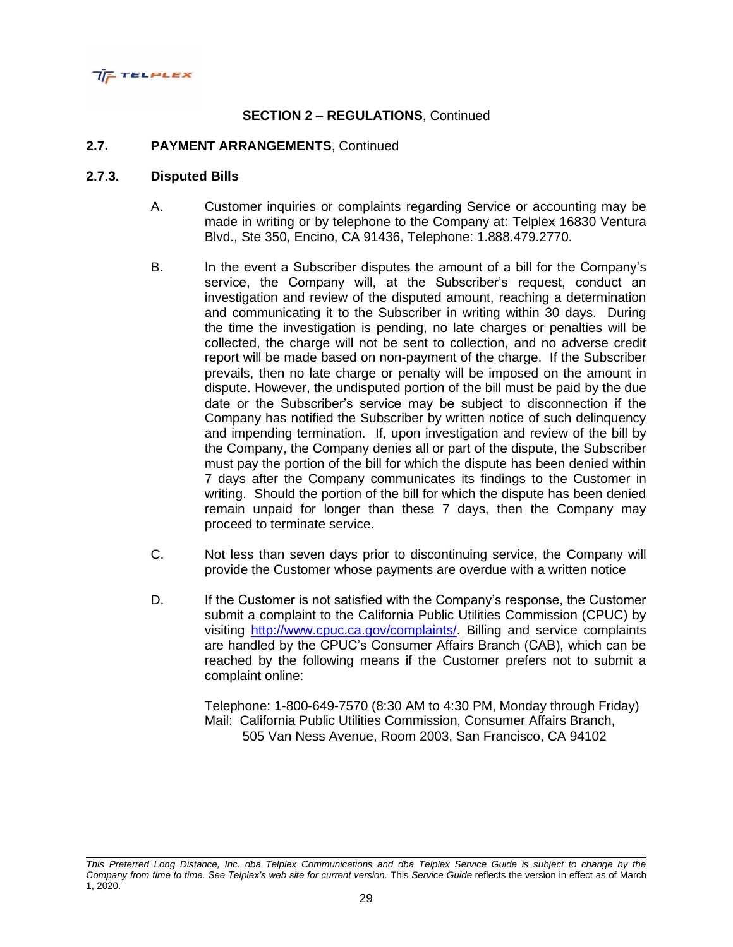

### **2.7. PAYMENT ARRANGEMENTS**, Continued

#### **2.7.3. Disputed Bills**

- A. Customer inquiries or complaints regarding Service or accounting may be made in writing or by telephone to the Company at: Telplex 16830 Ventura Blvd., Ste 350, Encino, CA 91436, Telephone: 1.888.479.2770.
- B. In the event a Subscriber disputes the amount of a bill for the Company's service, the Company will, at the Subscriber's request, conduct an investigation and review of the disputed amount, reaching a determination and communicating it to the Subscriber in writing within 30 days. During the time the investigation is pending, no late charges or penalties will be collected, the charge will not be sent to collection, and no adverse credit report will be made based on non-payment of the charge. If the Subscriber prevails, then no late charge or penalty will be imposed on the amount in dispute. However, the undisputed portion of the bill must be paid by the due date or the Subscriber's service may be subject to disconnection if the Company has notified the Subscriber by written notice of such delinquency and impending termination. If, upon investigation and review of the bill by the Company, the Company denies all or part of the dispute, the Subscriber must pay the portion of the bill for which the dispute has been denied within 7 days after the Company communicates its findings to the Customer in writing. Should the portion of the bill for which the dispute has been denied remain unpaid for longer than these 7 days, then the Company may proceed to terminate service.
- C. Not less than seven days prior to discontinuing service, the Company will provide the Customer whose payments are overdue with a written notice
- D. If the Customer is not satisfied with the Company's response, the Customer submit a complaint to the California Public Utilities Commission (CPUC) by visiting [http://www.cpuc.ca.gov/complaints/.](http://www.cpuc.ca.gov/complaints/) Billing and service complaints are handled by the CPUC's Consumer Affairs Branch (CAB), which can be reached by the following means if the Customer prefers not to submit a complaint online:

Telephone: 1-800-649-7570 (8:30 AM to 4:30 PM, Monday through Friday) Mail: California Public Utilities Commission, Consumer Affairs Branch, 505 Van Ness Avenue, Room 2003, San Francisco, CA 94102

*This Preferred Long Distance, Inc. dba Telplex Communications and dba Telplex Service Guide is subject to change by the Company from time to time. See Telplex's web site for current version.* This *Service Guide* reflects the version in effect as of March 1, 2020.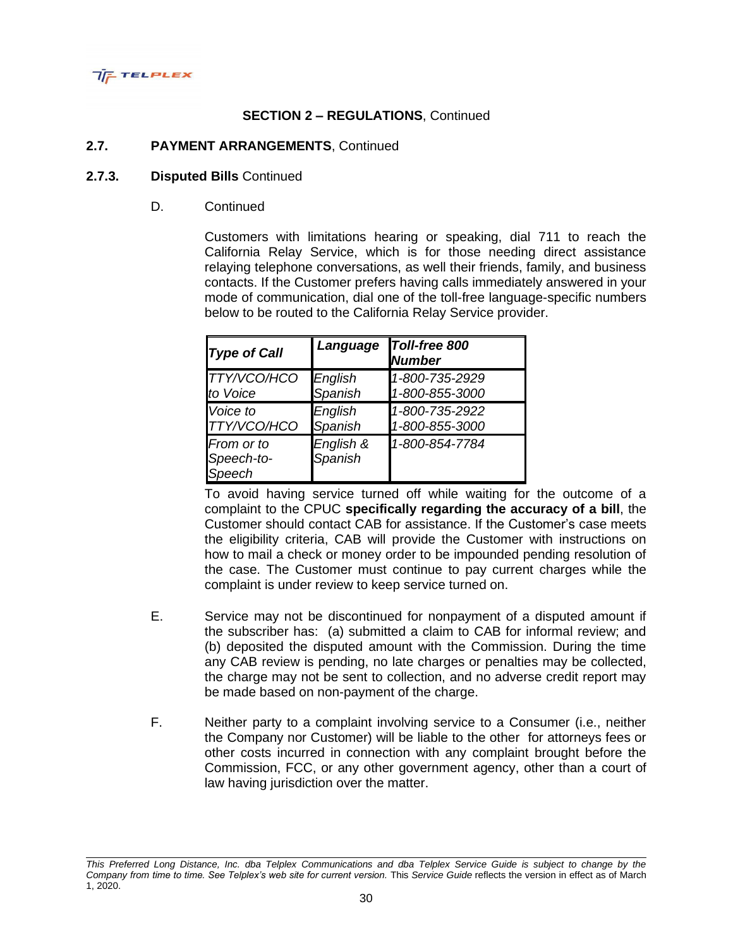

### **2.7. PAYMENT ARRANGEMENTS**, Continued

#### **2.7.3. Disputed Bills** Continued

D. Continued

Customers with limitations hearing or speaking, dial 711 to reach the California Relay Service, which is for those needing direct assistance relaying telephone conversations, as well their friends, family, and business contacts. If the Customer prefers having calls immediately answered in your mode of communication, dial one of the toll-free language-specific numbers below to be routed to the California Relay Service provider.

| <b>Type of Call</b>                | Language             | Toll-free 800<br><b>Number</b> |
|------------------------------------|----------------------|--------------------------------|
| TTY/VCO/HCO                        | English              | 1-800-735-2929                 |
| to Voice                           | Spanish              | 1-800-855-3000                 |
| Voice to                           | English              | 1-800-735-2922                 |
| TTY/VCO/HCO                        | Spanish              | 1-800-855-3000                 |
| From or to<br>Speech-to-<br>Speech | English &<br>Spanish | 1-800-854-7784                 |

To avoid having service turned off while waiting for the outcome of a complaint to the CPUC **specifically regarding the accuracy of a bill**, the Customer should contact CAB for assistance. If the Customer's case meets the eligibility criteria, CAB will provide the Customer with instructions on how to mail a check or money order to be impounded pending resolution of the case. The Customer must continue to pay current charges while the complaint is under review to keep service turned on.

- E. Service may not be discontinued for nonpayment of a disputed amount if the subscriber has: (a) submitted a claim to CAB for informal review; and (b) deposited the disputed amount with the Commission. During the time any CAB review is pending, no late charges or penalties may be collected, the charge may not be sent to collection, and no adverse credit report may be made based on non-payment of the charge.
- F. Neither party to a complaint involving service to a Consumer (i.e., neither the Company nor Customer) will be liable to the other for attorneys fees or other costs incurred in connection with any complaint brought before the Commission, FCC, or any other government agency, other than a court of law having jurisdiction over the matter.

*This Preferred Long Distance, Inc. dba Telplex Communications and dba Telplex Service Guide is subject to change by the Company from time to time. See Telplex's web site for current version.* This *Service Guide* reflects the version in effect as of March 1, 2020.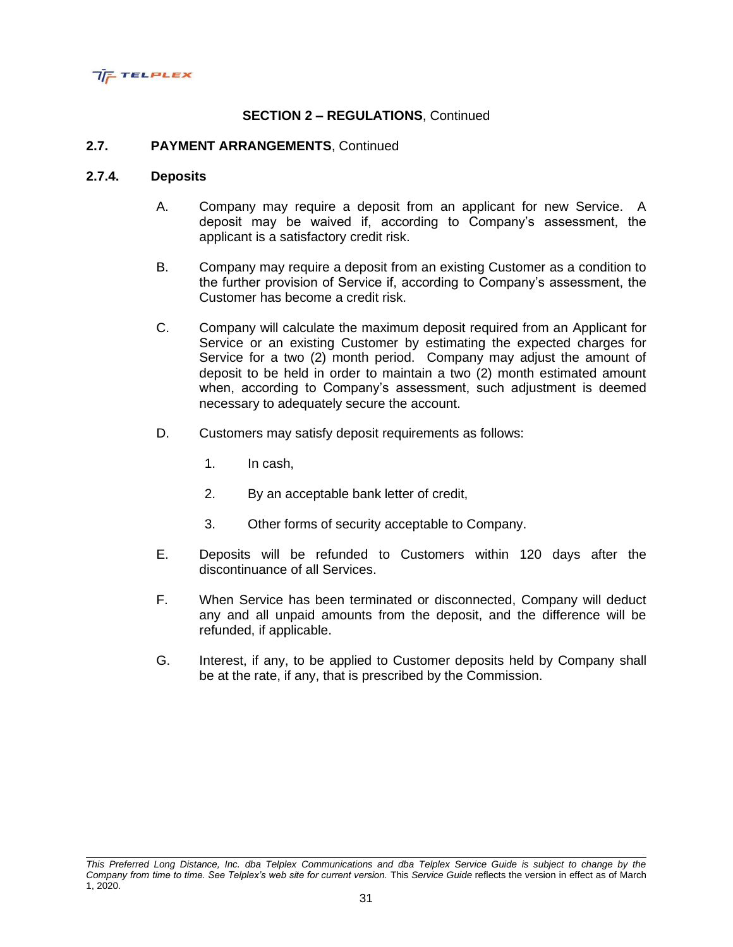

### **2.7. PAYMENT ARRANGEMENTS**, Continued

### **2.7.4. Deposits**

- A. Company may require a deposit from an applicant for new Service. A deposit may be waived if, according to Company's assessment, the applicant is a satisfactory credit risk.
- B. Company may require a deposit from an existing Customer as a condition to the further provision of Service if, according to Company's assessment, the Customer has become a credit risk.
- C. Company will calculate the maximum deposit required from an Applicant for Service or an existing Customer by estimating the expected charges for Service for a two (2) month period. Company may adjust the amount of deposit to be held in order to maintain a two (2) month estimated amount when, according to Company's assessment, such adjustment is deemed necessary to adequately secure the account.
- D. Customers may satisfy deposit requirements as follows:
	- 1. In cash,
	- 2. By an acceptable bank letter of credit,
	- 3. Other forms of security acceptable to Company.
- E. Deposits will be refunded to Customers within 120 days after the discontinuance of all Services.
- F. When Service has been terminated or disconnected, Company will deduct any and all unpaid amounts from the deposit, and the difference will be refunded, if applicable.
- G. Interest, if any, to be applied to Customer deposits held by Company shall be at the rate, if any, that is prescribed by the Commission.

*This Preferred Long Distance, Inc. dba Telplex Communications and dba Telplex Service Guide is subject to change by the Company from time to time. See Telplex's web site for current version.* This *Service Guide* reflects the version in effect as of March 1, 2020.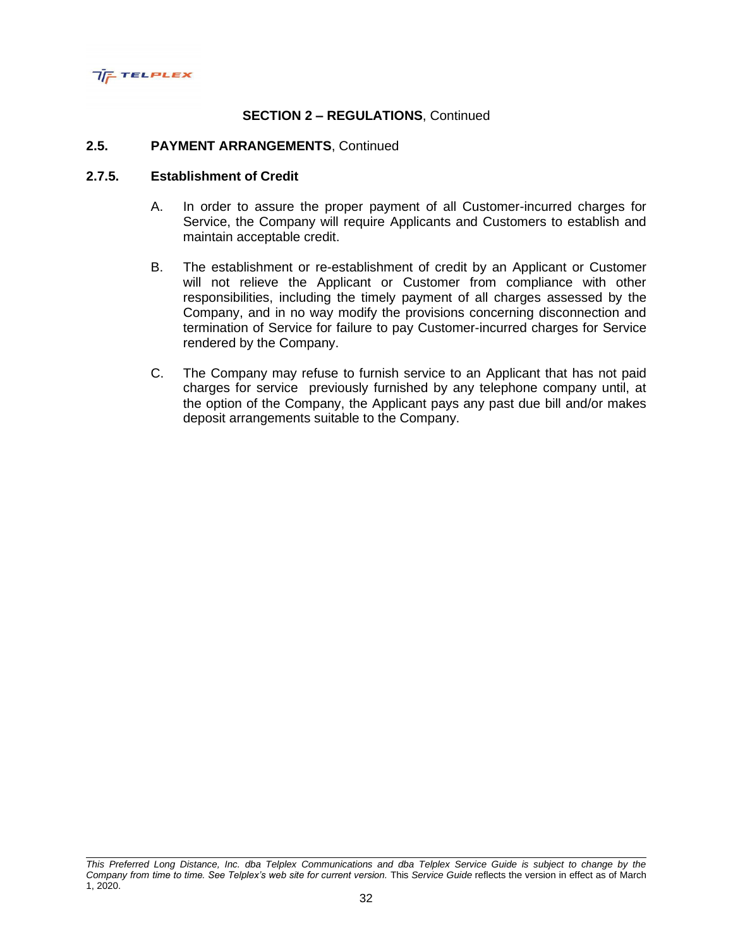

#### **2.5. PAYMENT ARRANGEMENTS**, Continued

#### **2.7.5. Establishment of Credit**

- A. In order to assure the proper payment of all Customer-incurred charges for Service, the Company will require Applicants and Customers to establish and maintain acceptable credit.
- B. The establishment or re-establishment of credit by an Applicant or Customer will not relieve the Applicant or Customer from compliance with other responsibilities, including the timely payment of all charges assessed by the Company, and in no way modify the provisions concerning disconnection and termination of Service for failure to pay Customer-incurred charges for Service rendered by the Company.
- C. The Company may refuse to furnish service to an Applicant that has not paid charges for service previously furnished by any telephone company until, at the option of the Company, the Applicant pays any past due bill and/or makes deposit arrangements suitable to the Company.

*This Preferred Long Distance, Inc. dba Telplex Communications and dba Telplex Service Guide is subject to change by the Company from time to time. See Telplex's web site for current version.* This *Service Guide* reflects the version in effect as of March 1, 2020.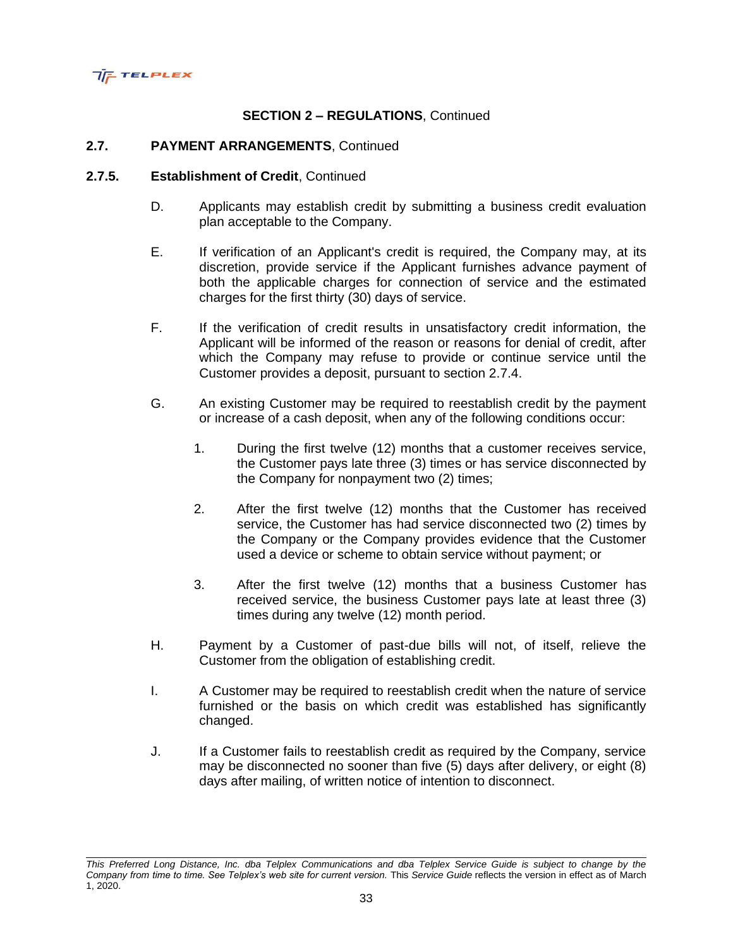

### **2.7. PAYMENT ARRANGEMENTS**, Continued

#### **2.7.5. Establishment of Credit**, Continued

- D. Applicants may establish credit by submitting a business credit evaluation plan acceptable to the Company.
- E. If verification of an Applicant's credit is required, the Company may, at its discretion, provide service if the Applicant furnishes advance payment of both the applicable charges for connection of service and the estimated charges for the first thirty (30) days of service.
- F. If the verification of credit results in unsatisfactory credit information, the Applicant will be informed of the reason or reasons for denial of credit, after which the Company may refuse to provide or continue service until the Customer provides a deposit, pursuant to section 2.7.4.
- G. An existing Customer may be required to reestablish credit by the payment or increase of a cash deposit, when any of the following conditions occur:
	- 1. During the first twelve (12) months that a customer receives service, the Customer pays late three (3) times or has service disconnected by the Company for nonpayment two (2) times;
	- 2. After the first twelve (12) months that the Customer has received service, the Customer has had service disconnected two (2) times by the Company or the Company provides evidence that the Customer used a device or scheme to obtain service without payment; or
	- 3. After the first twelve (12) months that a business Customer has received service, the business Customer pays late at least three (3) times during any twelve (12) month period.
- H. Payment by a Customer of past-due bills will not, of itself, relieve the Customer from the obligation of establishing credit.
- I. A Customer may be required to reestablish credit when the nature of service furnished or the basis on which credit was established has significantly changed.
- J. If a Customer fails to reestablish credit as required by the Company, service may be disconnected no sooner than five (5) days after delivery, or eight (8) days after mailing, of written notice of intention to disconnect.

*This Preferred Long Distance, Inc. dba Telplex Communications and dba Telplex Service Guide is subject to change by the Company from time to time. See Telplex's web site for current version.* This *Service Guide* reflects the version in effect as of March 1, 2020.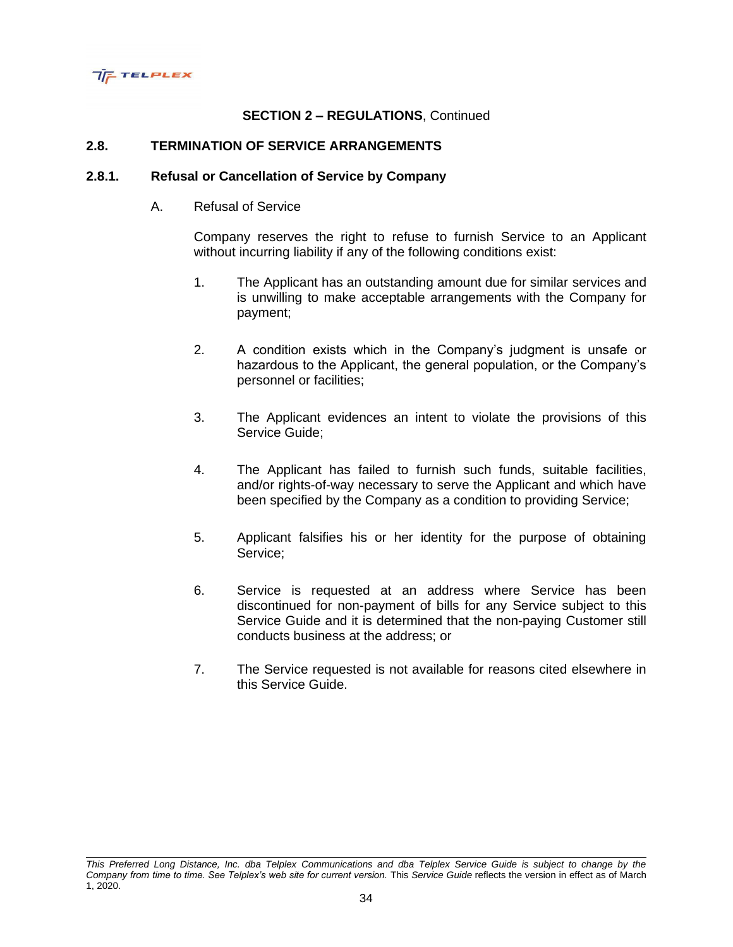

### **2.8. TERMINATION OF SERVICE ARRANGEMENTS**

#### **2.8.1. Refusal or Cancellation of Service by Company**

A. Refusal of Service

Company reserves the right to refuse to furnish Service to an Applicant without incurring liability if any of the following conditions exist:

- 1. The Applicant has an outstanding amount due for similar services and is unwilling to make acceptable arrangements with the Company for payment;
- 2. A condition exists which in the Company's judgment is unsafe or hazardous to the Applicant, the general population, or the Company's personnel or facilities;
- 3. The Applicant evidences an intent to violate the provisions of this Service Guide;
- 4. The Applicant has failed to furnish such funds, suitable facilities, and/or rights-of-way necessary to serve the Applicant and which have been specified by the Company as a condition to providing Service;
- 5. Applicant falsifies his or her identity for the purpose of obtaining Service;
- 6. Service is requested at an address where Service has been discontinued for non-payment of bills for any Service subject to this Service Guide and it is determined that the non-paying Customer still conducts business at the address; or
- 7. The Service requested is not available for reasons cited elsewhere in this Service Guide.

*This Preferred Long Distance, Inc. dba Telplex Communications and dba Telplex Service Guide is subject to change by the Company from time to time. See Telplex's web site for current version.* This *Service Guide* reflects the version in effect as of March 1, 2020.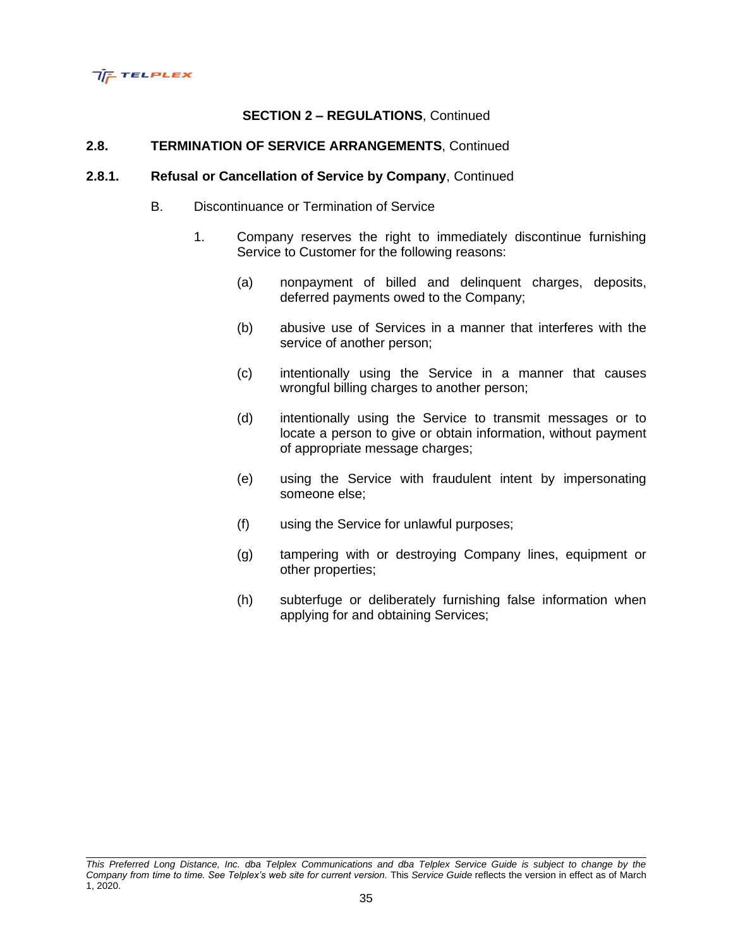

### **2.8. TERMINATION OF SERVICE ARRANGEMENTS**, Continued

#### **2.8.1. Refusal or Cancellation of Service by Company**, Continued

- B. Discontinuance or Termination of Service
	- 1. Company reserves the right to immediately discontinue furnishing Service to Customer for the following reasons:
		- (a) nonpayment of billed and delinquent charges, deposits, deferred payments owed to the Company;
		- (b) abusive use of Services in a manner that interferes with the service of another person;
		- (c) intentionally using the Service in a manner that causes wrongful billing charges to another person;
		- (d) intentionally using the Service to transmit messages or to locate a person to give or obtain information, without payment of appropriate message charges;
		- (e) using the Service with fraudulent intent by impersonating someone else;
		- (f) using the Service for unlawful purposes;
		- (g) tampering with or destroying Company lines, equipment or other properties;
		- (h) subterfuge or deliberately furnishing false information when applying for and obtaining Services;

*This Preferred Long Distance, Inc. dba Telplex Communications and dba Telplex Service Guide is subject to change by the Company from time to time. See Telplex's web site for current version.* This *Service Guide* reflects the version in effect as of March 1, 2020.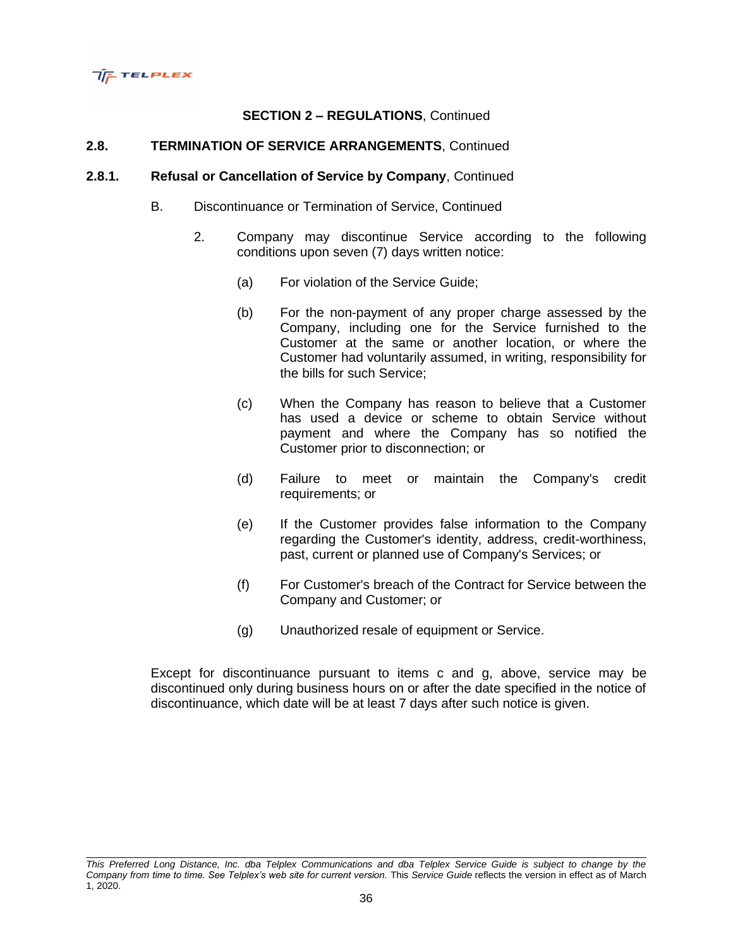

# **2.8. TERMINATION OF SERVICE ARRANGEMENTS**, Continued

#### **2.8.1. Refusal or Cancellation of Service by Company**, Continued

- B. Discontinuance or Termination of Service, Continued
	- 2. Company may discontinue Service according to the following conditions upon seven (7) days written notice:
		- (a) For violation of the Service Guide;
		- (b) For the non-payment of any proper charge assessed by the Company, including one for the Service furnished to the Customer at the same or another location, or where the Customer had voluntarily assumed, in writing, responsibility for the bills for such Service;
		- (c) When the Company has reason to believe that a Customer has used a device or scheme to obtain Service without payment and where the Company has so notified the Customer prior to disconnection; or
		- (d) Failure to meet or maintain the Company's credit requirements; or
		- (e) If the Customer provides false information to the Company regarding the Customer's identity, address, credit-worthiness, past, current or planned use of Company's Services; or
		- (f) For Customer's breach of the Contract for Service between the Company and Customer; or
		- (g) Unauthorized resale of equipment or Service.

Except for discontinuance pursuant to items c and g, above, service may be discontinued only during business hours on or after the date specified in the notice of discontinuance, which date will be at least 7 days after such notice is given.

*This Preferred Long Distance, Inc. dba Telplex Communications and dba Telplex Service Guide is subject to change by the Company from time to time. See Telplex's web site for current version.* This *Service Guide* reflects the version in effect as of March 1, 2020.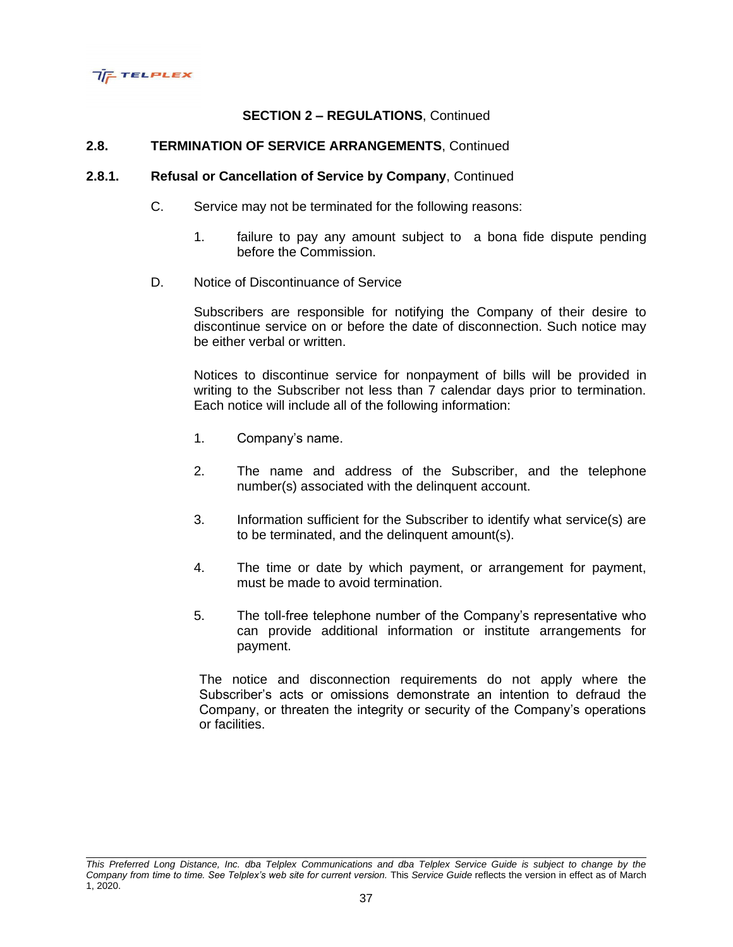

### **2.8. TERMINATION OF SERVICE ARRANGEMENTS**, Continued

#### **2.8.1. Refusal or Cancellation of Service by Company**, Continued

- C. Service may not be terminated for the following reasons:
	- 1. failure to pay any amount subject to a bona fide dispute pending before the Commission.
- D. Notice of Discontinuance of Service

Subscribers are responsible for notifying the Company of their desire to discontinue service on or before the date of disconnection. Such notice may be either verbal or written.

Notices to discontinue service for nonpayment of bills will be provided in writing to the Subscriber not less than 7 calendar days prior to termination. Each notice will include all of the following information:

- 1. Company's name.
- 2. The name and address of the Subscriber, and the telephone number(s) associated with the delinquent account.
- 3. Information sufficient for the Subscriber to identify what service(s) are to be terminated, and the delinquent amount(s).
- 4. The time or date by which payment, or arrangement for payment, must be made to avoid termination.
- 5. The toll-free telephone number of the Company's representative who can provide additional information or institute arrangements for payment.

The notice and disconnection requirements do not apply where the Subscriber's acts or omissions demonstrate an intention to defraud the Company, or threaten the integrity or security of the Company's operations or facilities.

*This Preferred Long Distance, Inc. dba Telplex Communications and dba Telplex Service Guide is subject to change by the Company from time to time. See Telplex's web site for current version.* This *Service Guide* reflects the version in effect as of March 1, 2020.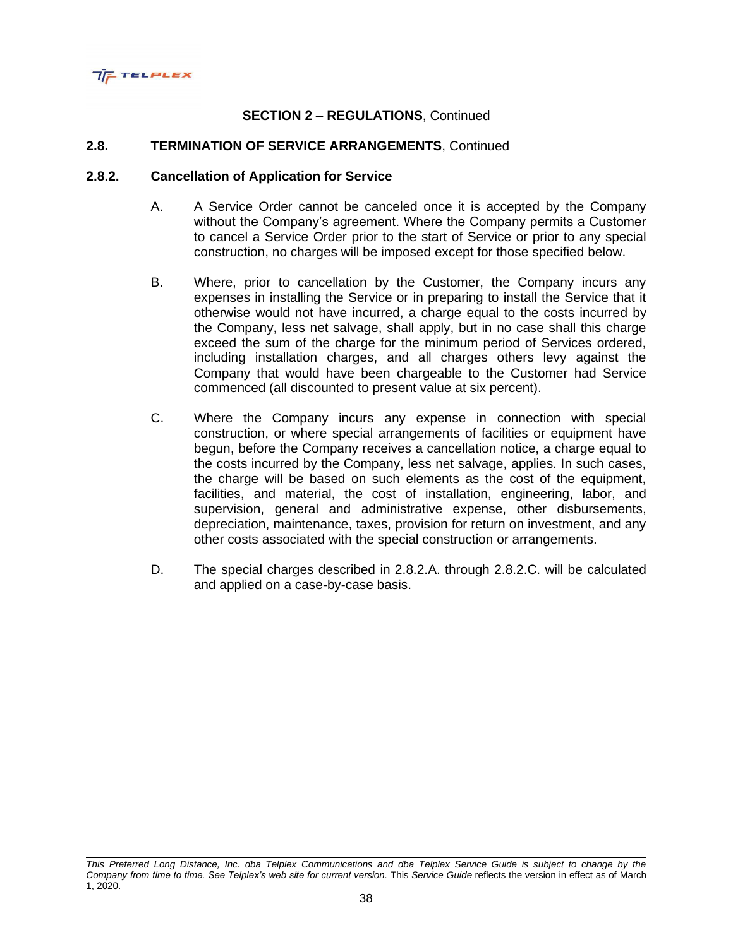

#### **2.8. TERMINATION OF SERVICE ARRANGEMENTS**, Continued

#### **2.8.2. Cancellation of Application for Service**

- A. A Service Order cannot be canceled once it is accepted by the Company without the Company's agreement. Where the Company permits a Customer to cancel a Service Order prior to the start of Service or prior to any special construction, no charges will be imposed except for those specified below.
- B. Where, prior to cancellation by the Customer, the Company incurs any expenses in installing the Service or in preparing to install the Service that it otherwise would not have incurred, a charge equal to the costs incurred by the Company, less net salvage, shall apply, but in no case shall this charge exceed the sum of the charge for the minimum period of Services ordered, including installation charges, and all charges others levy against the Company that would have been chargeable to the Customer had Service commenced (all discounted to present value at six percent).
- C. Where the Company incurs any expense in connection with special construction, or where special arrangements of facilities or equipment have begun, before the Company receives a cancellation notice, a charge equal to the costs incurred by the Company, less net salvage, applies. In such cases, the charge will be based on such elements as the cost of the equipment, facilities, and material, the cost of installation, engineering, labor, and supervision, general and administrative expense, other disbursements, depreciation, maintenance, taxes, provision for return on investment, and any other costs associated with the special construction or arrangements.
- D. The special charges described in 2.8.2.A. through 2.8.2.C. will be calculated and applied on a case-by-case basis.

*This Preferred Long Distance, Inc. dba Telplex Communications and dba Telplex Service Guide is subject to change by the Company from time to time. See Telplex's web site for current version.* This *Service Guide* reflects the version in effect as of March 1, 2020.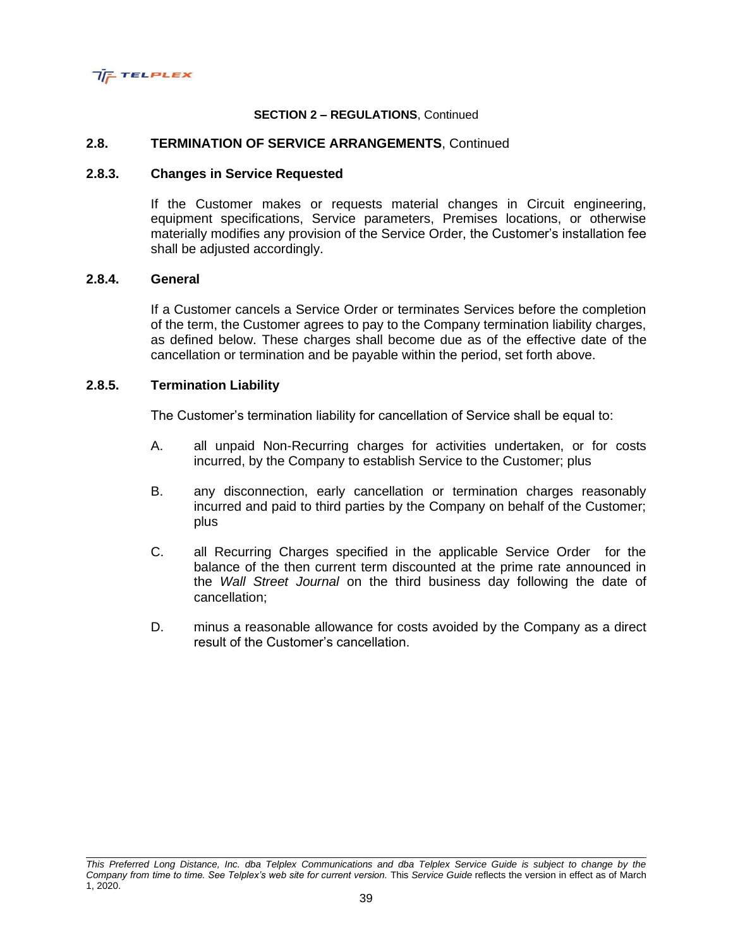

### **2.8. TERMINATION OF SERVICE ARRANGEMENTS**, Continued

### **2.8.3. Changes in Service Requested**

If the Customer makes or requests material changes in Circuit engineering, equipment specifications, Service parameters, Premises locations, or otherwise materially modifies any provision of the Service Order, the Customer's installation fee shall be adjusted accordingly.

### **2.8.4. General**

If a Customer cancels a Service Order or terminates Services before the completion of the term, the Customer agrees to pay to the Company termination liability charges, as defined below. These charges shall become due as of the effective date of the cancellation or termination and be payable within the period, set forth above.

#### **2.8.5. Termination Liability**

The Customer's termination liability for cancellation of Service shall be equal to:

- A. all unpaid Non-Recurring charges for activities undertaken, or for costs incurred, by the Company to establish Service to the Customer; plus
- B. any disconnection, early cancellation or termination charges reasonably incurred and paid to third parties by the Company on behalf of the Customer; plus
- C. all Recurring Charges specified in the applicable Service Order for the balance of the then current term discounted at the prime rate announced in the *Wall Street Journal* on the third business day following the date of cancellation;
- D. minus a reasonable allowance for costs avoided by the Company as a direct result of the Customer's cancellation.

*This Preferred Long Distance, Inc. dba Telplex Communications and dba Telplex Service Guide is subject to change by the Company from time to time. See Telplex's web site for current version.* This *Service Guide* reflects the version in effect as of March 1, 2020.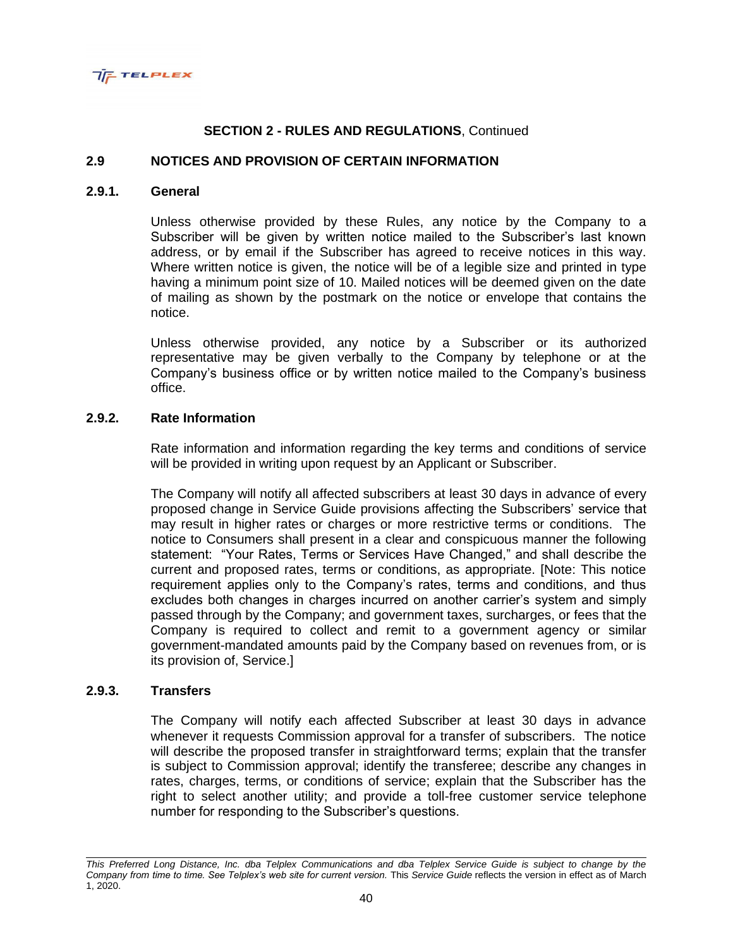

### **2.9 NOTICES AND PROVISION OF CERTAIN INFORMATION**

### **2.9.1. General**

Unless otherwise provided by these Rules, any notice by the Company to a Subscriber will be given by written notice mailed to the Subscriber's last known address, or by email if the Subscriber has agreed to receive notices in this way. Where written notice is given, the notice will be of a legible size and printed in type having a minimum point size of 10. Mailed notices will be deemed given on the date of mailing as shown by the postmark on the notice or envelope that contains the notice.

Unless otherwise provided, any notice by a Subscriber or its authorized representative may be given verbally to the Company by telephone or at the Company's business office or by written notice mailed to the Company's business office.

### **2.9.2. Rate Information**

Rate information and information regarding the key terms and conditions of service will be provided in writing upon request by an Applicant or Subscriber.

The Company will notify all affected subscribers at least 30 days in advance of every proposed change in Service Guide provisions affecting the Subscribers' service that may result in higher rates or charges or more restrictive terms or conditions. The notice to Consumers shall present in a clear and conspicuous manner the following statement: "Your Rates, Terms or Services Have Changed," and shall describe the current and proposed rates, terms or conditions, as appropriate. [Note: This notice requirement applies only to the Company's rates, terms and conditions, and thus excludes both changes in charges incurred on another carrier's system and simply passed through by the Company; and government taxes, surcharges, or fees that the Company is required to collect and remit to a government agency or similar government-mandated amounts paid by the Company based on revenues from, or is its provision of, Service.]

## **2.9.3. Transfers**

The Company will notify each affected Subscriber at least 30 days in advance whenever it requests Commission approval for a transfer of subscribers. The notice will describe the proposed transfer in straightforward terms; explain that the transfer is subject to Commission approval; identify the transferee; describe any changes in rates, charges, terms, or conditions of service; explain that the Subscriber has the right to select another utility; and provide a toll-free customer service telephone number for responding to the Subscriber's questions.

*This Preferred Long Distance, Inc. dba Telplex Communications and dba Telplex Service Guide is subject to change by the Company from time to time. See Telplex's web site for current version.* This *Service Guide* reflects the version in effect as of March 1, 2020.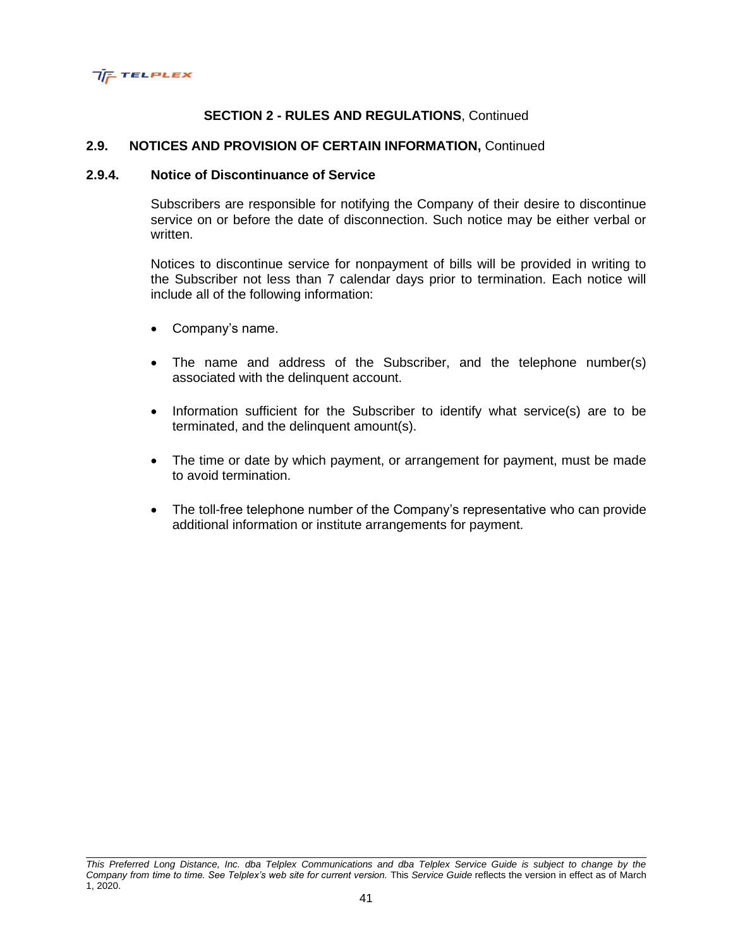

## **2.9. NOTICES AND PROVISION OF CERTAIN INFORMATION,** Continued

#### **2.9.4. Notice of Discontinuance of Service**

Subscribers are responsible for notifying the Company of their desire to discontinue service on or before the date of disconnection. Such notice may be either verbal or written.

Notices to discontinue service for nonpayment of bills will be provided in writing to the Subscriber not less than 7 calendar days prior to termination. Each notice will include all of the following information:

- Company's name.
- The name and address of the Subscriber, and the telephone number(s) associated with the delinquent account.
- Information sufficient for the Subscriber to identify what service(s) are to be terminated, and the delinquent amount(s).
- The time or date by which payment, or arrangement for payment, must be made to avoid termination.
- The toll-free telephone number of the Company's representative who can provide additional information or institute arrangements for payment.

*This Preferred Long Distance, Inc. dba Telplex Communications and dba Telplex Service Guide is subject to change by the Company from time to time. See Telplex's web site for current version.* This *Service Guide* reflects the version in effect as of March 1, 2020.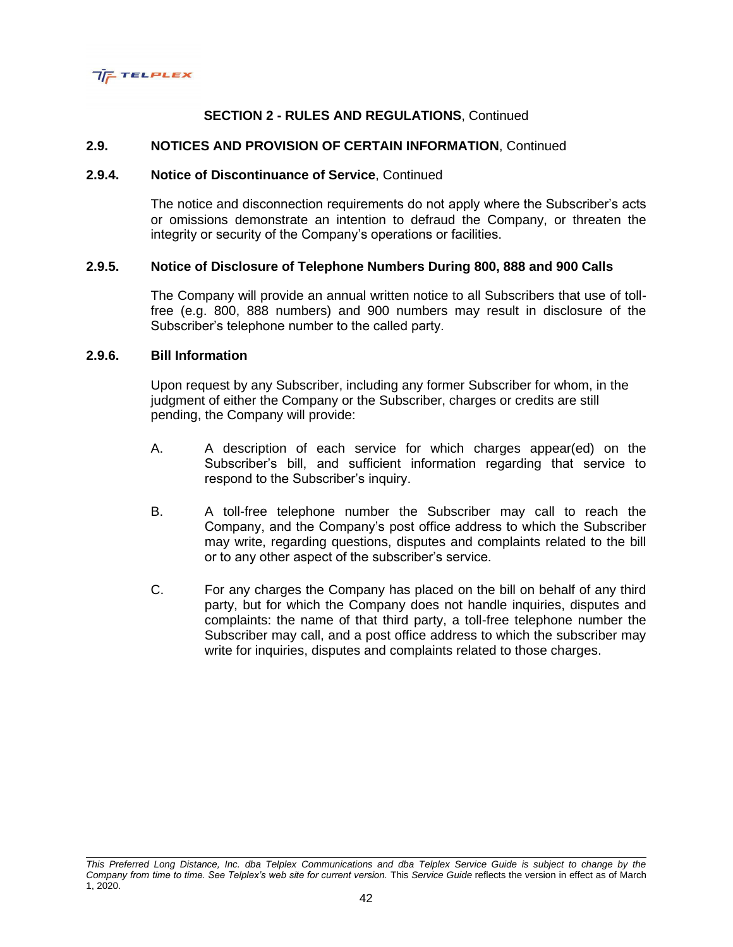

## **2.9. NOTICES AND PROVISION OF CERTAIN INFORMATION**, Continued

#### **2.9.4. Notice of Discontinuance of Service**, Continued

The notice and disconnection requirements do not apply where the Subscriber's acts or omissions demonstrate an intention to defraud the Company, or threaten the integrity or security of the Company's operations or facilities.

### **2.9.5. Notice of Disclosure of Telephone Numbers During 800, 888 and 900 Calls**

The Company will provide an annual written notice to all Subscribers that use of tollfree (e.g. 800, 888 numbers) and 900 numbers may result in disclosure of the Subscriber's telephone number to the called party.

## **2.9.6. Bill Information**

Upon request by any Subscriber, including any former Subscriber for whom, in the judgment of either the Company or the Subscriber, charges or credits are still pending, the Company will provide:

- A. A description of each service for which charges appear(ed) on the Subscriber's bill, and sufficient information regarding that service to respond to the Subscriber's inquiry.
- B. A toll-free telephone number the Subscriber may call to reach the Company, and the Company's post office address to which the Subscriber may write, regarding questions, disputes and complaints related to the bill or to any other aspect of the subscriber's service.
- C. For any charges the Company has placed on the bill on behalf of any third party, but for which the Company does not handle inquiries, disputes and complaints: the name of that third party, a toll-free telephone number the Subscriber may call, and a post office address to which the subscriber may write for inquiries, disputes and complaints related to those charges.

*This Preferred Long Distance, Inc. dba Telplex Communications and dba Telplex Service Guide is subject to change by the Company from time to time. See Telplex's web site for current version.* This *Service Guide* reflects the version in effect as of March 1, 2020.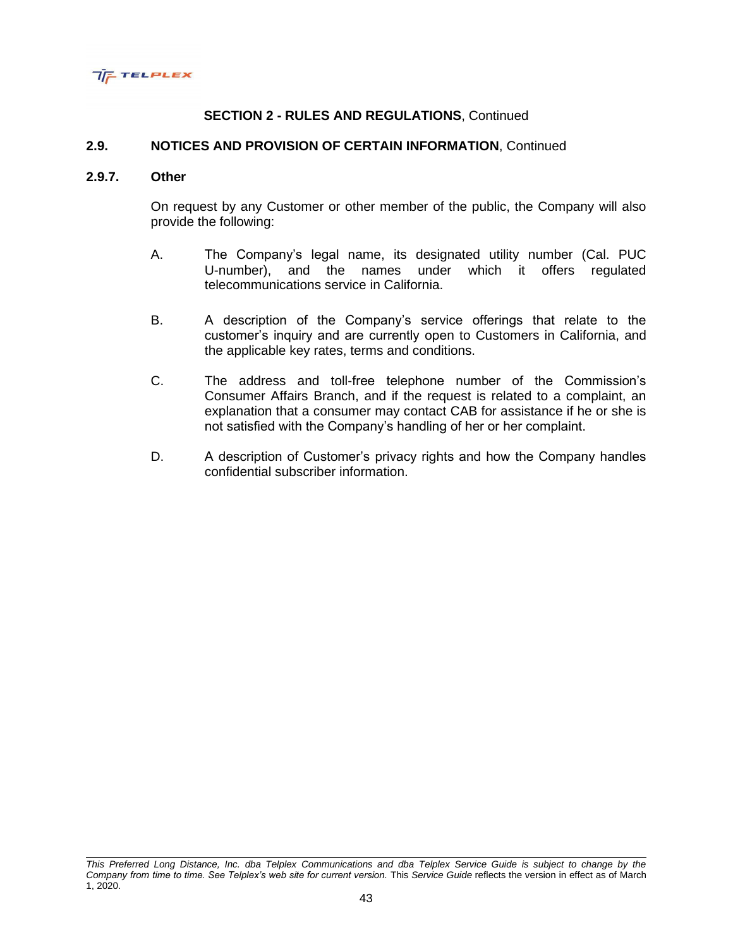

## **2.9. NOTICES AND PROVISION OF CERTAIN INFORMATION**, Continued

#### **2.9.7. Other**

On request by any Customer or other member of the public, the Company will also provide the following:

- A. The Company's legal name, its designated utility number (Cal. PUC U-number), and the names under which it offers regulated telecommunications service in California.
- B. A description of the Company's service offerings that relate to the customer's inquiry and are currently open to Customers in California, and the applicable key rates, terms and conditions.
- C. The address and toll-free telephone number of the Commission's Consumer Affairs Branch, and if the request is related to a complaint, an explanation that a consumer may contact CAB for assistance if he or she is not satisfied with the Company's handling of her or her complaint.
- D. A description of Customer's privacy rights and how the Company handles confidential subscriber information.

*This Preferred Long Distance, Inc. dba Telplex Communications and dba Telplex Service Guide is subject to change by the Company from time to time. See Telplex's web site for current version.* This *Service Guide* reflects the version in effect as of March 1, 2020.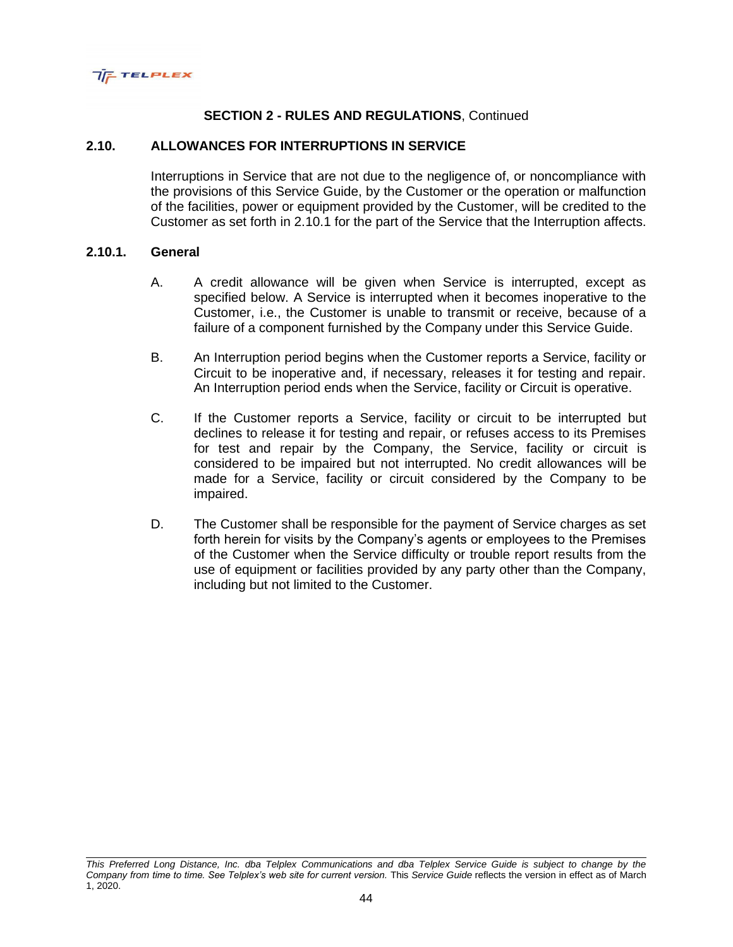

## **2.10. ALLOWANCES FOR INTERRUPTIONS IN SERVICE**

Interruptions in Service that are not due to the negligence of, or noncompliance with the provisions of this Service Guide, by the Customer or the operation or malfunction of the facilities, power or equipment provided by the Customer, will be credited to the Customer as set forth in 2.10.1 for the part of the Service that the Interruption affects.

#### **2.10.1. General**

- A. A credit allowance will be given when Service is interrupted, except as specified below. A Service is interrupted when it becomes inoperative to the Customer, i.e., the Customer is unable to transmit or receive, because of a failure of a component furnished by the Company under this Service Guide.
- B. An Interruption period begins when the Customer reports a Service, facility or Circuit to be inoperative and, if necessary, releases it for testing and repair. An Interruption period ends when the Service, facility or Circuit is operative.
- C. If the Customer reports a Service, facility or circuit to be interrupted but declines to release it for testing and repair, or refuses access to its Premises for test and repair by the Company, the Service, facility or circuit is considered to be impaired but not interrupted. No credit allowances will be made for a Service, facility or circuit considered by the Company to be impaired.
- D. The Customer shall be responsible for the payment of Service charges as set forth herein for visits by the Company's agents or employees to the Premises of the Customer when the Service difficulty or trouble report results from the use of equipment or facilities provided by any party other than the Company, including but not limited to the Customer.

*This Preferred Long Distance, Inc. dba Telplex Communications and dba Telplex Service Guide is subject to change by the Company from time to time. See Telplex's web site for current version.* This *Service Guide* reflects the version in effect as of March 1, 2020.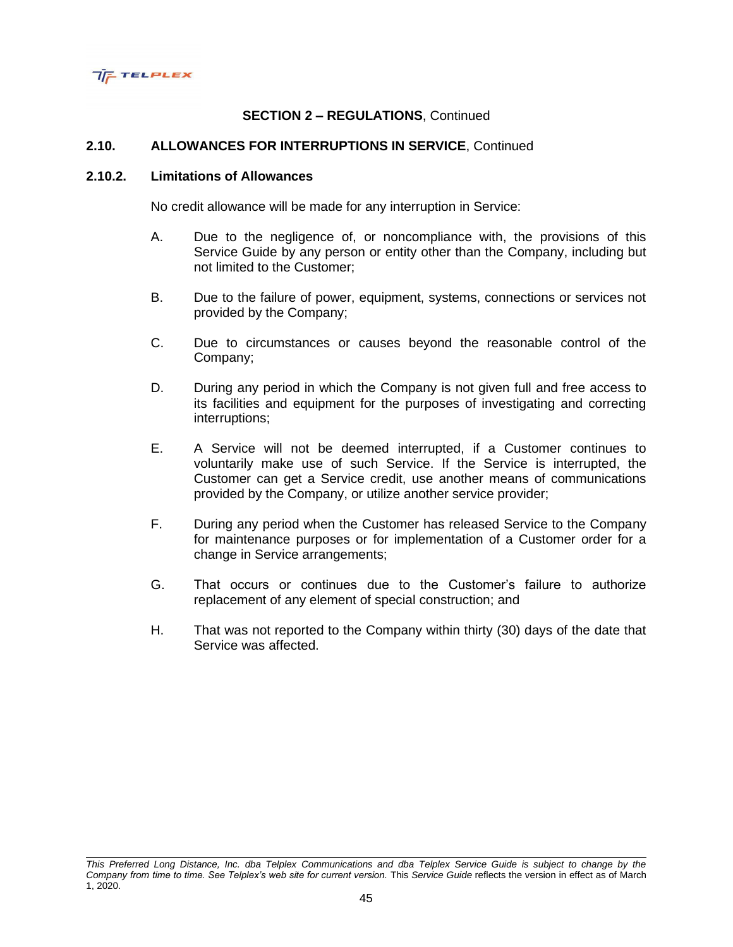

## **2.10. ALLOWANCES FOR INTERRUPTIONS IN SERVICE**, Continued

#### **2.10.2. Limitations of Allowances**

No credit allowance will be made for any interruption in Service:

- A. Due to the negligence of, or noncompliance with, the provisions of this Service Guide by any person or entity other than the Company, including but not limited to the Customer;
- B. Due to the failure of power, equipment, systems, connections or services not provided by the Company;
- C. Due to circumstances or causes beyond the reasonable control of the Company;
- D. During any period in which the Company is not given full and free access to its facilities and equipment for the purposes of investigating and correcting interruptions;
- E. A Service will not be deemed interrupted, if a Customer continues to voluntarily make use of such Service. If the Service is interrupted, the Customer can get a Service credit, use another means of communications provided by the Company, or utilize another service provider;
- F. During any period when the Customer has released Service to the Company for maintenance purposes or for implementation of a Customer order for a change in Service arrangements;
- G. That occurs or continues due to the Customer's failure to authorize replacement of any element of special construction; and
- H. That was not reported to the Company within thirty (30) days of the date that Service was affected.

*This Preferred Long Distance, Inc. dba Telplex Communications and dba Telplex Service Guide is subject to change by the Company from time to time. See Telplex's web site for current version.* This *Service Guide* reflects the version in effect as of March 1, 2020.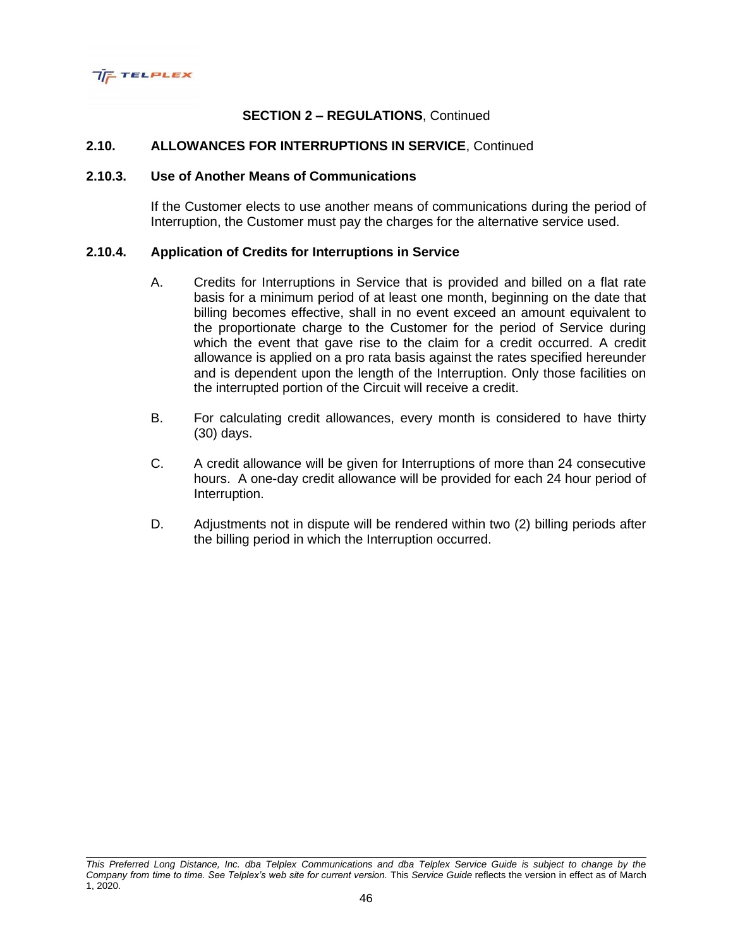

## **2.10. ALLOWANCES FOR INTERRUPTIONS IN SERVICE**, Continued

#### **2.10.3. Use of Another Means of Communications**

If the Customer elects to use another means of communications during the period of Interruption, the Customer must pay the charges for the alternative service used.

### **2.10.4. Application of Credits for Interruptions in Service**

- A. Credits for Interruptions in Service that is provided and billed on a flat rate basis for a minimum period of at least one month, beginning on the date that billing becomes effective, shall in no event exceed an amount equivalent to the proportionate charge to the Customer for the period of Service during which the event that gave rise to the claim for a credit occurred. A credit allowance is applied on a pro rata basis against the rates specified hereunder and is dependent upon the length of the Interruption. Only those facilities on the interrupted portion of the Circuit will receive a credit.
- B. For calculating credit allowances, every month is considered to have thirty (30) days.
- C. A credit allowance will be given for Interruptions of more than 24 consecutive hours. A one-day credit allowance will be provided for each 24 hour period of Interruption.
- D. Adjustments not in dispute will be rendered within two (2) billing periods after the billing period in which the Interruption occurred.

*This Preferred Long Distance, Inc. dba Telplex Communications and dba Telplex Service Guide is subject to change by the Company from time to time. See Telplex's web site for current version.* This *Service Guide* reflects the version in effect as of March 1, 2020.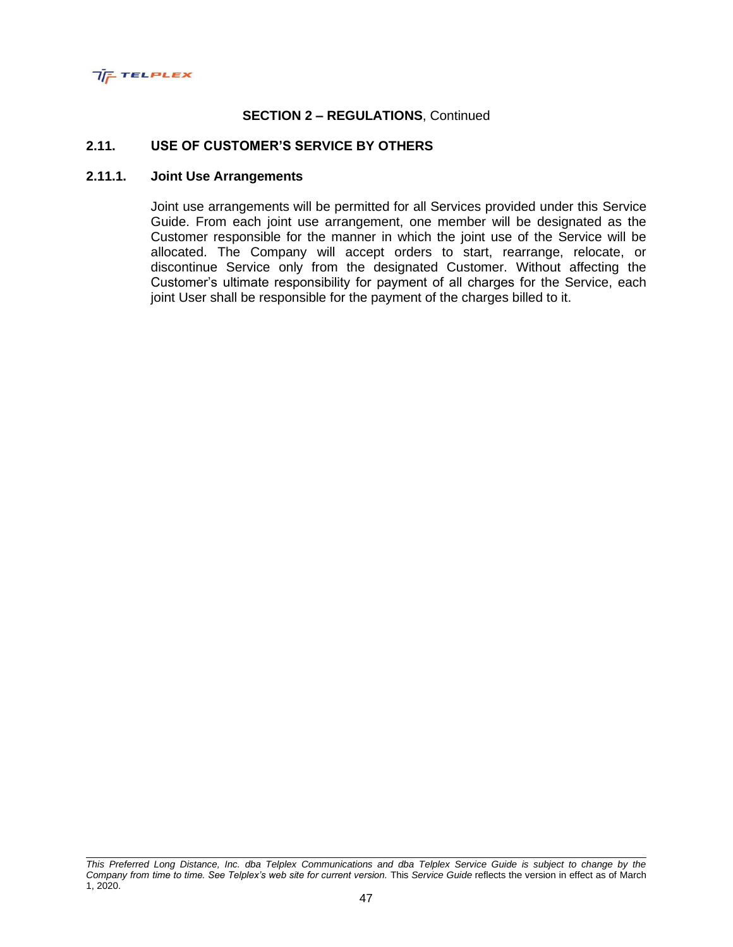

## **2.11. USE OF CUSTOMER'S SERVICE BY OTHERS**

## **2.11.1. Joint Use Arrangements**

Joint use arrangements will be permitted for all Services provided under this Service Guide. From each joint use arrangement, one member will be designated as the Customer responsible for the manner in which the joint use of the Service will be allocated. The Company will accept orders to start, rearrange, relocate, or discontinue Service only from the designated Customer. Without affecting the Customer's ultimate responsibility for payment of all charges for the Service, each joint User shall be responsible for the payment of the charges billed to it.

*This Preferred Long Distance, Inc. dba Telplex Communications and dba Telplex Service Guide is subject to change by the Company from time to time. See Telplex's web site for current version.* This *Service Guide* reflects the version in effect as of March 1, 2020.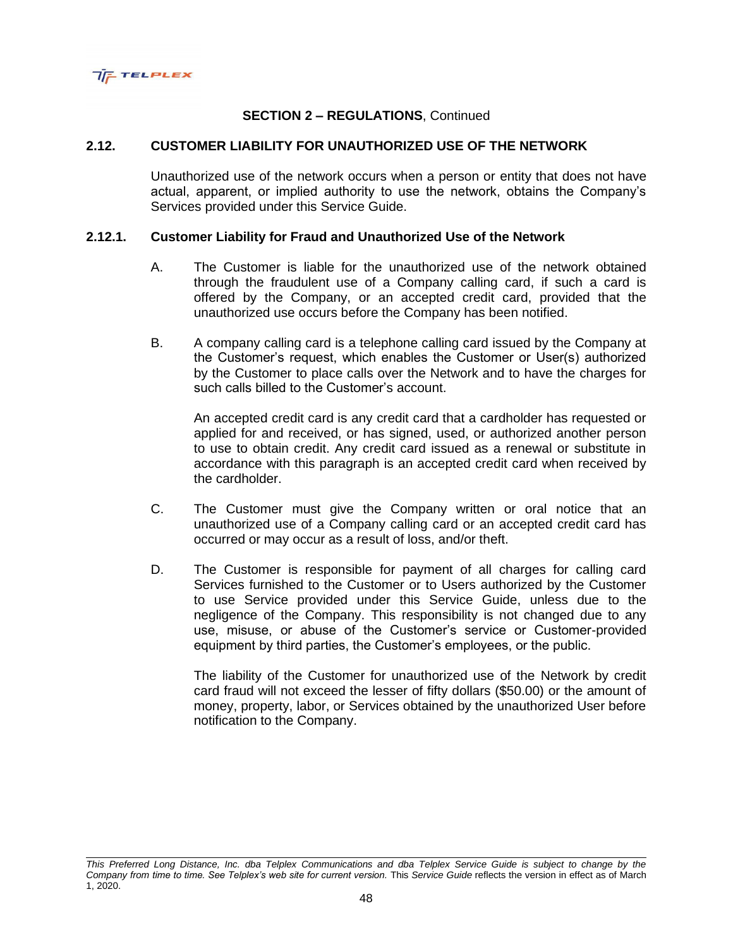

## **2.12. CUSTOMER LIABILITY FOR UNAUTHORIZED USE OF THE NETWORK**

Unauthorized use of the network occurs when a person or entity that does not have actual, apparent, or implied authority to use the network, obtains the Company's Services provided under this Service Guide.

### **2.12.1. Customer Liability for Fraud and Unauthorized Use of the Network**

- A. The Customer is liable for the unauthorized use of the network obtained through the fraudulent use of a Company calling card, if such a card is offered by the Company, or an accepted credit card, provided that the unauthorized use occurs before the Company has been notified.
- B. A company calling card is a telephone calling card issued by the Company at the Customer's request, which enables the Customer or User(s) authorized by the Customer to place calls over the Network and to have the charges for such calls billed to the Customer's account.

An accepted credit card is any credit card that a cardholder has requested or applied for and received, or has signed, used, or authorized another person to use to obtain credit. Any credit card issued as a renewal or substitute in accordance with this paragraph is an accepted credit card when received by the cardholder.

- C. The Customer must give the Company written or oral notice that an unauthorized use of a Company calling card or an accepted credit card has occurred or may occur as a result of loss, and/or theft.
- D. The Customer is responsible for payment of all charges for calling card Services furnished to the Customer or to Users authorized by the Customer to use Service provided under this Service Guide, unless due to the negligence of the Company. This responsibility is not changed due to any use, misuse, or abuse of the Customer's service or Customer-provided equipment by third parties, the Customer's employees, or the public.

The liability of the Customer for unauthorized use of the Network by credit card fraud will not exceed the lesser of fifty dollars (\$50.00) or the amount of money, property, labor, or Services obtained by the unauthorized User before notification to the Company.

*This Preferred Long Distance, Inc. dba Telplex Communications and dba Telplex Service Guide is subject to change by the Company from time to time. See Telplex's web site for current version.* This *Service Guide* reflects the version in effect as of March 1, 2020.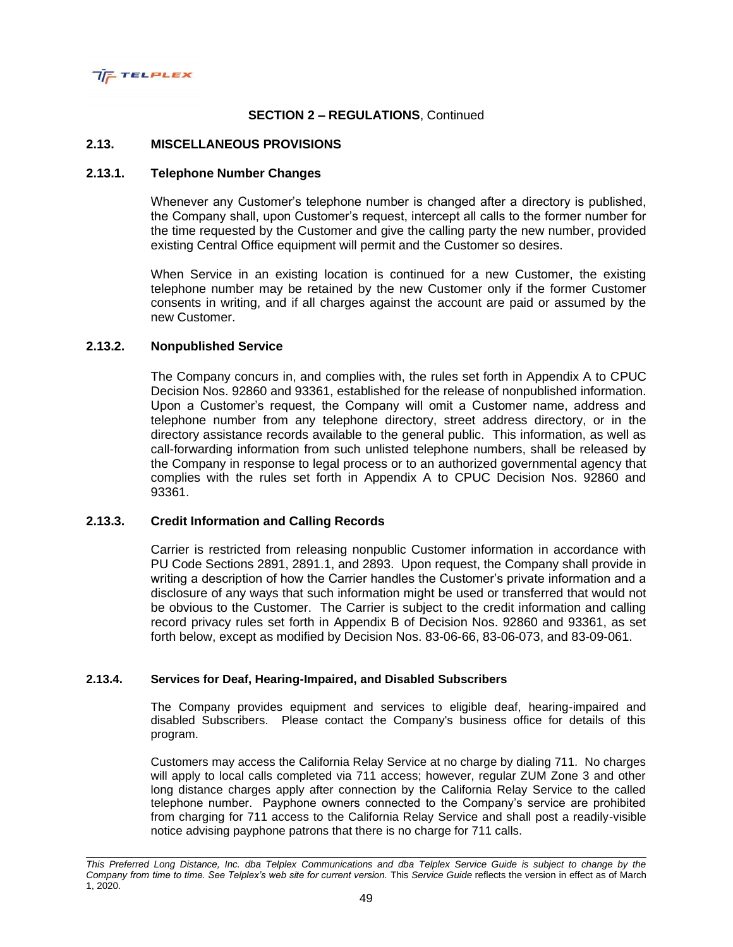

#### **2.13. MISCELLANEOUS PROVISIONS**

#### **2.13.1. Telephone Number Changes**

Whenever any Customer's telephone number is changed after a directory is published, the Company shall, upon Customer's request, intercept all calls to the former number for the time requested by the Customer and give the calling party the new number, provided existing Central Office equipment will permit and the Customer so desires.

When Service in an existing location is continued for a new Customer, the existing telephone number may be retained by the new Customer only if the former Customer consents in writing, and if all charges against the account are paid or assumed by the new Customer.

#### **2.13.2. Nonpublished Service**

The Company concurs in, and complies with, the rules set forth in Appendix A to CPUC Decision Nos. 92860 and 93361, established for the release of nonpublished information. Upon a Customer's request, the Company will omit a Customer name, address and telephone number from any telephone directory, street address directory, or in the directory assistance records available to the general public. This information, as well as call-forwarding information from such unlisted telephone numbers, shall be released by the Company in response to legal process or to an authorized governmental agency that complies with the rules set forth in Appendix A to CPUC Decision Nos. 92860 and 93361.

#### **2.13.3. Credit Information and Calling Records**

Carrier is restricted from releasing nonpublic Customer information in accordance with PU Code Sections 2891, 2891.1, and 2893. Upon request, the Company shall provide in writing a description of how the Carrier handles the Customer's private information and a disclosure of any ways that such information might be used or transferred that would not be obvious to the Customer. The Carrier is subject to the credit information and calling record privacy rules set forth in Appendix B of Decision Nos. 92860 and 93361, as set forth below, except as modified by Decision Nos. 83-06-66, 83-06-073, and 83-09-061.

#### **2.13.4. Services for Deaf, Hearing-Impaired, and Disabled Subscribers**

The Company provides equipment and services to eligible deaf, hearing-impaired and disabled Subscribers. Please contact the Company's business office for details of this program.

Customers may access the California Relay Service at no charge by dialing 711. No charges will apply to local calls completed via 711 access; however, regular ZUM Zone 3 and other long distance charges apply after connection by the California Relay Service to the called telephone number. Payphone owners connected to the Company's service are prohibited from charging for 711 access to the California Relay Service and shall post a readily-visible notice advising payphone patrons that there is no charge for 711 calls.

*This Preferred Long Distance, Inc. dba Telplex Communications and dba Telplex Service Guide is subject to change by the Company from time to time. See Telplex's web site for current version.* This *Service Guide* reflects the version in effect as of March 1, 2020.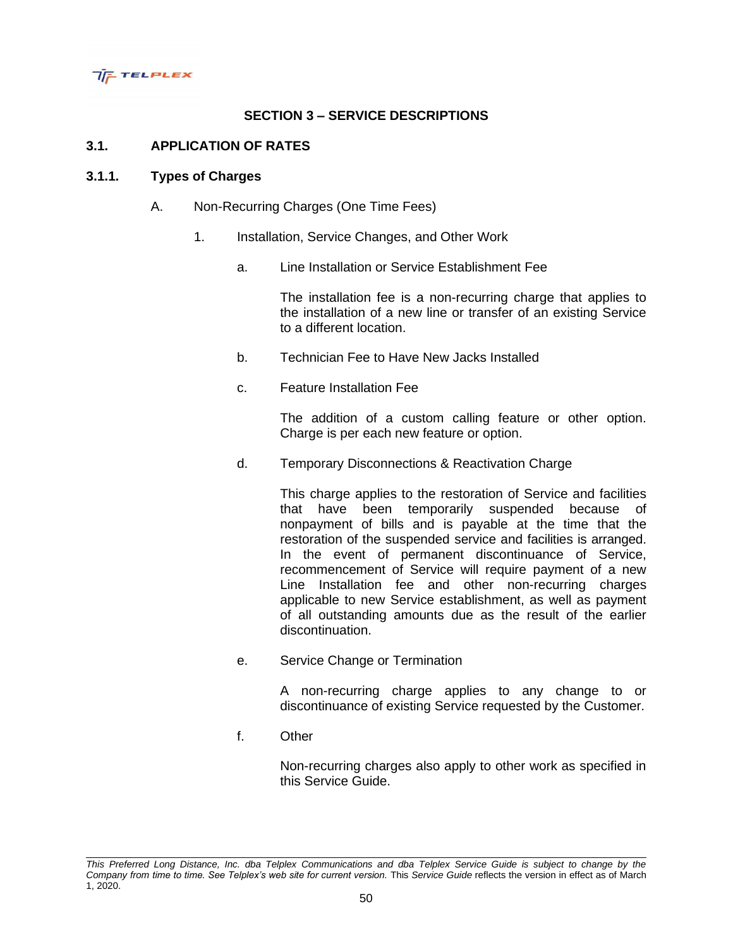

# **SECTION 3 – SERVICE DESCRIPTIONS**

## **3.1. APPLICATION OF RATES**

### **3.1.1. Types of Charges**

- A. Non-Recurring Charges (One Time Fees)
	- 1. Installation, Service Changes, and Other Work
		- a. Line Installation or Service Establishment Fee

The installation fee is a non-recurring charge that applies to the installation of a new line or transfer of an existing Service to a different location.

- b. Technician Fee to Have New Jacks Installed
- c. Feature Installation Fee

The addition of a custom calling feature or other option. Charge is per each new feature or option.

d. Temporary Disconnections & Reactivation Charge

This charge applies to the restoration of Service and facilities that have been temporarily suspended because of nonpayment of bills and is payable at the time that the restoration of the suspended service and facilities is arranged. In the event of permanent discontinuance of Service, recommencement of Service will require payment of a new Line Installation fee and other non-recurring charges applicable to new Service establishment, as well as payment of all outstanding amounts due as the result of the earlier discontinuation.

e. Service Change or Termination

A non-recurring charge applies to any change to or discontinuance of existing Service requested by the Customer.

f. Other

Non-recurring charges also apply to other work as specified in this Service Guide.

*This Preferred Long Distance, Inc. dba Telplex Communications and dba Telplex Service Guide is subject to change by the Company from time to time. See Telplex's web site for current version.* This *Service Guide* reflects the version in effect as of March 1, 2020.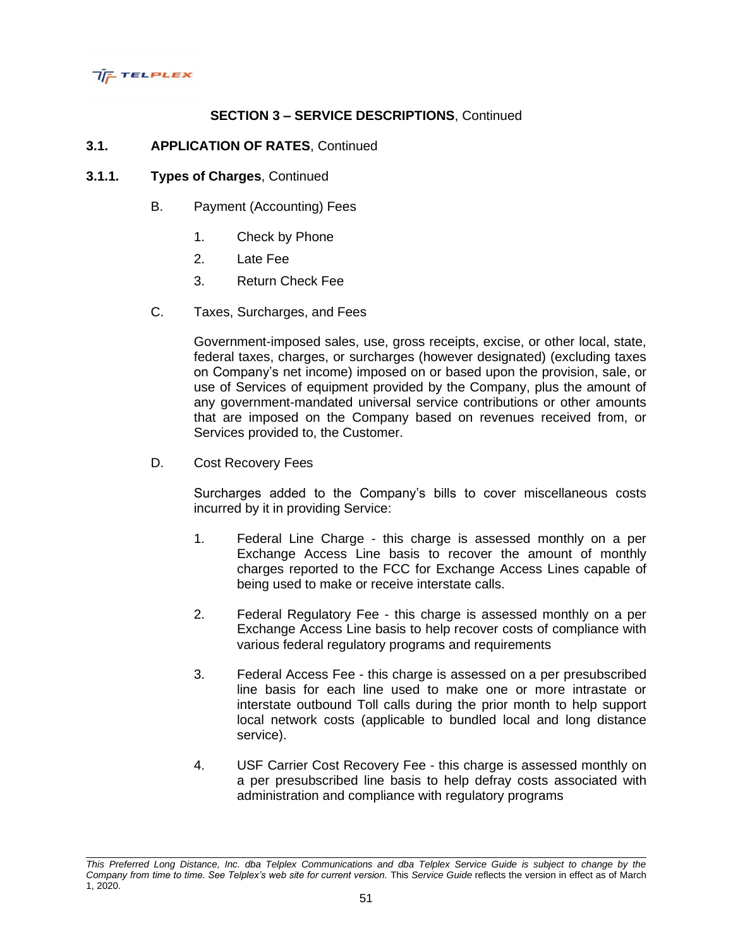

## **3.1. APPLICATION OF RATES**, Continued

## **3.1.1. Types of Charges**, Continued

- B. Payment (Accounting) Fees
	- 1. Check by Phone
	- 2. Late Fee
	- 3. Return Check Fee
- C. Taxes, Surcharges, and Fees

Government-imposed sales, use, gross receipts, excise, or other local, state, federal taxes, charges, or surcharges (however designated) (excluding taxes on Company's net income) imposed on or based upon the provision, sale, or use of Services of equipment provided by the Company, plus the amount of any government-mandated universal service contributions or other amounts that are imposed on the Company based on revenues received from, or Services provided to, the Customer.

D. Cost Recovery Fees

Surcharges added to the Company's bills to cover miscellaneous costs incurred by it in providing Service:

- 1. Federal Line Charge this charge is assessed monthly on a per Exchange Access Line basis to recover the amount of monthly charges reported to the FCC for Exchange Access Lines capable of being used to make or receive interstate calls.
- 2. Federal Regulatory Fee this charge is assessed monthly on a per Exchange Access Line basis to help recover costs of compliance with various federal regulatory programs and requirements
- 3. Federal Access Fee this charge is assessed on a per presubscribed line basis for each line used to make one or more intrastate or interstate outbound Toll calls during the prior month to help support local network costs (applicable to bundled local and long distance service).
- 4. USF Carrier Cost Recovery Fee this charge is assessed monthly on a per presubscribed line basis to help defray costs associated with administration and compliance with regulatory programs

*This Preferred Long Distance, Inc. dba Telplex Communications and dba Telplex Service Guide is subject to change by the Company from time to time. See Telplex's web site for current version.* This *Service Guide* reflects the version in effect as of March 1, 2020.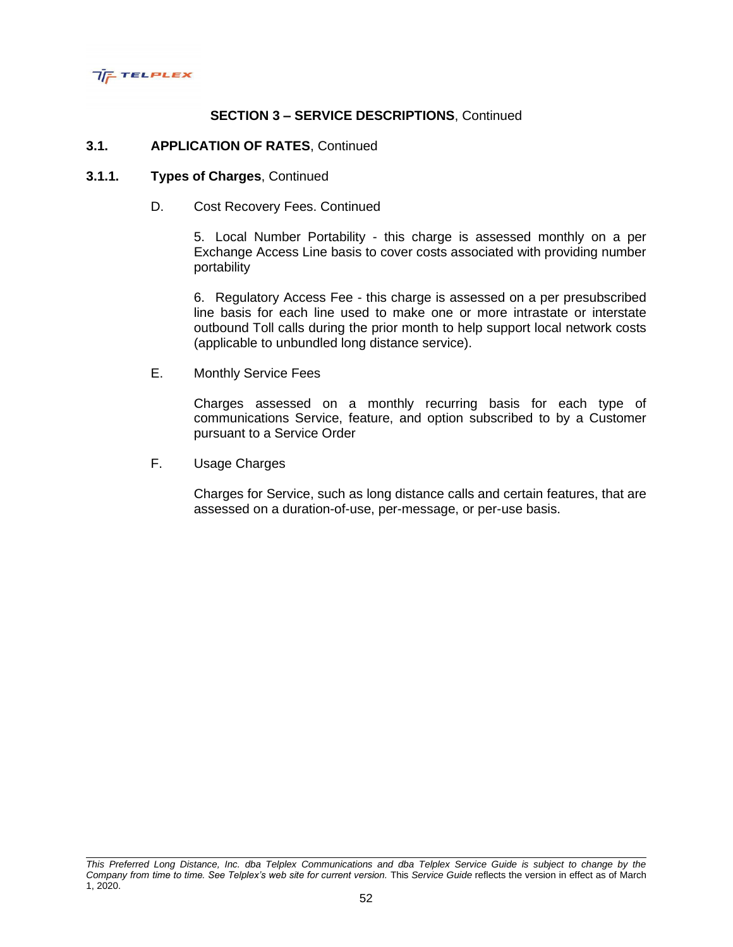

### **3.1. APPLICATION OF RATES**, Continued

#### **3.1.1. Types of Charges**, Continued

D. Cost Recovery Fees. Continued

5. Local Number Portability - this charge is assessed monthly on a per Exchange Access Line basis to cover costs associated with providing number portability

6. Regulatory Access Fee - this charge is assessed on a per presubscribed line basis for each line used to make one or more intrastate or interstate outbound Toll calls during the prior month to help support local network costs (applicable to unbundled long distance service).

E. Monthly Service Fees

Charges assessed on a monthly recurring basis for each type of communications Service, feature, and option subscribed to by a Customer pursuant to a Service Order

F. Usage Charges

Charges for Service, such as long distance calls and certain features, that are assessed on a duration-of-use, per-message, or per-use basis.

*This Preferred Long Distance, Inc. dba Telplex Communications and dba Telplex Service Guide is subject to change by the Company from time to time. See Telplex's web site for current version.* This *Service Guide* reflects the version in effect as of March 1, 2020.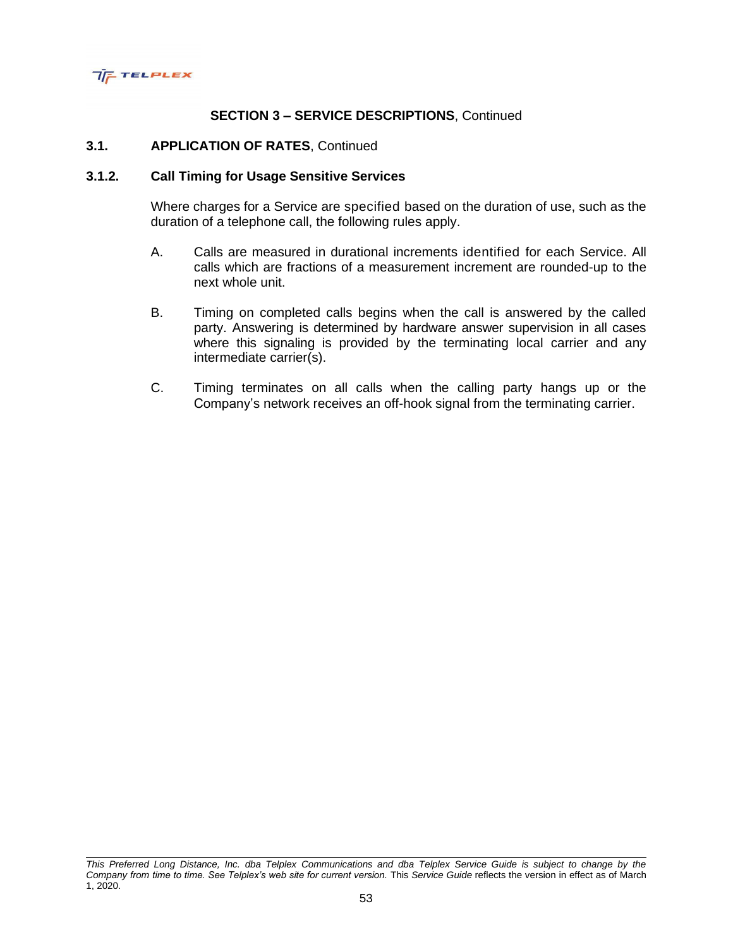

### **3.1. APPLICATION OF RATES**, Continued

### **3.1.2. Call Timing for Usage Sensitive Services**

Where charges for a Service are specified based on the duration of use, such as the duration of a telephone call, the following rules apply.

- A. Calls are measured in durational increments identified for each Service. All calls which are fractions of a measurement increment are rounded-up to the next whole unit.
- B. Timing on completed calls begins when the call is answered by the called party. Answering is determined by hardware answer supervision in all cases where this signaling is provided by the terminating local carrier and any intermediate carrier(s).
- C. Timing terminates on all calls when the calling party hangs up or the Company's network receives an off-hook signal from the terminating carrier.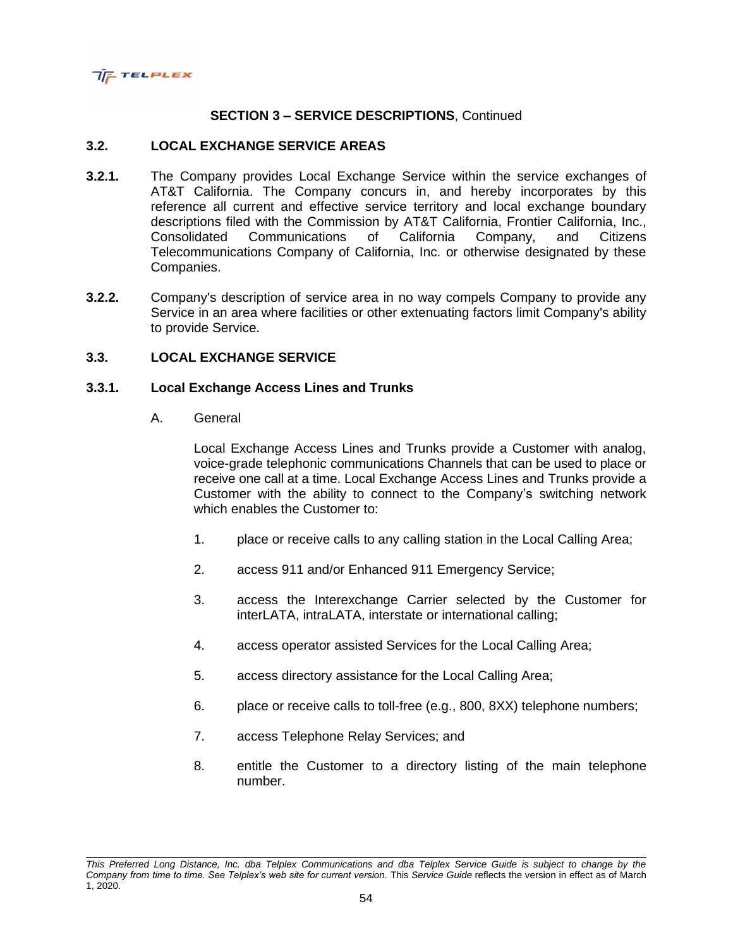

## **3.2. LOCAL EXCHANGE SERVICE AREAS**

- **3.2.1.** The Company provides Local Exchange Service within the service exchanges of AT&T California. The Company concurs in, and hereby incorporates by this reference all current and effective service territory and local exchange boundary descriptions filed with the Commission by AT&T California, Frontier California, Inc., Consolidated Communications of California Company, and Citizens Telecommunications Company of California, Inc. or otherwise designated by these Companies.
- **3.2.2.** Company's description of service area in no way compels Company to provide any Service in an area where facilities or other extenuating factors limit Company's ability to provide Service.

### **3.3. LOCAL EXCHANGE SERVICE**

### **3.3.1. Local Exchange Access Lines and Trunks**

A. General

Local Exchange Access Lines and Trunks provide a Customer with analog, voice-grade telephonic communications Channels that can be used to place or receive one call at a time. Local Exchange Access Lines and Trunks provide a Customer with the ability to connect to the Company's switching network which enables the Customer to:

- 1. place or receive calls to any calling station in the Local Calling Area;
- 2. access 911 and/or Enhanced 911 Emergency Service;
- 3. access the Interexchange Carrier selected by the Customer for interLATA, intraLATA, interstate or international calling;
- 4. access operator assisted Services for the Local Calling Area;
- 5. access directory assistance for the Local Calling Area;
- 6. place or receive calls to toll-free (e.g., 800, 8XX) telephone numbers;
- 7. access Telephone Relay Services; and
- 8. entitle the Customer to a directory listing of the main telephone number.

*This Preferred Long Distance, Inc. dba Telplex Communications and dba Telplex Service Guide is subject to change by the Company from time to time. See Telplex's web site for current version.* This *Service Guide* reflects the version in effect as of March 1, 2020.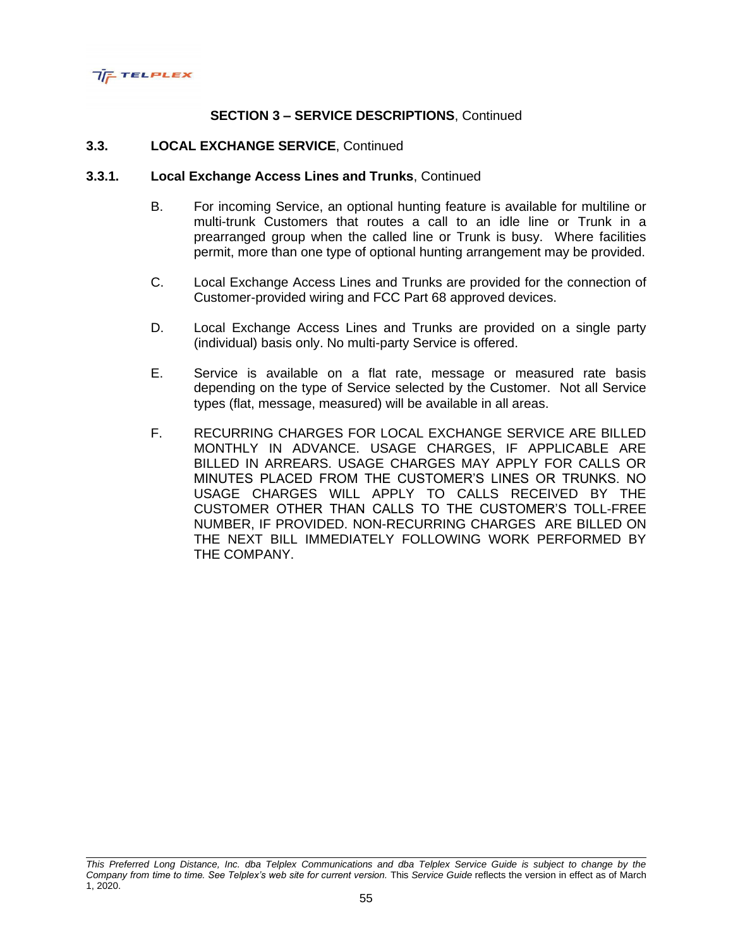

## **3.3. LOCAL EXCHANGE SERVICE**, Continued

#### **3.3.1. Local Exchange Access Lines and Trunks**, Continued

- B. For incoming Service, an optional hunting feature is available for multiline or multi-trunk Customers that routes a call to an idle line or Trunk in a prearranged group when the called line or Trunk is busy. Where facilities permit, more than one type of optional hunting arrangement may be provided.
- C. Local Exchange Access Lines and Trunks are provided for the connection of Customer-provided wiring and FCC Part 68 approved devices.
- D. Local Exchange Access Lines and Trunks are provided on a single party (individual) basis only. No multi-party Service is offered.
- E. Service is available on a flat rate, message or measured rate basis depending on the type of Service selected by the Customer. Not all Service types (flat, message, measured) will be available in all areas.
- F. RECURRING CHARGES FOR LOCAL EXCHANGE SERVICE ARE BILLED MONTHLY IN ADVANCE. USAGE CHARGES, IF APPLICABLE ARE BILLED IN ARREARS. USAGE CHARGES MAY APPLY FOR CALLS OR MINUTES PLACED FROM THE CUSTOMER'S LINES OR TRUNKS. NO USAGE CHARGES WILL APPLY TO CALLS RECEIVED BY THE CUSTOMER OTHER THAN CALLS TO THE CUSTOMER'S TOLL-FREE NUMBER, IF PROVIDED. NON-RECURRING CHARGES ARE BILLED ON THE NEXT BILL IMMEDIATELY FOLLOWING WORK PERFORMED BY THE COMPANY.

*This Preferred Long Distance, Inc. dba Telplex Communications and dba Telplex Service Guide is subject to change by the Company from time to time. See Telplex's web site for current version.* This *Service Guide* reflects the version in effect as of March 1, 2020.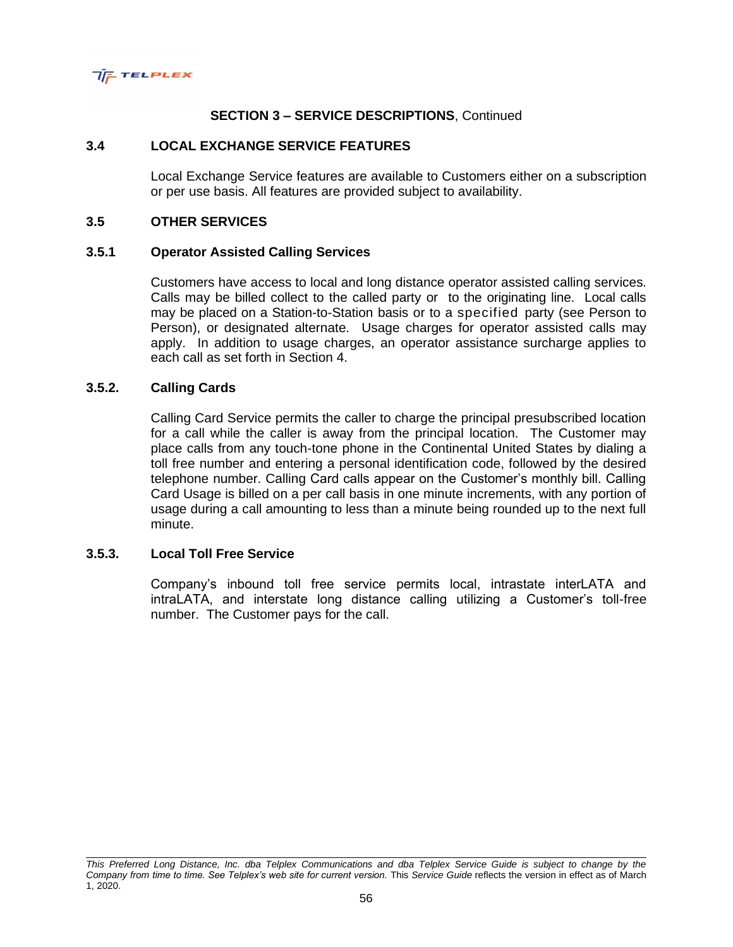

## **3.4 LOCAL EXCHANGE SERVICE FEATURES**

Local Exchange Service features are available to Customers either on a subscription or per use basis. All features are provided subject to availability.

#### **3.5 OTHER SERVICES**

#### **3.5.1 Operator Assisted Calling Services**

Customers have access to local and long distance operator assisted calling services. Calls may be billed collect to the called party or to the originating line. Local calls may be placed on a Station-to-Station basis or to a specified party (see Person to Person), or designated alternate. Usage charges for operator assisted calls may apply. In addition to usage charges, an operator assistance surcharge applies to each call as set forth in Section 4.

## **3.5.2. Calling Cards**

Calling Card Service permits the caller to charge the principal presubscribed location for a call while the caller is away from the principal location. The Customer may place calls from any touch-tone phone in the Continental United States by dialing a toll free number and entering a personal identification code, followed by the desired telephone number. Calling Card calls appear on the Customer's monthly bill. Calling Card Usage is billed on a per call basis in one minute increments, with any portion of usage during a call amounting to less than a minute being rounded up to the next full minute.

### **3.5.3. Local Toll Free Service**

Company's inbound toll free service permits local, intrastate interLATA and intraLATA, and interstate long distance calling utilizing a Customer's toll-free number. The Customer pays for the call.

*This Preferred Long Distance, Inc. dba Telplex Communications and dba Telplex Service Guide is subject to change by the Company from time to time. See Telplex's web site for current version.* This *Service Guide* reflects the version in effect as of March 1, 2020.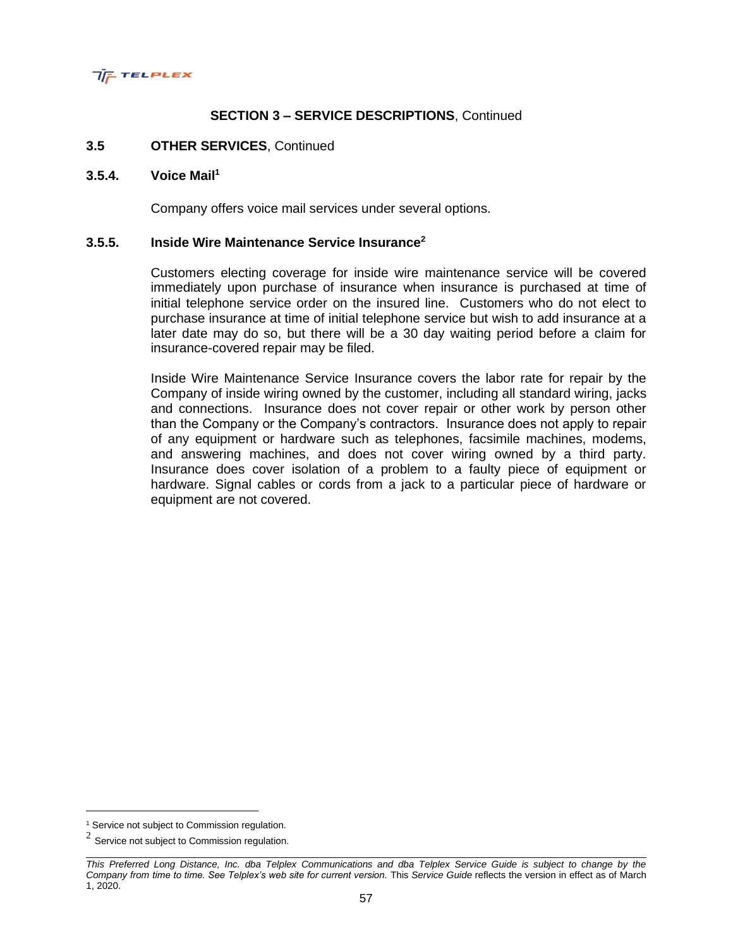

### **3.5 OTHER SERVICES**, Continued

#### **3.5.4. Voice Mail<sup>1</sup>**

Company offers voice mail services under several options.

## **3.5.5. Inside Wire Maintenance Service Insurance<sup>2</sup>**

Customers electing coverage for inside wire maintenance service will be covered immediately upon purchase of insurance when insurance is purchased at time of initial telephone service order on the insured line. Customers who do not elect to purchase insurance at time of initial telephone service but wish to add insurance at a later date may do so, but there will be a 30 day waiting period before a claim for insurance-covered repair may be filed.

Inside Wire Maintenance Service Insurance covers the labor rate for repair by the Company of inside wiring owned by the customer, including all standard wiring, jacks and connections. Insurance does not cover repair or other work by person other than the Company or the Company's contractors. Insurance does not apply to repair of any equipment or hardware such as telephones, facsimile machines, modems, and answering machines, and does not cover wiring owned by a third party. Insurance does cover isolation of a problem to a faulty piece of equipment or hardware. Signal cables or cords from a jack to a particular piece of hardware or equipment are not covered.

<sup>&</sup>lt;sup>1</sup> Service not subject to Commission regulation.

 $2$  Service not subject to Commission regulation.

*This Preferred Long Distance, Inc. dba Telplex Communications and dba Telplex Service Guide is subject to change by the Company from time to time. See Telplex's web site for current version.* This *Service Guide* reflects the version in effect as of March 1, 2020.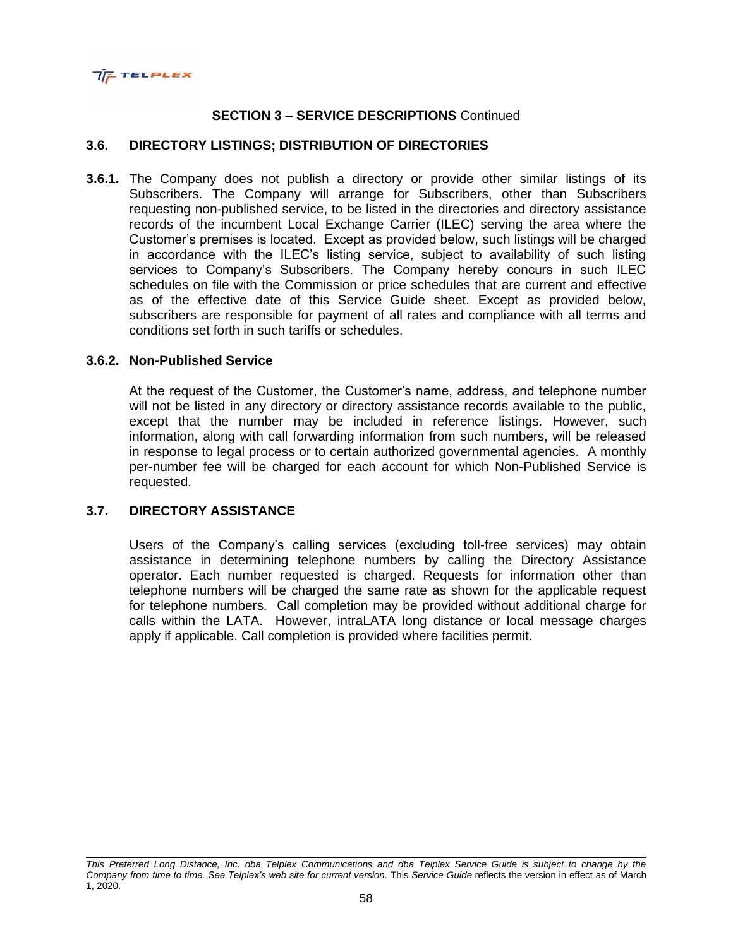

## **3.6. DIRECTORY LISTINGS; DISTRIBUTION OF DIRECTORIES**

**3.6.1.** The Company does not publish a directory or provide other similar listings of its Subscribers. The Company will arrange for Subscribers, other than Subscribers requesting non-published service, to be listed in the directories and directory assistance records of the incumbent Local Exchange Carrier (ILEC) serving the area where the Customer's premises is located. Except as provided below, such listings will be charged in accordance with the ILEC's listing service, subject to availability of such listing services to Company's Subscribers. The Company hereby concurs in such ILEC schedules on file with the Commission or price schedules that are current and effective as of the effective date of this Service Guide sheet. Except as provided below, subscribers are responsible for payment of all rates and compliance with all terms and conditions set forth in such tariffs or schedules.

### **3.6.2. Non-Published Service**

At the request of the Customer, the Customer's name, address, and telephone number will not be listed in any directory or directory assistance records available to the public, except that the number may be included in reference listings. However, such information, along with call forwarding information from such numbers, will be released in response to legal process or to certain authorized governmental agencies. A monthly per-number fee will be charged for each account for which Non-Published Service is requested.

### **3.7. DIRECTORY ASSISTANCE**

Users of the Company's calling services (excluding toll-free services) may obtain assistance in determining telephone numbers by calling the Directory Assistance operator. Each number requested is charged. Requests for information other than telephone numbers will be charged the same rate as shown for the applicable request for telephone numbers. Call completion may be provided without additional charge for calls within the LATA. However, intraLATA long distance or local message charges apply if applicable. Call completion is provided where facilities permit.

*This Preferred Long Distance, Inc. dba Telplex Communications and dba Telplex Service Guide is subject to change by the Company from time to time. See Telplex's web site for current version.* This *Service Guide* reflects the version in effect as of March 1, 2020.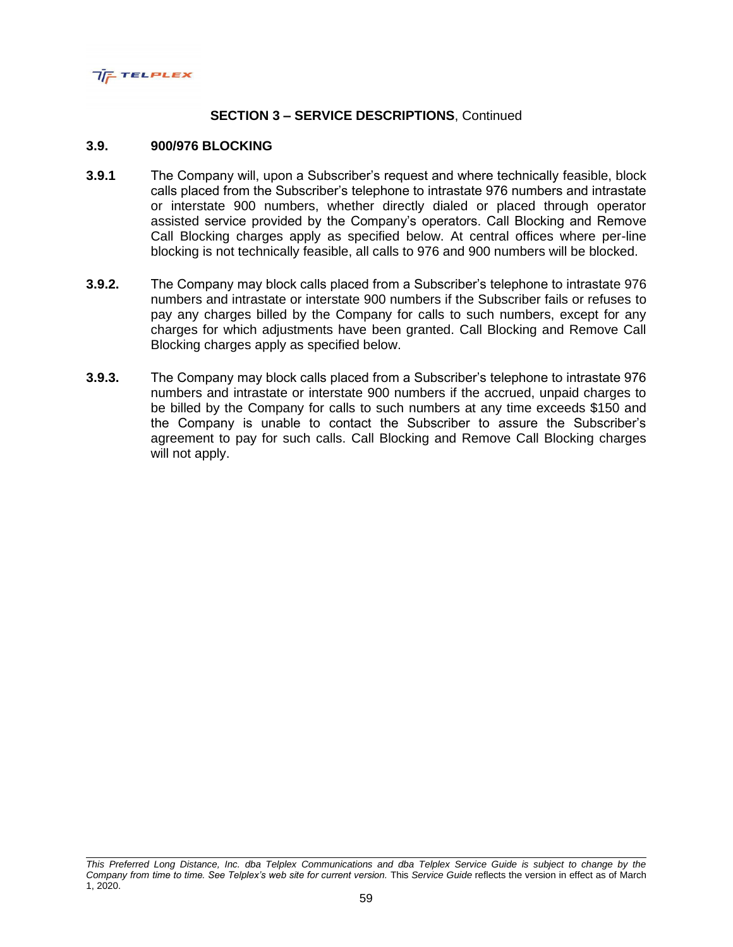

#### **3.9. 900/976 BLOCKING**

- **3.9.1** The Company will, upon a Subscriber's request and where technically feasible, block calls placed from the Subscriber's telephone to intrastate 976 numbers and intrastate or interstate 900 numbers, whether directly dialed or placed through operator assisted service provided by the Company's operators. Call Blocking and Remove Call Blocking charges apply as specified below. At central offices where per-line blocking is not technically feasible, all calls to 976 and 900 numbers will be blocked.
- **3.9.2.** The Company may block calls placed from a Subscriber's telephone to intrastate 976 numbers and intrastate or interstate 900 numbers if the Subscriber fails or refuses to pay any charges billed by the Company for calls to such numbers, except for any charges for which adjustments have been granted. Call Blocking and Remove Call Blocking charges apply as specified below.
- **3.9.3.** The Company may block calls placed from a Subscriber's telephone to intrastate 976 numbers and intrastate or interstate 900 numbers if the accrued, unpaid charges to be billed by the Company for calls to such numbers at any time exceeds \$150 and the Company is unable to contact the Subscriber to assure the Subscriber's agreement to pay for such calls. Call Blocking and Remove Call Blocking charges will not apply.

*This Preferred Long Distance, Inc. dba Telplex Communications and dba Telplex Service Guide is subject to change by the Company from time to time. See Telplex's web site for current version.* This *Service Guide* reflects the version in effect as of March 1, 2020.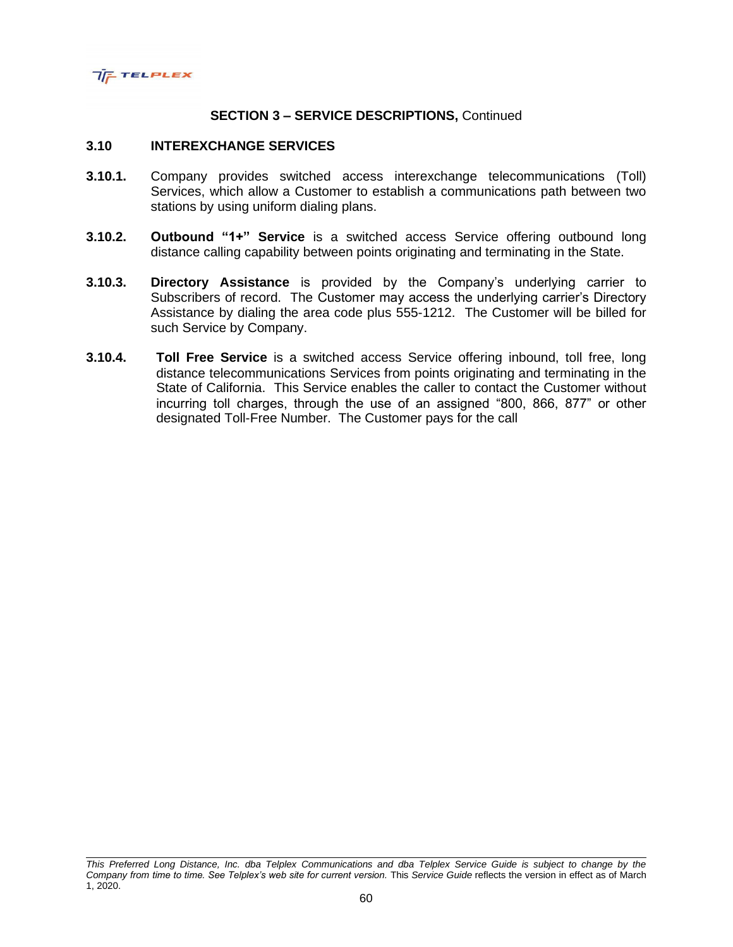

#### **3.10 INTEREXCHANGE SERVICES**

- **3.10.1.** Company provides switched access interexchange telecommunications (Toll) Services, which allow a Customer to establish a communications path between two stations by using uniform dialing plans.
- **3.10.2. Outbound "1+" Service** is a switched access Service offering outbound long distance calling capability between points originating and terminating in the State.
- **3.10.3. Directory Assistance** is provided by the Company's underlying carrier to Subscribers of record. The Customer may access the underlying carrier's Directory Assistance by dialing the area code plus 555-1212. The Customer will be billed for such Service by Company.
- **3.10.4. Toll Free Service** is a switched access Service offering inbound, toll free, long distance telecommunications Services from points originating and terminating in the State of California. This Service enables the caller to contact the Customer without incurring toll charges, through the use of an assigned "800, 866, 877" or other designated Toll-Free Number. The Customer pays for the call

*This Preferred Long Distance, Inc. dba Telplex Communications and dba Telplex Service Guide is subject to change by the Company from time to time. See Telplex's web site for current version.* This *Service Guide* reflects the version in effect as of March 1, 2020.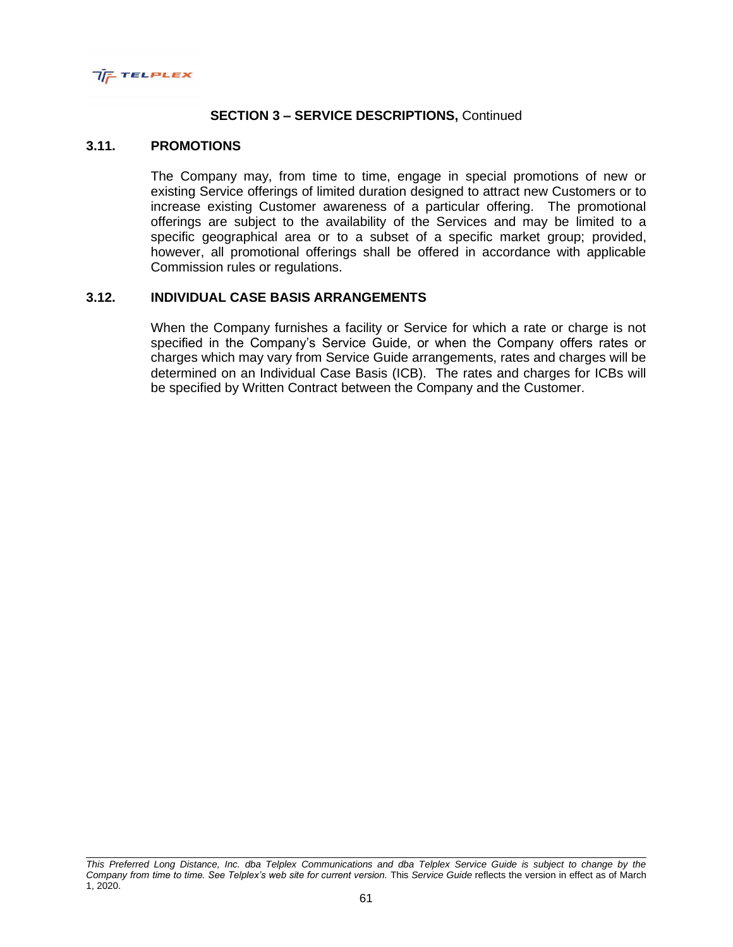

#### **3.11. PROMOTIONS**

The Company may, from time to time, engage in special promotions of new or existing Service offerings of limited duration designed to attract new Customers or to increase existing Customer awareness of a particular offering. The promotional offerings are subject to the availability of the Services and may be limited to a specific geographical area or to a subset of a specific market group; provided, however, all promotional offerings shall be offered in accordance with applicable Commission rules or regulations.

#### **3.12. INDIVIDUAL CASE BASIS ARRANGEMENTS**

When the Company furnishes a facility or Service for which a rate or charge is not specified in the Company's Service Guide, or when the Company offers rates or charges which may vary from Service Guide arrangements, rates and charges will be determined on an Individual Case Basis (ICB). The rates and charges for ICBs will be specified by Written Contract between the Company and the Customer.

*This Preferred Long Distance, Inc. dba Telplex Communications and dba Telplex Service Guide is subject to change by the Company from time to time. See Telplex's web site for current version.* This *Service Guide* reflects the version in effect as of March 1, 2020.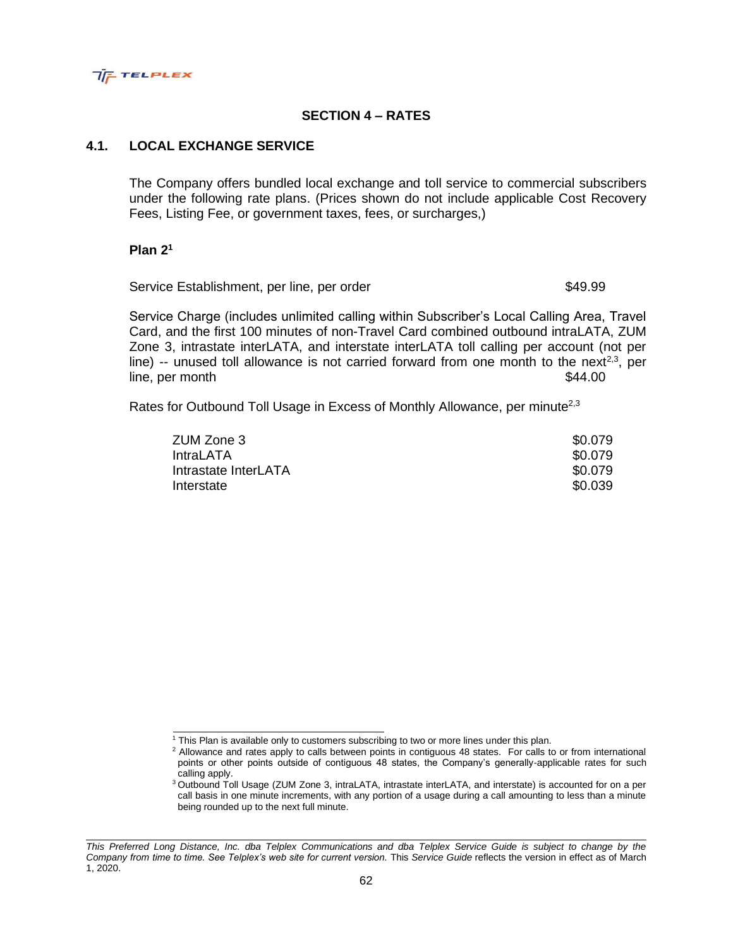

# **SECTION 4 – RATES**

## **4.1. LOCAL EXCHANGE SERVICE**

The Company offers bundled local exchange and toll service to commercial subscribers under the following rate plans. (Prices shown do not include applicable Cost Recovery Fees, Listing Fee, or government taxes, fees, or surcharges,)

#### **Plan 2<sup>1</sup>**

Service Establishment, per line, per order  $$49.99$ 

Service Charge (includes unlimited calling within Subscriber's Local Calling Area, Travel Card, and the first 100 minutes of non-Travel Card combined outbound intraLATA, ZUM Zone 3, intrastate interLATA, and interstate interLATA toll calling per account (not per line)  $-$  unused toll allowance is not carried forward from one month to the next<sup>2,3</sup>, per line, per month  $\$44.00$ 

Rates for Outbound Toll Usage in Excess of Monthly Allowance, per minute<sup>2,3</sup>

| ZUM Zone 3           | \$0.079 |
|----------------------|---------|
| IntraLATA            | \$0.079 |
| Intrastate InterLATA | \$0.079 |
| Interstate           | \$0.039 |

<sup>&</sup>lt;sup>1</sup> This Plan is available only to customers subscribing to two or more lines under this plan.

<sup>&</sup>lt;sup>2</sup> Allowance and rates apply to calls between points in contiguous 48 states. For calls to or from international points or other points outside of contiguous 48 states, the Company's generally-applicable rates for such calling apply.

<sup>&</sup>lt;sup>3</sup> Outbound Toll Usage (ZUM Zone 3, intraLATA, intrastate interLATA, and interstate) is accounted for on a per call basis in one minute increments, with any portion of a usage during a call amounting to less than a minute being rounded up to the next full minute.

*This Preferred Long Distance, Inc. dba Telplex Communications and dba Telplex Service Guide is subject to change by the Company from time to time. See Telplex's web site for current version.* This *Service Guide* reflects the version in effect as of March 1, 2020.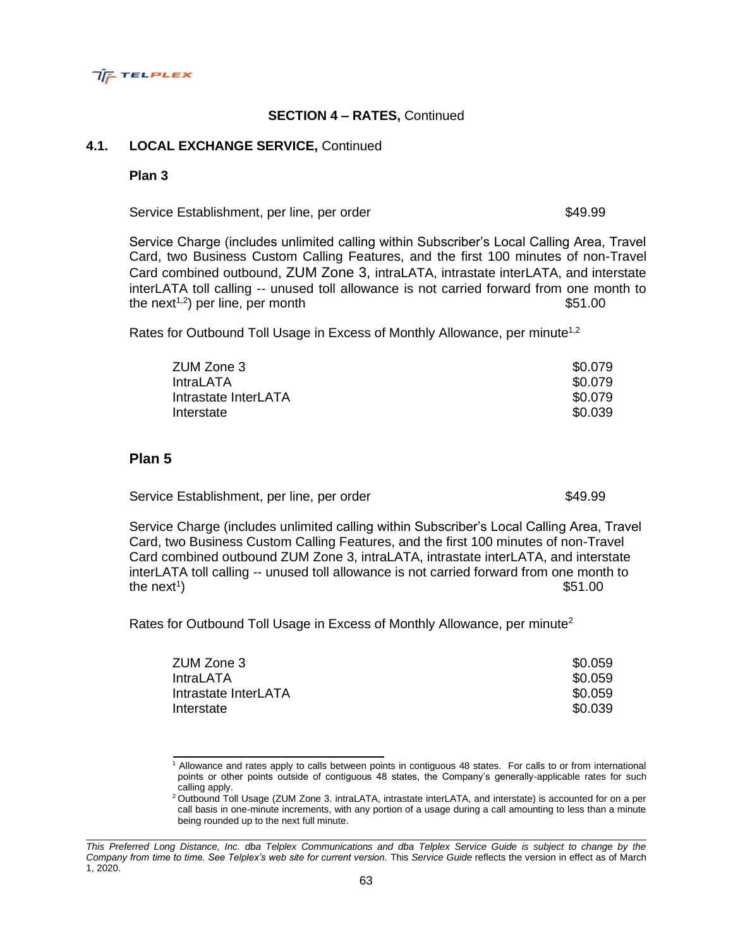### **4.1. LOCAL EXCHANGE SERVICE,** Continued

#### **Plan 3**

**TIE TELPLEX** 

**Plan 5**

Service Establishment, per line, per order  $$49.99$ 

Service Charge (includes unlimited calling within Subscriber's Local Calling Area, Travel Card, two Business Custom Calling Features, and the first 100 minutes of non-Travel Card combined outbound, ZUM Zone 3, intraLATA, intrastate interLATA, and interstate interLATA toll calling -- unused toll allowance is not carried forward from one month to the next<sup>1,2</sup>) per line, per month  $$51.00$ 

zUM Zone 3  $$0.079$ IntraLATA \$0.079 Intrastate InterLATA  $$0.079$ Interstate \$0.039

Rates for Outbound Toll Usage in Excess of Monthly Allowance, per minute<sup>1,2</sup>

| Service Charge (includes unlimited calling within Subscriber's Local Calling Area, Travel |  |
|-------------------------------------------------------------------------------------------|--|
| Card, two Business Custom Calling Features, and the first 100 minutes of non-Travel       |  |
| Card combined outbound ZUM Zone 3, intraLATA, intrastate interLATA, and interstate        |  |
| interLATA toll calling -- unused toll allowance is not carried forward from one month to  |  |
| the next <sup>1</sup> )<br>\$51.00                                                        |  |

zUM Zone 3  $$0.059$ IntraLATA \$0.059 Intrastate InterLATA  $\sim$  80.059 Interstate \$0.039

Rates for Outbound Toll Usage in Excess of Monthly Allowance, per minute<sup>2</sup>

|                |  |  |  |  |  | Allowance and rates apply to calls between points in contiguous 48 states. For calls to or from international                                                                                                                                                                                                                                       |  |  |
|----------------|--|--|--|--|--|-----------------------------------------------------------------------------------------------------------------------------------------------------------------------------------------------------------------------------------------------------------------------------------------------------------------------------------------------------|--|--|
|                |  |  |  |  |  | points or other points outside of contiguous 48 states, the Company's generally-applicable rates for such                                                                                                                                                                                                                                           |  |  |
| calling apply. |  |  |  |  |  |                                                                                                                                                                                                                                                                                                                                                     |  |  |
|                |  |  |  |  |  | $\overline{a}$ , $\overline{r}$ , $\overline{r}$ , $\overline{r}$ , $\overline{r}$ , $\overline{r}$ , $\overline{r}$ , $\overline{r}$ , $\overline{r}$ , $\overline{r}$ , $\overline{r}$ , $\overline{r}$ , $\overline{r}$ , $\overline{r}$ , $\overline{r}$ , $\overline{r}$ , $\overline{r}$ , $\overline{r}$ , $\overline{r}$ , $\overline{r}$ , |  |  |

<sup>&</sup>lt;sup>2</sup> Outbound Toll Usage (ZUM Zone 3. intraLATA, intrastate interLATA, and interstate) is accounted for on a per call basis in one-minute increments, with any portion of a usage during a call amounting to less than a minute being rounded up to the next full minute.

Service Establishment, per line, per order  $$49.99$ 

*This Preferred Long Distance, Inc. dba Telplex Communications and dba Telplex Service Guide is subject to change by the Company from time to time. See Telplex's web site for current version.* This *Service Guide* reflects the version in effect as of March 1, 2020.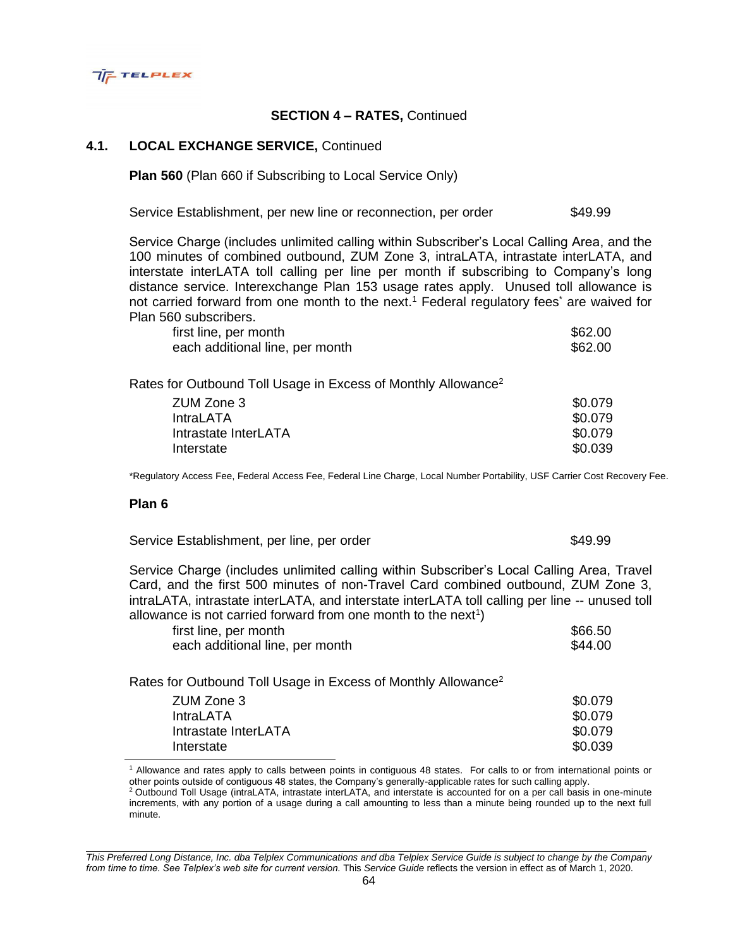

### **4.1. LOCAL EXCHANGE SERVICE,** Continued

**Plan 560** (Plan 660 if Subscribing to Local Service Only)

Service Establishment, per new line or reconnection, per order \$49.99

Service Charge (includes unlimited calling within Subscriber's Local Calling Area, and the 100 minutes of combined outbound, ZUM Zone 3, intraLATA, intrastate interLATA, and interstate interLATA toll calling per line per month if subscribing to Company's long distance service. Interexchange Plan 153 usage rates apply. Unused toll allowance is not carried forward from one month to the next.<sup>1</sup> Federal regulatory fees<sup>\*</sup> are waived for Plan 560 subscribers.

| first line, per month           | \$62.00 |
|---------------------------------|---------|
| each additional line, per month | \$62.00 |

Rates for Outbound Toll Usage in Excess of Monthly Allowance<sup>2</sup>

| \$0.079 |
|---------|
| \$0.079 |
| \$0.079 |
| \$0.039 |
|         |

\*Regulatory Access Fee, Federal Access Fee, Federal Line Charge, Local Number Portability, USF Carrier Cost Recovery Fee.

#### **Plan 6**

Service Establishment, per line, per order  $$49.99$ 

Service Charge (includes unlimited calling within Subscriber's Local Calling Area, Travel Card, and the first 500 minutes of non-Travel Card combined outbound, ZUM Zone 3, intraLATA, intrastate interLATA, and interstate interLATA toll calling per line -- unused toll allowance is not carried forward from one month to the next<sup>1</sup>)

| first line, per month           | \$66.50 |
|---------------------------------|---------|
| each additional line, per month | \$44.00 |

Rates for Outbound Toll Usage in Excess of Monthly Allowance<sup>2</sup>

| ZUM Zone 3           | \$0.079 |
|----------------------|---------|
| IntraLATA            | \$0.079 |
| Intrastate InterLATA | \$0.079 |
| Interstate           | \$0.039 |

<sup>1</sup> Allowance and rates apply to calls between points in contiguous 48 states. For calls to or from international points or other points outside of contiguous 48 states, the Company's generally-applicable rates for such calling apply.

<sup>2</sup> Outbound Toll Usage (intraLATA, intrastate interLATA, and interstate is accounted for on a per call basis in one-minute increments, with any portion of a usage during a call amounting to less than a minute being rounded up to the next full minute.

*This Preferred Long Distance, Inc. dba Telplex Communications and dba Telplex Service Guide is subject to change by the Company from time to time. See Telplex's web site for current version.* This *Service Guide* reflects the version in effect as of March 1, 2020.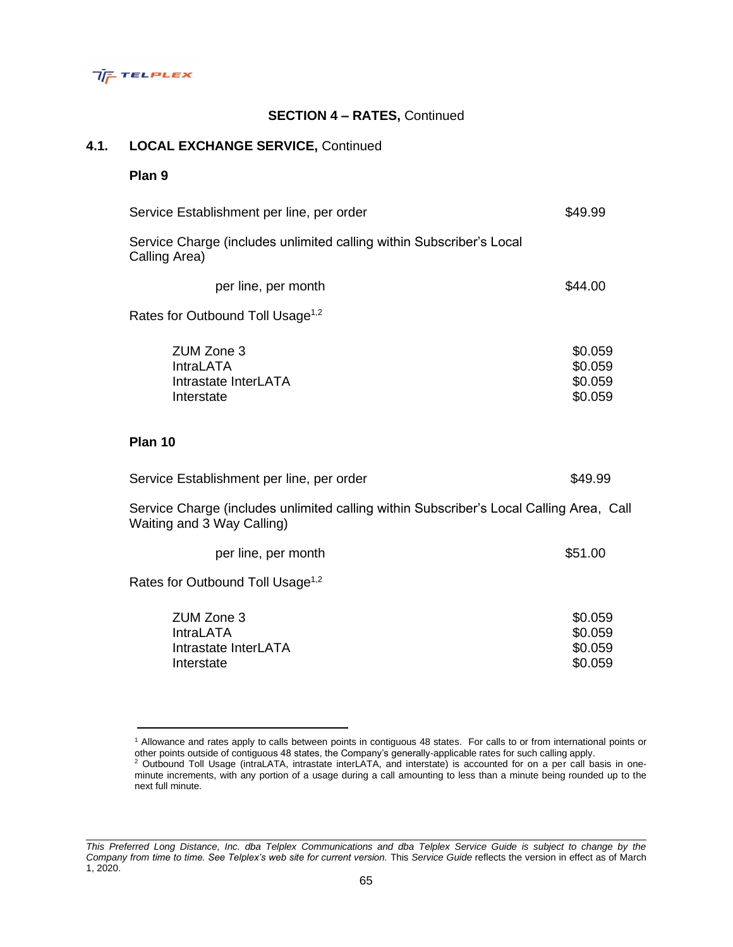

## **4.1. LOCAL EXCHANGE SERVICE,** Continued

## **Plan 9**

| Service Establishment per line, per order                                                                             | \$49.99                                  |
|-----------------------------------------------------------------------------------------------------------------------|------------------------------------------|
| Service Charge (includes unlimited calling within Subscriber's Local<br>Calling Area)                                 |                                          |
| per line, per month                                                                                                   | \$44.00                                  |
| Rates for Outbound Toll Usage <sup>1,2</sup>                                                                          |                                          |
| ZUM Zone 3<br><b>IntraLATA</b><br>Intrastate InterLATA<br>Interstate                                                  | \$0.059<br>\$0.059<br>\$0.059<br>\$0.059 |
| Plan 10                                                                                                               |                                          |
| Service Establishment per line, per order                                                                             | \$49.99                                  |
| Service Charge (includes unlimited calling within Subscriber's Local Calling Area, Call<br>Waiting and 3 Way Calling) |                                          |
| per line, per month                                                                                                   | \$51.00                                  |
| Rates for Outbound Toll Usage <sup>1,2</sup>                                                                          |                                          |
| ZUM Zone 3<br><b>IntraLATA</b><br>Intrastate InterLATA<br>Interstate                                                  | \$0.059<br>\$0.059<br>\$0.059<br>\$0.059 |

<sup>1</sup> Allowance and rates apply to calls between points in contiguous 48 states. For calls to or from international points or other points outside of contiguous 48 states, the Company's generally-applicable rates for such calling apply.

 $2$  Outbound Toll Usage (intraLATA, intrastate interLATA, and interstate) is accounted for on a per call basis in oneminute increments, with any portion of a usage during a call amounting to less than a minute being rounded up to the next full minute.

*This Preferred Long Distance, Inc. dba Telplex Communications and dba Telplex Service Guide is subject to change by the Company from time to time. See Telplex's web site for current version.* This *Service Guide* reflects the version in effect as of March 1, 2020.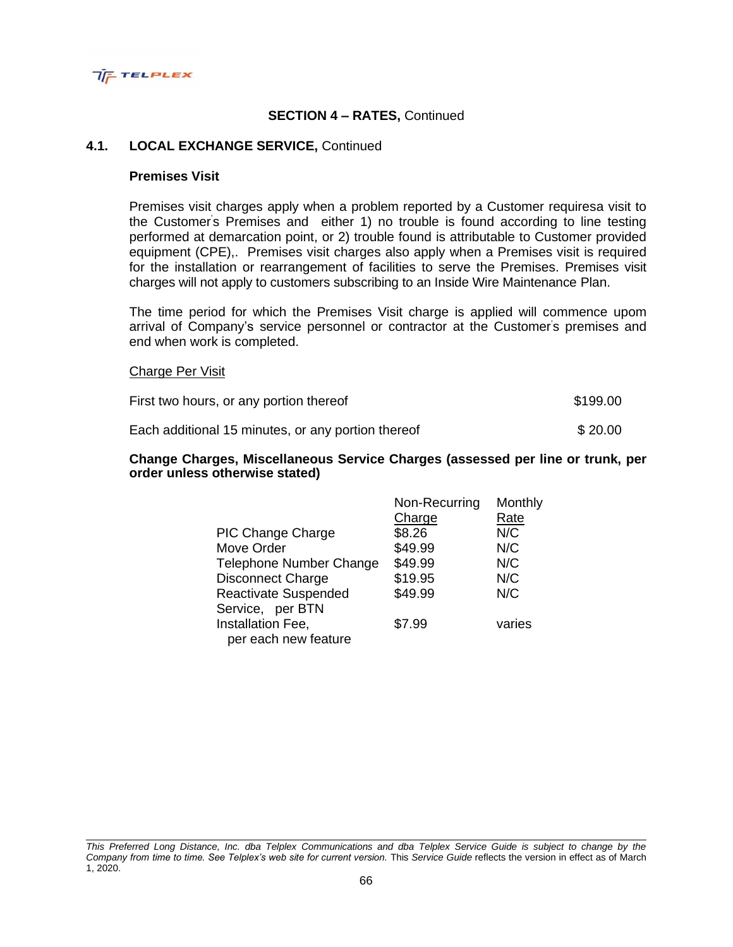

### **4.1. LOCAL EXCHANGE SERVICE,** Continued

#### **Premises Visit**

Premises visit charges apply when a problem reported by a Customer requiresa visit to the Customer's Premises and either 1) no trouble is found according to line testing performed at demarcation point, or 2) trouble found is attributable to Customer provided equipment (CPE),. Premises visit charges also apply when a Premises visit is required for the installation or rearrangement of facilities to serve the Premises. Premises visit charges will not apply to customers subscribing to an Inside Wire Maintenance Plan.

The time period for which the Premises Visit charge is applied will commence upom arrival of Company's service personnel or contractor at the Customer's premises and end when work is completed.

#### Charge Per Visit

| First two hours, or any portion thereof            | \$199.00 |
|----------------------------------------------------|----------|
| Each additional 15 minutes, or any portion thereof | \$20.00  |

#### **Change Charges, Miscellaneous Service Charges (assessed per line or trunk, per order unless otherwise stated)**

|                             | Non-Recurring | Monthly |
|-----------------------------|---------------|---------|
|                             | Charge        | Rate    |
| <b>PIC Change Charge</b>    | \$8.26        | N/C     |
| Move Order                  | \$49.99       | N/C     |
| Telephone Number Change     | \$49.99       | N/C     |
| <b>Disconnect Charge</b>    | \$19.95       | N/C     |
| <b>Reactivate Suspended</b> | \$49.99       | N/C     |
| Service, per BTN            |               |         |
| Installation Fee,           | \$7.99        | varies  |
| per each new feature        |               |         |

*This Preferred Long Distance, Inc. dba Telplex Communications and dba Telplex Service Guide is subject to change by the Company from time to time. See Telplex's web site for current version.* This *Service Guide* reflects the version in effect as of March 1, 2020.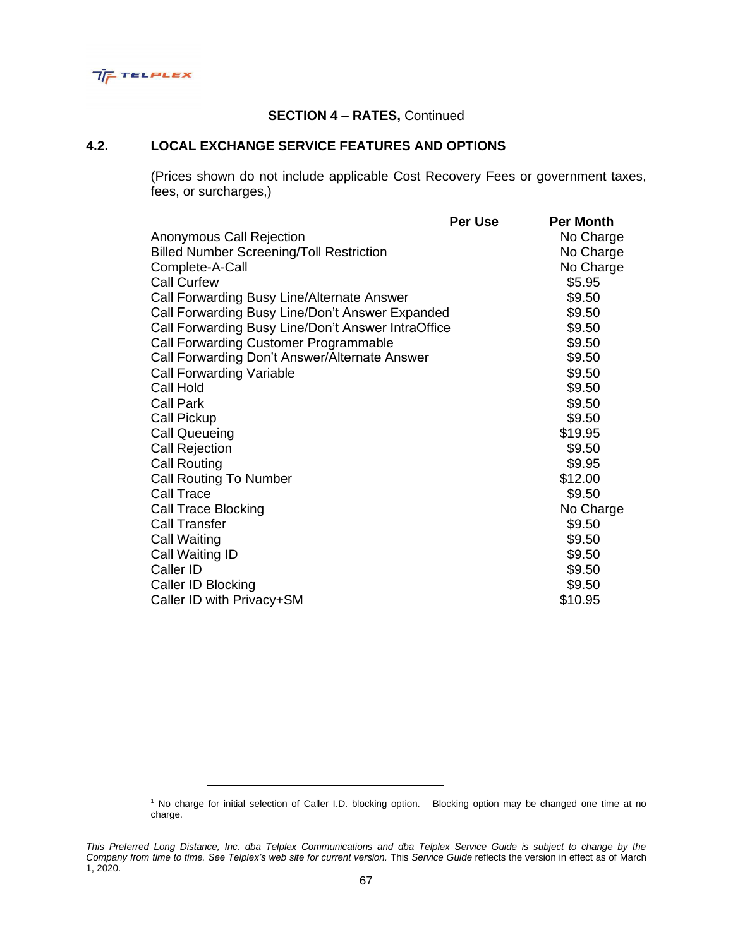

## **4.2. LOCAL EXCHANGE SERVICE FEATURES AND OPTIONS**

(Prices shown do not include applicable Cost Recovery Fees or government taxes, fees, or surcharges,)

| Per Use                                            | <b>Per Month</b> |
|----------------------------------------------------|------------------|
|                                                    | No Charge        |
|                                                    | No Charge        |
|                                                    | No Charge        |
|                                                    | \$5.95           |
|                                                    | \$9.50           |
| Call Forwarding Busy Line/Don't Answer Expanded    | \$9.50           |
| Call Forwarding Busy Line/Don't Answer IntraOffice | \$9.50           |
|                                                    | \$9.50           |
|                                                    | \$9.50           |
|                                                    | \$9.50           |
|                                                    | \$9.50           |
|                                                    | \$9.50           |
|                                                    | \$9.50           |
|                                                    | \$19.95          |
|                                                    | \$9.50           |
|                                                    | \$9.95           |
|                                                    | \$12.00          |
|                                                    | \$9.50           |
|                                                    | No Charge        |
|                                                    | \$9.50           |
|                                                    | \$9.50           |
|                                                    | \$9.50           |
|                                                    | \$9.50           |
|                                                    | \$9.50           |
|                                                    | \$10.95          |
|                                                    |                  |

<sup>1</sup> No charge for initial selection of Caller I.D. blocking option. Blocking option may be changed one time at no charge.

*This Preferred Long Distance, Inc. dba Telplex Communications and dba Telplex Service Guide is subject to change by the Company from time to time. See Telplex's web site for current version.* This *Service Guide* reflects the version in effect as of March 1, 2020.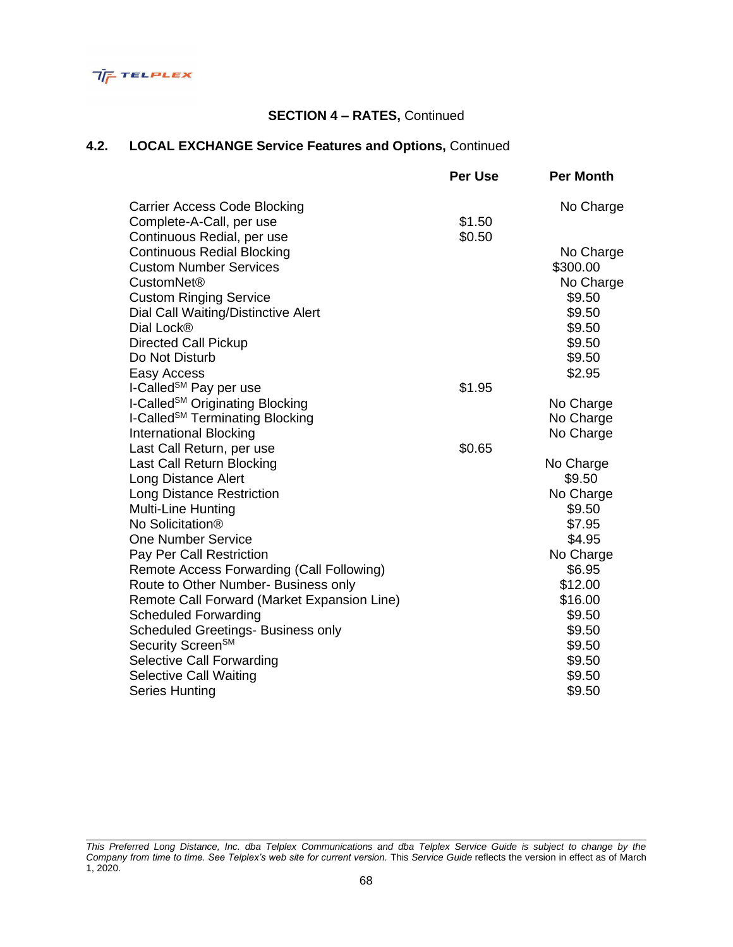

# **4.2. LOCAL EXCHANGE Service Features and Options,** Continued

|                                             | Per Use | <b>Per Month</b> |
|---------------------------------------------|---------|------------------|
| <b>Carrier Access Code Blocking</b>         |         | No Charge        |
| Complete-A-Call, per use                    | \$1.50  |                  |
| Continuous Redial, per use                  | \$0.50  |                  |
| <b>Continuous Redial Blocking</b>           |         | No Charge        |
| <b>Custom Number Services</b>               |         | \$300.00         |
| <b>CustomNet®</b>                           |         | No Charge        |
| <b>Custom Ringing Service</b>               |         | \$9.50           |
| Dial Call Waiting/Distinctive Alert         |         | \$9.50           |
| Dial Lock®                                  |         | \$9.50           |
| <b>Directed Call Pickup</b>                 |         | \$9.50           |
| Do Not Disturb                              |         | \$9.50           |
| Easy Access                                 |         | \$2.95           |
| I-Called <sup>SM</sup> Pay per use          | \$1.95  |                  |
| I-Called <sup>SM</sup> Originating Blocking |         | No Charge        |
| I-Called <sup>SM</sup> Terminating Blocking |         | No Charge        |
| <b>International Blocking</b>               |         | No Charge        |
| Last Call Return, per use                   | \$0.65  |                  |
| Last Call Return Blocking                   |         | No Charge        |
| Long Distance Alert                         |         | \$9.50           |
| <b>Long Distance Restriction</b>            |         | No Charge        |
| <b>Multi-Line Hunting</b>                   |         | \$9.50           |
| No Solicitation <sup>®</sup>                |         | \$7.95           |
| <b>One Number Service</b>                   |         | \$4.95           |
| Pay Per Call Restriction                    |         | No Charge        |
| Remote Access Forwarding (Call Following)   |         | \$6.95           |
| Route to Other Number- Business only        |         | \$12.00          |
| Remote Call Forward (Market Expansion Line) |         | \$16.00          |
| <b>Scheduled Forwarding</b>                 |         | \$9.50           |
| <b>Scheduled Greetings- Business only</b>   |         | \$9.50           |
| Security Screen <sup>SM</sup>               |         | \$9.50           |
| Selective Call Forwarding                   |         | \$9.50           |
| Selective Call Waiting                      |         | \$9.50           |
| Series Hunting                              |         | \$9.50           |

*This Preferred Long Distance, Inc. dba Telplex Communications and dba Telplex Service Guide is subject to change by the Company from time to time. See Telplex's web site for current version.* This *Service Guide* reflects the version in effect as of March 1, 2020.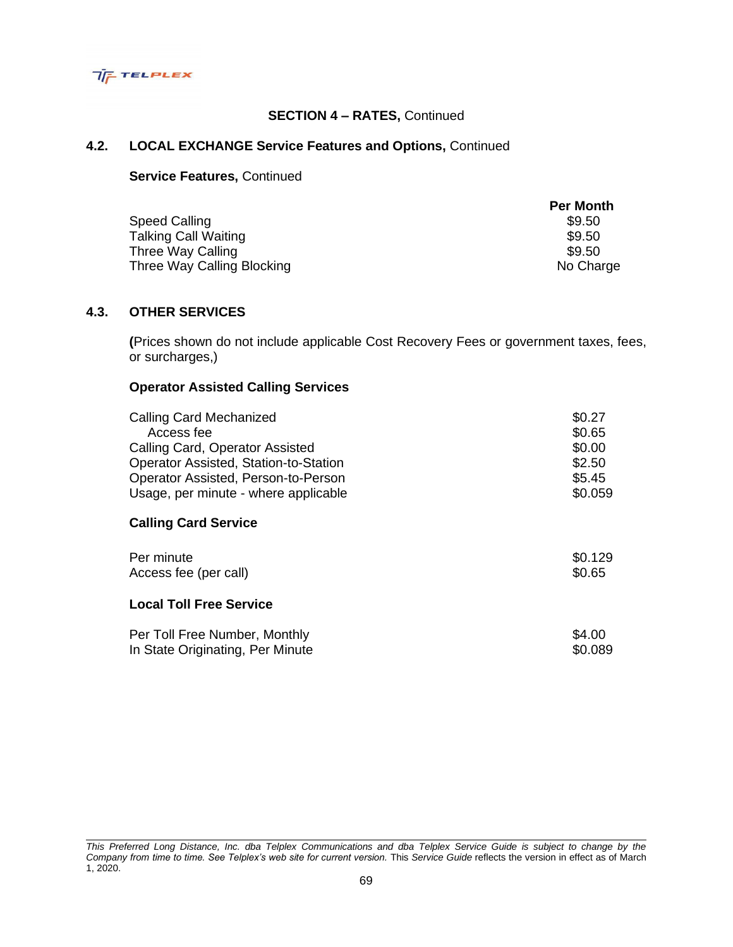

# **4.2. LOCAL EXCHANGE Service Features and Options,** Continued

#### **Service Features,** Continued

|                            | <b>Per Month</b> |
|----------------------------|------------------|
| Speed Calling              | \$9.50           |
| Talking Call Waiting       | \$9.50           |
| Three Way Calling          | \$9.50           |
| Three Way Calling Blocking | No Charge        |

## **4.3. OTHER SERVICES**

**(**Prices shown do not include applicable Cost Recovery Fees or government taxes, fees, or surcharges,)

# **Operator Assisted Calling Services**

| <b>Calling Card Mechanized</b>        | \$0.27  |
|---------------------------------------|---------|
| Access fee                            | \$0.65  |
| Calling Card, Operator Assisted       | \$0.00  |
| Operator Assisted, Station-to-Station | \$2.50  |
| Operator Assisted, Person-to-Person   | \$5.45  |
| Usage, per minute - where applicable  | \$0.059 |
| <b>Calling Card Service</b>           |         |
| Per minute                            | \$0.129 |
| Access fee (per call)                 | \$0.65  |
| <b>Local Toll Free Service</b>        |         |
| Per Toll Free Number, Monthly         | \$4.00  |
| In State Originating, Per Minute      | \$0.089 |

*This Preferred Long Distance, Inc. dba Telplex Communications and dba Telplex Service Guide is subject to change by the Company from time to time. See Telplex's web site for current version.* This *Service Guide* reflects the version in effect as of March 1, 2020.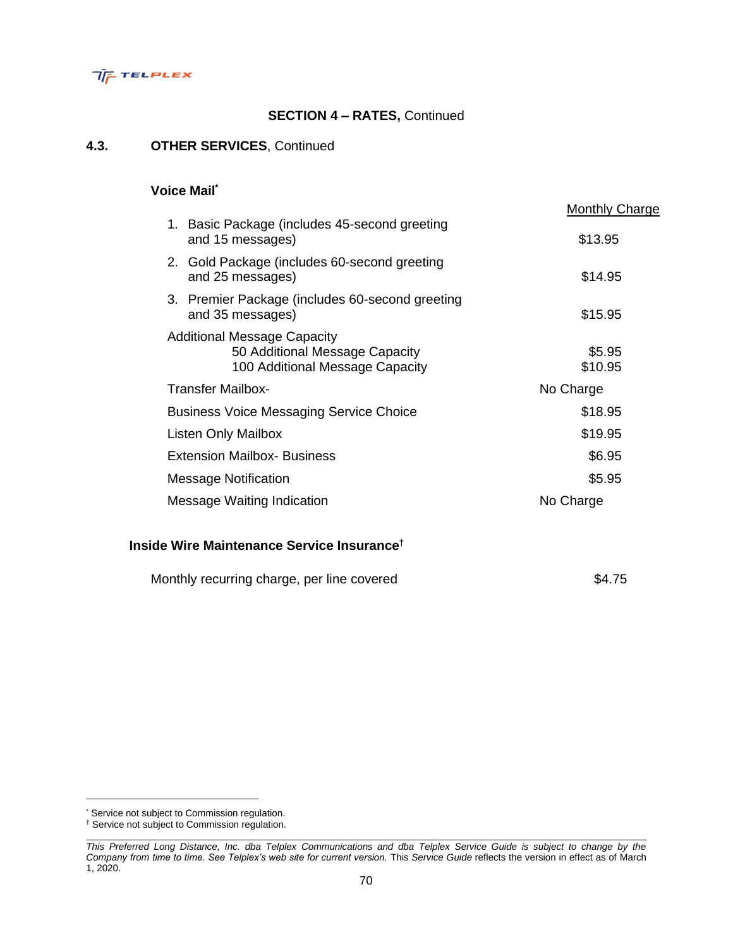

### **4.3. OTHER SERVICES**, Continued

## **Voice Mail\***

|                                                                                                         | <b>Monthly Charge</b> |
|---------------------------------------------------------------------------------------------------------|-----------------------|
| 1. Basic Package (includes 45-second greeting<br>and 15 messages)                                       | \$13.95               |
| 2. Gold Package (includes 60-second greeting<br>and 25 messages)                                        | \$14.95               |
| 3. Premier Package (includes 60-second greeting<br>and 35 messages)                                     | \$15.95               |
| <b>Additional Message Capacity</b><br>50 Additional Message Capacity<br>100 Additional Message Capacity | \$5.95<br>\$10.95     |
| <b>Transfer Mailbox-</b>                                                                                | No Charge             |
| <b>Business Voice Messaging Service Choice</b>                                                          | \$18.95               |
| Listen Only Mailbox                                                                                     | \$19.95               |
| <b>Extension Mailbox- Business</b>                                                                      | \$6.95                |
| <b>Message Notification</b>                                                                             | \$5.95                |
| Message Waiting Indication                                                                              | No Charge             |

## **Inside Wire Maintenance Service Insurance**†

| Monthly recurring charge, per line covered |  | \$4.75 |
|--------------------------------------------|--|--------|
|--------------------------------------------|--|--------|

<sup>\*</sup> Service not subject to Commission regulation.

<sup>†</sup> Service not subject to Commission regulation.

*This Preferred Long Distance, Inc. dba Telplex Communications and dba Telplex Service Guide is subject to change by the Company from time to time. See Telplex's web site for current version.* This *Service Guide* reflects the version in effect as of March 1, 2020.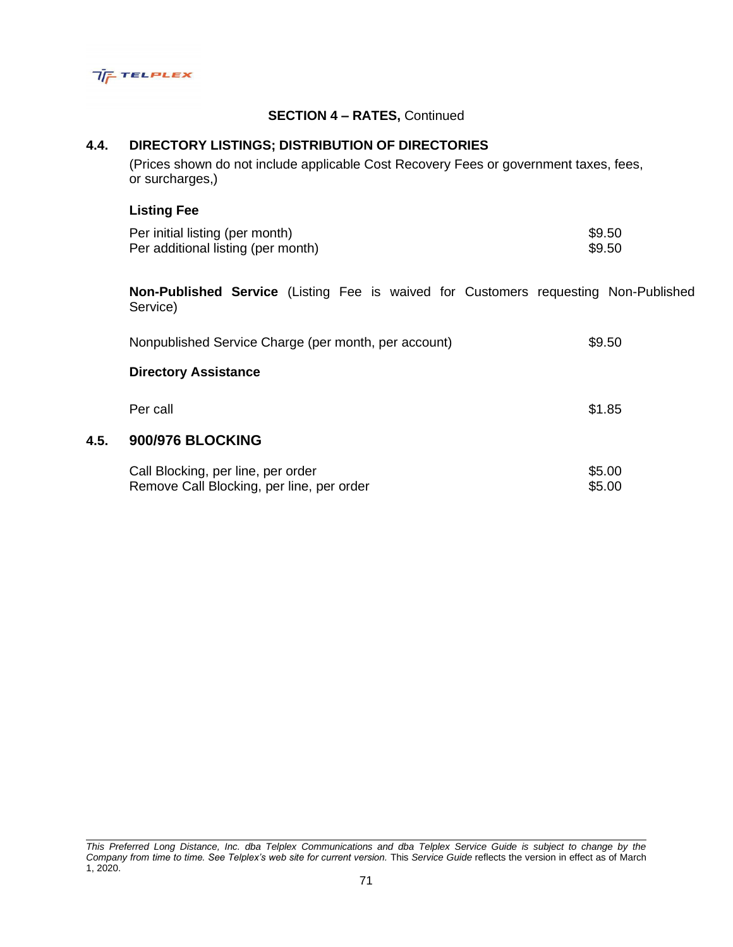

# **4.4. DIRECTORY LISTINGS; DISTRIBUTION OF DIRECTORIES**

(Prices shown do not include applicable Cost Recovery Fees or government taxes, fees, or surcharges,)

## **Listing Fee**

**4.5. 900/976 BLOCKING**

| Per initial listing (per month)    | \$9.50 |
|------------------------------------|--------|
| Per additional listing (per month) | \$9.50 |

**Non-Published Service** (Listing Fee is waived for Customers requesting Non-Published Service)

| Nonpublished Service Charge (per month, per account)                            | \$9.50           |
|---------------------------------------------------------------------------------|------------------|
| <b>Directory Assistance</b>                                                     |                  |
| Per call                                                                        | \$1.85           |
| <b>900/976 BLOCKING</b>                                                         |                  |
| Call Blocking, per line, per order<br>Remove Call Blocking, per line, per order | \$5.00<br>\$5.00 |

*This Preferred Long Distance, Inc. dba Telplex Communications and dba Telplex Service Guide is subject to change by the Company from time to time. See Telplex's web site for current version.* This *Service Guide* reflects the version in effect as of March 1, 2020.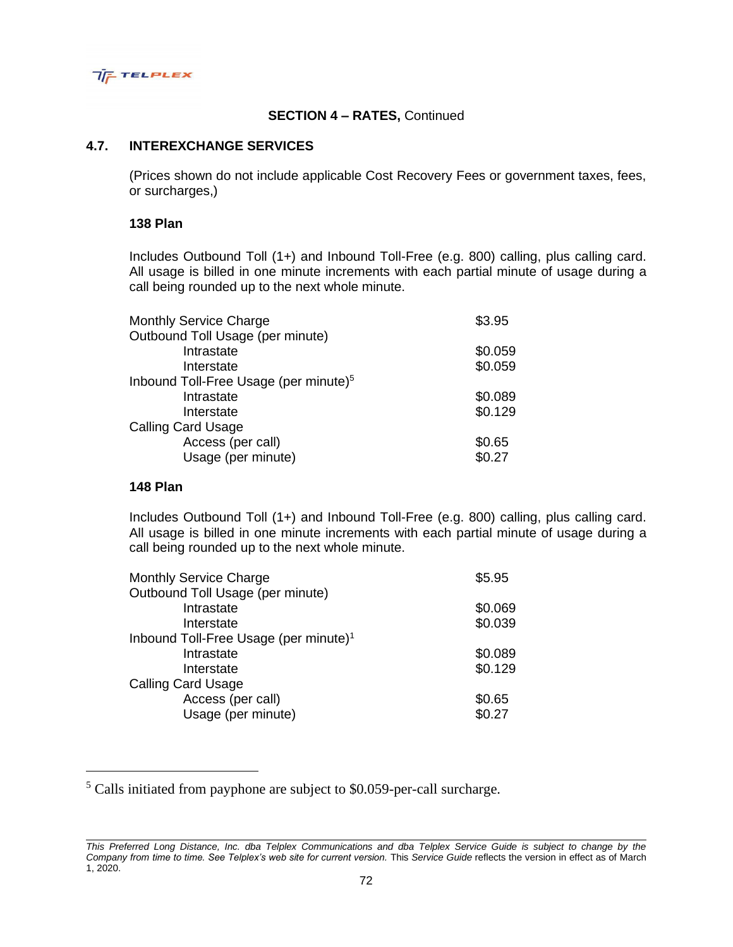

#### **4.7. INTEREXCHANGE SERVICES**

(Prices shown do not include applicable Cost Recovery Fees or government taxes, fees, or surcharges,)

## **138 Plan**

Includes Outbound Toll (1+) and Inbound Toll-Free (e.g. 800) calling, plus calling card. All usage is billed in one minute increments with each partial minute of usage during a call being rounded up to the next whole minute.

| \$3.95  |
|---------|
|         |
| \$0.059 |
| \$0.059 |
|         |
| \$0.089 |
| \$0.129 |
|         |
| \$0.65  |
| \$0.27  |
|         |

## **148 Plan**

Includes Outbound Toll (1+) and Inbound Toll-Free (e.g. 800) calling, plus calling card. All usage is billed in one minute increments with each partial minute of usage during a call being rounded up to the next whole minute.

| \$5.95  |
|---------|
|         |
| \$0.069 |
| \$0.039 |
|         |
| \$0.089 |
| \$0.129 |
|         |
| \$0.65  |
| \$0.27  |
|         |

<sup>5</sup> Calls initiated from payphone are subject to \$0.059-per-call surcharge.

*This Preferred Long Distance, Inc. dba Telplex Communications and dba Telplex Service Guide is subject to change by the Company from time to time. See Telplex's web site for current version.* This *Service Guide* reflects the version in effect as of March 1, 2020.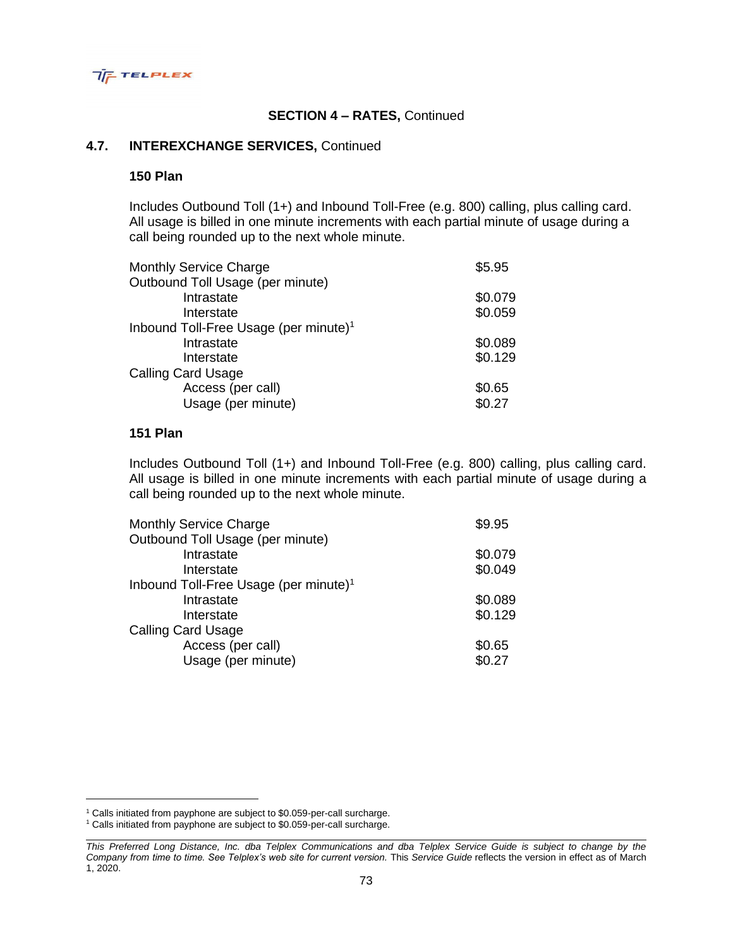

## **4.7. INTEREXCHANGE SERVICES,** Continued

#### **150 Plan**

Includes Outbound Toll (1+) and Inbound Toll-Free (e.g. 800) calling, plus calling card. All usage is billed in one minute increments with each partial minute of usage during a call being rounded up to the next whole minute.

| <b>Monthly Service Charge</b>                     | \$5.95  |
|---------------------------------------------------|---------|
| Outbound Toll Usage (per minute)                  |         |
| Intrastate                                        | \$0.079 |
| Interstate                                        | \$0.059 |
| Inbound Toll-Free Usage (per minute) <sup>1</sup> |         |
| Intrastate                                        | \$0.089 |
| Interstate                                        | \$0.129 |
| <b>Calling Card Usage</b>                         |         |
| Access (per call)                                 | \$0.65  |
| Usage (per minute)                                | \$0.27  |

#### **151 Plan**

Includes Outbound Toll (1+) and Inbound Toll-Free (e.g. 800) calling, plus calling card. All usage is billed in one minute increments with each partial minute of usage during a call being rounded up to the next whole minute.

| <b>Monthly Service Charge</b>                     | \$9.95  |
|---------------------------------------------------|---------|
| Outbound Toll Usage (per minute)                  |         |
| Intrastate                                        | \$0.079 |
| Interstate                                        | \$0.049 |
| Inbound Toll-Free Usage (per minute) <sup>1</sup> |         |
| Intrastate                                        | \$0.089 |
| Interstate                                        | \$0.129 |
| <b>Calling Card Usage</b>                         |         |
| Access (per call)                                 | \$0.65  |
| Usage (per minute)                                | \$0.27  |
|                                                   |         |

<sup>&</sup>lt;sup>1</sup> Calls initiated from payphone are subject to \$0.059-per-call surcharge.

<sup>&</sup>lt;sup>1</sup> Calls initiated from payphone are subject to \$0.059-per-call surcharge.

*This Preferred Long Distance, Inc. dba Telplex Communications and dba Telplex Service Guide is subject to change by the Company from time to time. See Telplex's web site for current version.* This *Service Guide* reflects the version in effect as of March 1, 2020.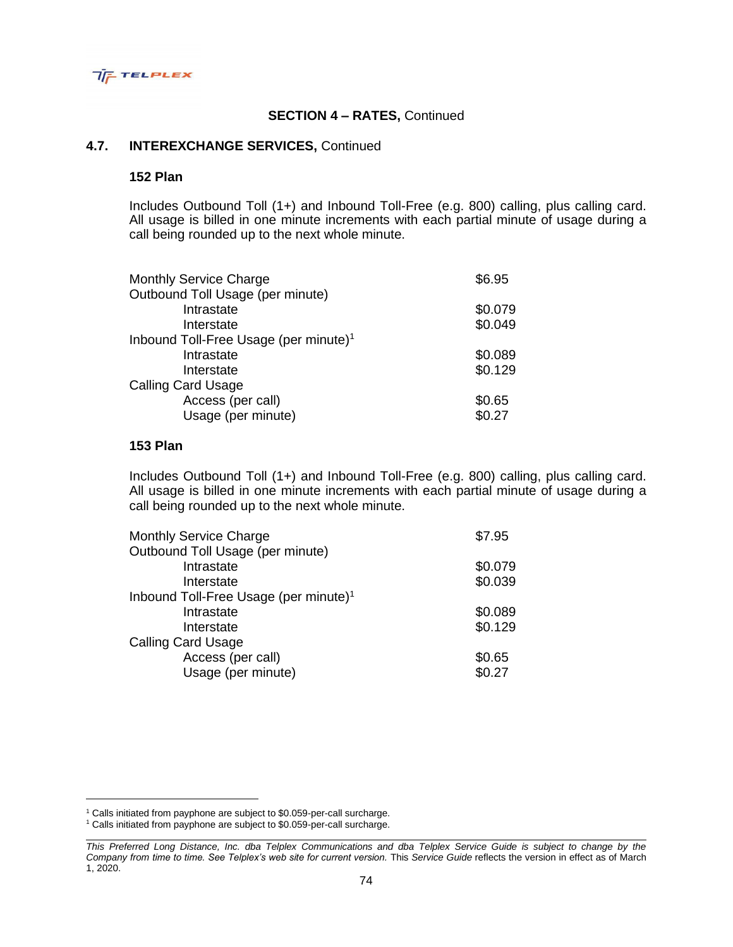

### **4.7. INTEREXCHANGE SERVICES,** Continued

### **152 Plan**

Includes Outbound Toll (1+) and Inbound Toll-Free (e.g. 800) calling, plus calling card. All usage is billed in one minute increments with each partial minute of usage during a call being rounded up to the next whole minute.

| <b>Monthly Service Charge</b>                     | \$6.95  |
|---------------------------------------------------|---------|
| Outbound Toll Usage (per minute)                  |         |
| Intrastate                                        | \$0.079 |
| Interstate                                        | \$0.049 |
| Inbound Toll-Free Usage (per minute) <sup>1</sup> |         |
| Intrastate                                        | \$0.089 |
| Interstate                                        | \$0.129 |
| <b>Calling Card Usage</b>                         |         |
| Access (per call)                                 | \$0.65  |
| Usage (per minute)                                | \$0.27  |

#### **153 Plan**

Includes Outbound Toll (1+) and Inbound Toll-Free (e.g. 800) calling, plus calling card. All usage is billed in one minute increments with each partial minute of usage during a call being rounded up to the next whole minute.

| <b>Monthly Service Charge</b>                     | \$7.95  |
|---------------------------------------------------|---------|
| Outbound Toll Usage (per minute)                  |         |
| Intrastate                                        | \$0.079 |
| Interstate                                        | \$0.039 |
| Inbound Toll-Free Usage (per minute) <sup>1</sup> |         |
| Intrastate                                        | \$0.089 |
| Interstate                                        | \$0.129 |
| Calling Card Usage                                |         |
| Access (per call)                                 | \$0.65  |
| Usage (per minute)                                | \$0.27  |
|                                                   |         |

<sup>&</sup>lt;sup>1</sup> Calls initiated from payphone are subject to \$0.059-per-call surcharge.

<sup>&</sup>lt;sup>1</sup> Calls initiated from payphone are subject to \$0.059-per-call surcharge.

*This Preferred Long Distance, Inc. dba Telplex Communications and dba Telplex Service Guide is subject to change by the Company from time to time. See Telplex's web site for current version.* This *Service Guide* reflects the version in effect as of March 1, 2020.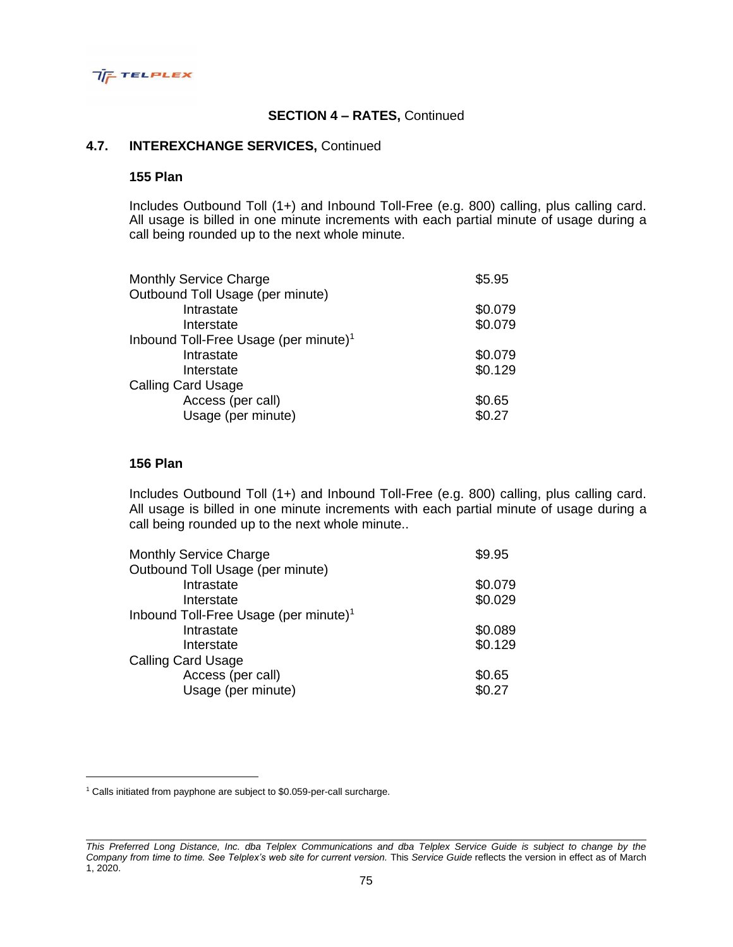

### **4.7. INTEREXCHANGE SERVICES,** Continued

### **155 Plan**

Includes Outbound Toll (1+) and Inbound Toll-Free (e.g. 800) calling, plus calling card. All usage is billed in one minute increments with each partial minute of usage during a call being rounded up to the next whole minute.

| <b>Monthly Service Charge</b>                     | \$5.95  |
|---------------------------------------------------|---------|
| Outbound Toll Usage (per minute)                  |         |
| Intrastate                                        | \$0.079 |
| Interstate                                        | \$0.079 |
| Inbound Toll-Free Usage (per minute) <sup>1</sup> |         |
| Intrastate                                        | \$0.079 |
| Interstate                                        | \$0.129 |
| <b>Calling Card Usage</b>                         |         |
| Access (per call)                                 | \$0.65  |
| Usage (per minute)                                | \$0.27  |

### **156 Plan**

Includes Outbound Toll (1+) and Inbound Toll-Free (e.g. 800) calling, plus calling card. All usage is billed in one minute increments with each partial minute of usage during a call being rounded up to the next whole minute..

| \$9.95  |
|---------|
|         |
| \$0.079 |
| \$0.029 |
|         |
| \$0.089 |
| \$0.129 |
|         |
| \$0.65  |
| \$0.27  |
|         |

<sup>&</sup>lt;sup>1</sup> Calls initiated from payphone are subject to \$0.059-per-call surcharge.

*This Preferred Long Distance, Inc. dba Telplex Communications and dba Telplex Service Guide is subject to change by the Company from time to time. See Telplex's web site for current version.* This *Service Guide* reflects the version in effect as of March 1, 2020.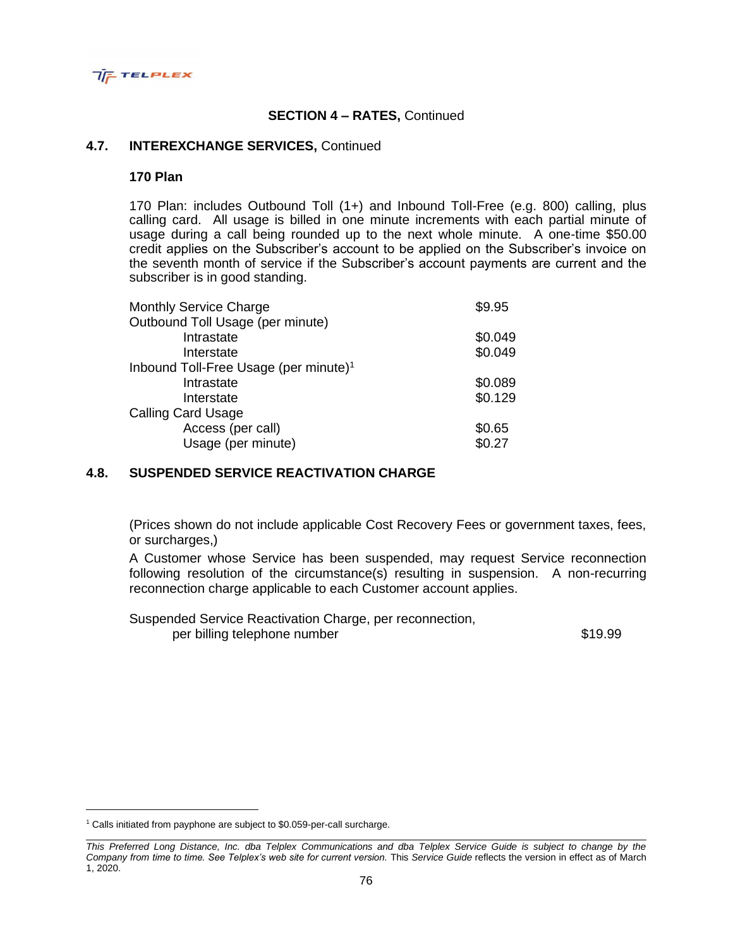

### **4.7. INTEREXCHANGE SERVICES,** Continued

#### **170 Plan**

170 Plan: includes Outbound Toll (1+) and Inbound Toll-Free (e.g. 800) calling, plus calling card. All usage is billed in one minute increments with each partial minute of usage during a call being rounded up to the next whole minute. A one-time \$50.00 credit applies on the Subscriber's account to be applied on the Subscriber's invoice on the seventh month of service if the Subscriber's account payments are current and the subscriber is in good standing.

| <b>Monthly Service Charge</b>                     | \$9.95  |
|---------------------------------------------------|---------|
| Outbound Toll Usage (per minute)                  |         |
| Intrastate                                        | \$0.049 |
| Interstate                                        | \$0.049 |
| Inbound Toll-Free Usage (per minute) <sup>1</sup> |         |
| Intrastate                                        | \$0.089 |
| Interstate                                        | \$0.129 |
| <b>Calling Card Usage</b>                         |         |
| Access (per call)                                 | \$0.65  |
| Usage (per minute)                                | \$0.27  |

# **4.8. SUSPENDED SERVICE REACTIVATION CHARGE**

(Prices shown do not include applicable Cost Recovery Fees or government taxes, fees, or surcharges,)

A Customer whose Service has been suspended, may request Service reconnection following resolution of the circumstance(s) resulting in suspension. A non-recurring reconnection charge applicable to each Customer account applies.

Suspended Service Reactivation Charge, per reconnection, per billing telephone number  $$19.99$ 

<sup>&</sup>lt;sup>1</sup> Calls initiated from payphone are subject to \$0.059-per-call surcharge.

*This Preferred Long Distance, Inc. dba Telplex Communications and dba Telplex Service Guide is subject to change by the Company from time to time. See Telplex's web site for current version.* This *Service Guide* reflects the version in effect as of March 1, 2020.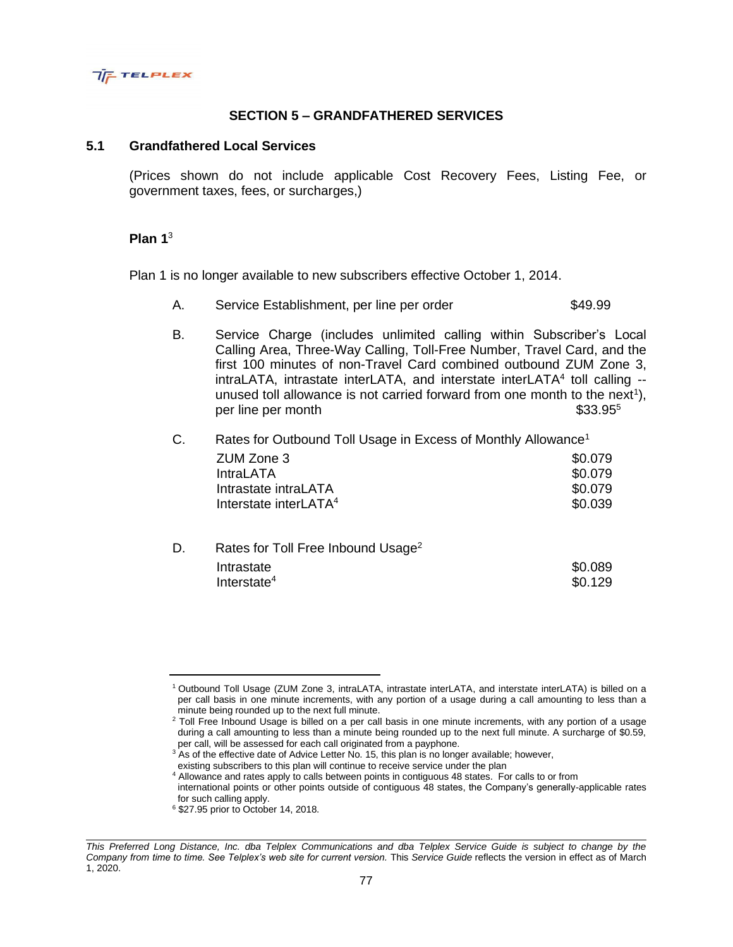

# **SECTION 5 – GRANDFATHERED SERVICES**

#### **5.1 Grandfathered Local Services**

(Prices shown do not include applicable Cost Recovery Fees, Listing Fee, or government taxes, fees, or surcharges,)

#### **Plan 1**<sup>3</sup>

Plan 1 is no longer available to new subscribers effective October 1, 2014.

- A. Service Establishment, per line per order  $$49.99$
- B. Service Charge (includes unlimited calling within Subscriber's Local Calling Area, Three-Way Calling, Toll-Free Number, Travel Card, and the first 100 minutes of non-Travel Card combined outbound ZUM Zone 3, intraLATA, intrastate interLATA, and interstate interLATA<sup>4</sup> toll calling -unused toll allowance is not carried forward from one month to the next<sup>1</sup>), per line per month  $$33.95^5$

| C. | Rates for Outbound Toll Usage in Excess of Monthly Allowance <sup>1</sup> |         |
|----|---------------------------------------------------------------------------|---------|
|    | ZUM Zone 3                                                                | \$0.079 |
|    | <b>IntraLATA</b>                                                          | \$0.079 |
|    | Intrastate intraLATA                                                      | \$0.079 |
|    | Interstate interLATA <sup>4</sup>                                         | \$0.039 |
|    |                                                                           |         |

| Rates for Toll Free Inbound Usage <sup>2</sup> |         |
|------------------------------------------------|---------|
| Intrastate                                     | \$0.089 |
| Interstate $4$                                 | \$0.129 |
|                                                |         |

<sup>4</sup> Allowance and rates apply to calls between points in contiguous 48 states. For calls to or from

international points or other points outside of contiguous 48 states, the Company's generally-applicable rates for such calling apply.

<sup>1</sup>Outbound Toll Usage (ZUM Zone 3, intraLATA, intrastate interLATA, and interstate interLATA) is billed on a per call basis in one minute increments, with any portion of a usage during a call amounting to less than a minute being rounded up to the next full minute.

<sup>&</sup>lt;sup>2</sup> Toll Free Inbound Usage is billed on a per call basis in one minute increments, with any portion of a usage during a call amounting to less than a minute being rounded up to the next full minute. A surcharge of \$0.59, per call, will be assessed for each call originated from a payphone.

<sup>&</sup>lt;sup>3</sup> As of the effective date of Advice Letter No. 15, this plan is no longer available; however, existing subscribers to this plan will continue to receive service under the plan

<sup>6</sup> \$27.95 prior to October 14, 2018.

*This Preferred Long Distance, Inc. dba Telplex Communications and dba Telplex Service Guide is subject to change by the Company from time to time. See Telplex's web site for current version.* This *Service Guide* reflects the version in effect as of March 1, 2020.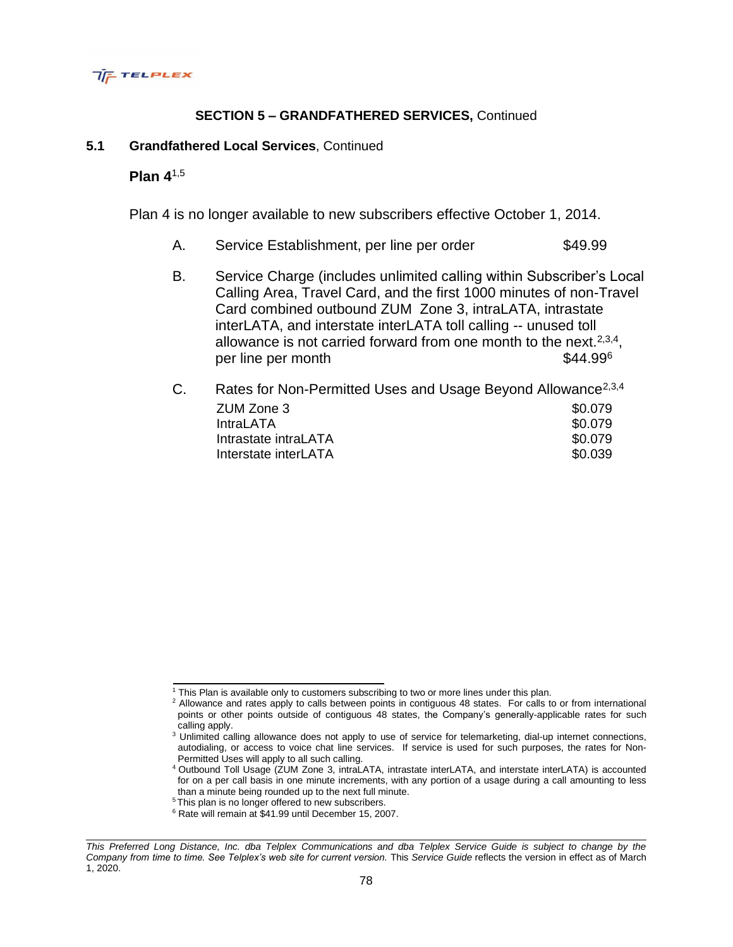

# **SECTION 5 – GRANDFATHERED SERVICES,** Continued

### **5.1 Grandfathered Local Services**, Continued

## **Plan 4**1,5

Plan 4 is no longer available to new subscribers effective October 1, 2014.

- A. Service Establishment, per line per order \$49.99
- B. Service Charge (includes unlimited calling within Subscriber's Local Calling Area, Travel Card, and the first 1000 minutes of non-Travel Card combined outbound ZUM Zone 3, intraLATA, intrastate interLATA, and interstate interLATA toll calling -- unused toll allowance is not carried forward from one month to the next.  $2,3,4$ , per line per month  $$44.99<sup>6</sup>$

| C. | Rates for Non-Permitted Uses and Usage Beyond Allowance <sup>2,3,4</sup> |         |
|----|--------------------------------------------------------------------------|---------|
|    | ZUM Zone 3                                                               | \$0.079 |
|    | <b>IntraLATA</b>                                                         | \$0.079 |
|    | Intrastate intraLATA                                                     | \$0.079 |
|    | Interstate interLATA                                                     | \$0.039 |

<sup>1</sup> This Plan is available only to customers subscribing to two or more lines under this plan.

<sup>&</sup>lt;sup>2</sup> Allowance and rates apply to calls between points in contiguous 48 states. For calls to or from international points or other points outside of contiguous 48 states, the Company's generally-applicable rates for such calling apply.

<sup>&</sup>lt;sup>3</sup> Unlimited calling allowance does not apply to use of service for telemarketing, dial-up internet connections, autodialing, or access to voice chat line services. If service is used for such purposes, the rates for Non-Permitted Uses will apply to all such calling.

<sup>4</sup>Outbound Toll Usage (ZUM Zone 3, intraLATA, intrastate interLATA, and interstate interLATA) is accounted for on a per call basis in one minute increments, with any portion of a usage during a call amounting to less than a minute being rounded up to the next full minute.

<sup>&</sup>lt;sup>5</sup>This plan is no longer offered to new subscribers.

<sup>6</sup> Rate will remain at \$41.99 until December 15, 2007.

*This Preferred Long Distance, Inc. dba Telplex Communications and dba Telplex Service Guide is subject to change by the Company from time to time. See Telplex's web site for current version.* This *Service Guide* reflects the version in effect as of March 1, 2020.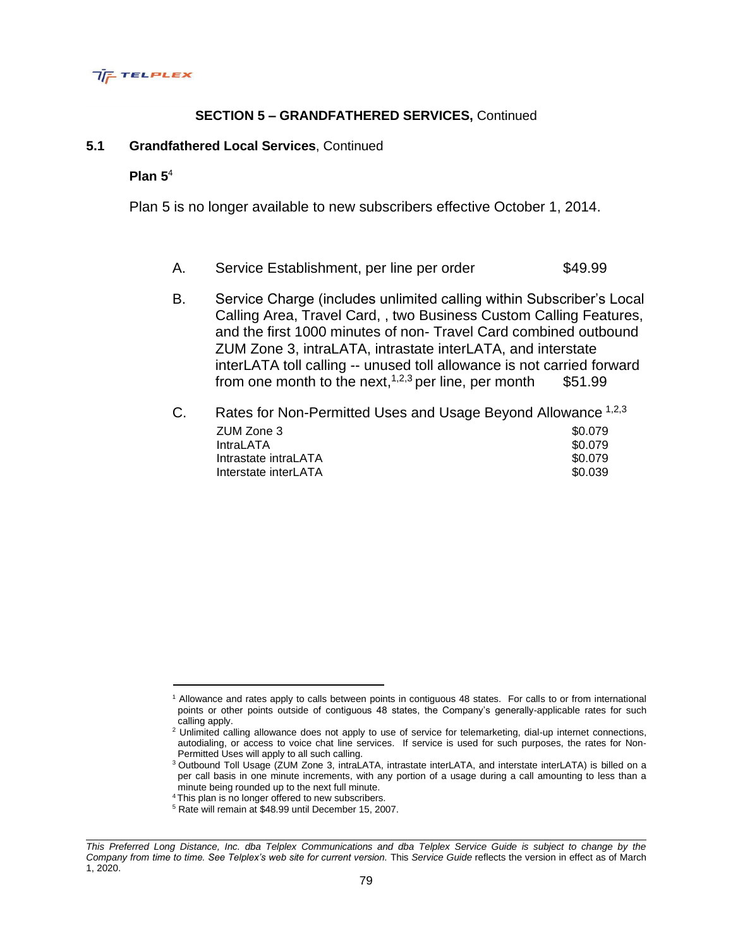

# **SECTION 5 – GRANDFATHERED SERVICES,** Continued

### **5.1 Grandfathered Local Services**, Continued

### **Plan 5**<sup>4</sup>

Plan 5 is no longer available to new subscribers effective October 1, 2014.

- A. Service Establishment, per line per order \$49.99
- B. Service Charge (includes unlimited calling within Subscriber's Local Calling Area, Travel Card, , two Business Custom Calling Features, and the first 1000 minutes of non- Travel Card combined outbound ZUM Zone 3, intraLATA, intrastate interLATA, and interstate interLATA toll calling -- unused toll allowance is not carried forward from one month to the next,<sup>1,2,3</sup> per line, per month \$51.99
- C. Rates for Non-Permitted Uses and Usage Beyond Allowance 1,2,3 **ZUM Zone 3**  $\sim$  30.079 IntraLATA \$0.079 Intrastate intraLATA  $$0.079$ Interstate interLATA  $\sim$  \$0.039

<sup>&</sup>lt;sup>1</sup> Allowance and rates apply to calls between points in contiguous 48 states. For calls to or from international points or other points outside of contiguous 48 states, the Company's generally-applicable rates for such calling apply.

<sup>&</sup>lt;sup>2</sup> Unlimited calling allowance does not apply to use of service for telemarketing, dial-up internet connections, autodialing, or access to voice chat line services. If service is used for such purposes, the rates for Non-Permitted Uses will apply to all such calling.

<sup>3</sup>Outbound Toll Usage (ZUM Zone 3, intraLATA, intrastate interLATA, and interstate interLATA) is billed on a per call basis in one minute increments, with any portion of a usage during a call amounting to less than a minute being rounded up to the next full minute.

<sup>4</sup>This plan is no longer offered to new subscribers.

<sup>5</sup> Rate will remain at \$48.99 until December 15, 2007.

*This Preferred Long Distance, Inc. dba Telplex Communications and dba Telplex Service Guide is subject to change by the Company from time to time. See Telplex's web site for current version.* This *Service Guide* reflects the version in effect as of March 1, 2020.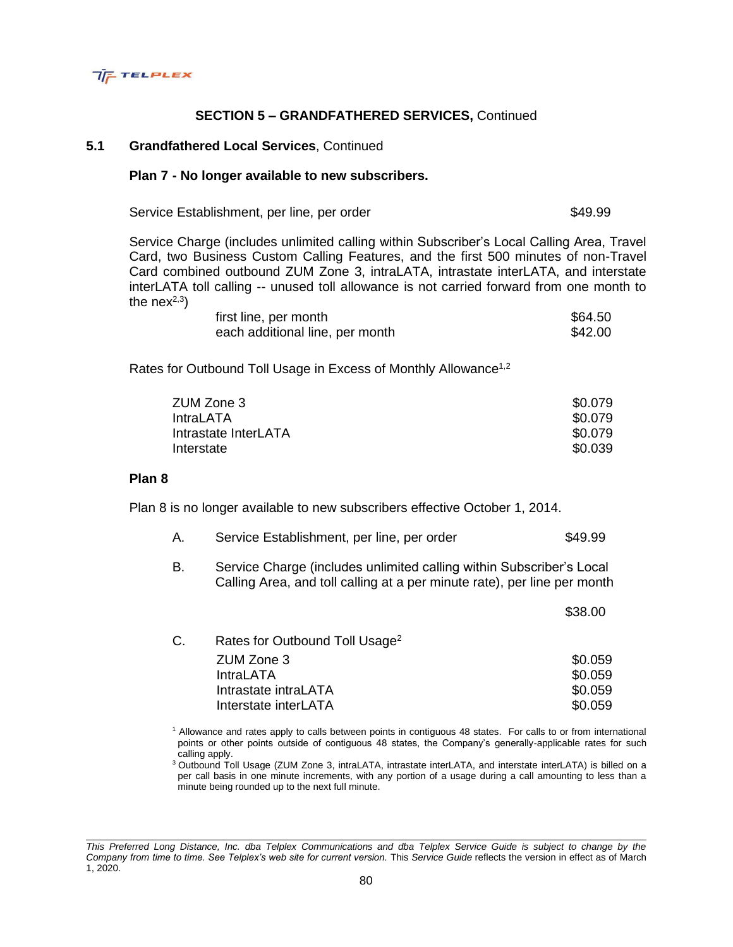

# **SECTION 5 – GRANDFATHERED SERVICES,** Continued

### **5.1 Grandfathered Local Services**, Continued

#### **Plan 7 - No longer available to new subscribers.**

Service Establishment, per line, per order  $$49.99$ 

\$38.00

Service Charge (includes unlimited calling within Subscriber's Local Calling Area, Travel Card, two Business Custom Calling Features, and the first 500 minutes of non-Travel Card combined outbound ZUM Zone 3, intraLATA, intrastate interLATA, and interstate interLATA toll calling -- unused toll allowance is not carried forward from one month to the nex $^{2,3}$ )

| first line, per month           | \$64.50 |
|---------------------------------|---------|
| each additional line, per month | \$42.00 |

Rates for Outbound Toll Usage in Excess of Monthly Allowance<sup>1,2</sup>

| ZUM Zone 3           | \$0.079 |
|----------------------|---------|
| IntraLATA            | \$0.079 |
| Intrastate InterLATA | \$0.079 |
| Interstate           | \$0.039 |
|                      |         |

#### **Plan 8**

Plan 8 is no longer available to new subscribers effective October 1, 2014.

|  | \$49.99 | Service Establishment, per line, per order |  |  |
|--|---------|--------------------------------------------|--|--|
|--|---------|--------------------------------------------|--|--|

B. Service Charge (includes unlimited calling within Subscriber's Local Calling Area, and toll calling at a per minute rate), per line per month

|                                            | -----   |
|--------------------------------------------|---------|
| Rates for Outbound Toll Usage <sup>2</sup> |         |
| ZUM Zone 3                                 | \$0.059 |
| <b>IntraLATA</b>                           | \$0.059 |
| Intrastate intraLATA                       | \$0.059 |
| Interstate interLATA                       | \$0.059 |
|                                            |         |

<sup>1</sup> Allowance and rates apply to calls between points in contiguous 48 states. For calls to or from international points or other points outside of contiguous 48 states, the Company's generally-applicable rates for such calling apply.

<sup>3</sup>Outbound Toll Usage (ZUM Zone 3, intraLATA, intrastate interLATA, and interstate interLATA) is billed on a per call basis in one minute increments, with any portion of a usage during a call amounting to less than a minute being rounded up to the next full minute.

*This Preferred Long Distance, Inc. dba Telplex Communications and dba Telplex Service Guide is subject to change by the Company from time to time. See Telplex's web site for current version.* This *Service Guide* reflects the version in effect as of March 1, 2020.